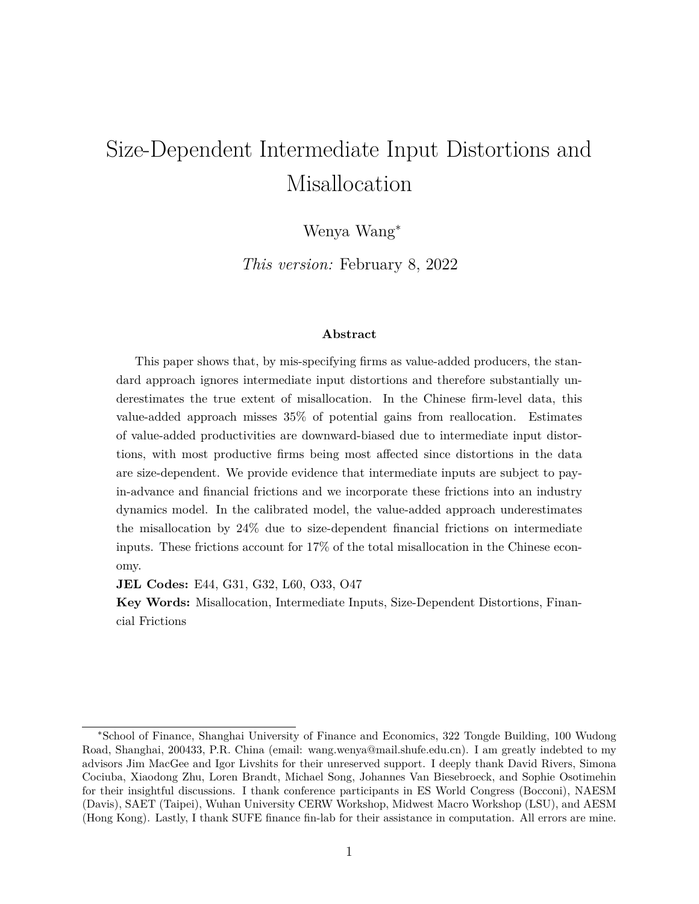# Size-Dependent Intermediate Input Distortions and Misallocation

Wenya Wang<sup>∗</sup>

*This version:* February 8, 2022

#### **Abstract**

This paper shows that, by mis-specifying firms as value-added producers, the standard approach ignores intermediate input distortions and therefore substantially underestimates the true extent of misallocation. In the Chinese firm-level data, this value-added approach misses 35% of potential gains from reallocation. Estimates of value-added productivities are downward-biased due to intermediate input distortions, with most productive firms being most affected since distortions in the data are size-dependent. We provide evidence that intermediate inputs are subject to payin-advance and financial frictions and we incorporate these frictions into an industry dynamics model. In the calibrated model, the value-added approach underestimates the misallocation by 24% due to size-dependent financial frictions on intermediate inputs. These frictions account for 17% of the total misallocation in the Chinese economy.

**JEL Codes:** E44, G31, G32, L60, O33, O47

**Key Words:** Misallocation, Intermediate Inputs, Size-Dependent Distortions, Financial Frictions

<sup>∗</sup>School of Finance, Shanghai University of Finance and Economics, 322 Tongde Building, 100 Wudong Road, Shanghai, 200433, P.R. China (email: wang.wenya@mail.shufe.edu.cn). I am greatly indebted to my advisors Jim MacGee and Igor Livshits for their unreserved support. I deeply thank David Rivers, Simona Cociuba, Xiaodong Zhu, Loren Brandt, Michael Song, Johannes Van Biesebroeck, and Sophie Osotimehin for their insightful discussions. I thank conference participants in ES World Congress (Bocconi), NAESM (Davis), SAET (Taipei), Wuhan University CERW Workshop, Midwest Macro Workshop (LSU), and AESM (Hong Kong). Lastly, I thank SUFE finance fin-lab for their assistance in computation. All errors are mine.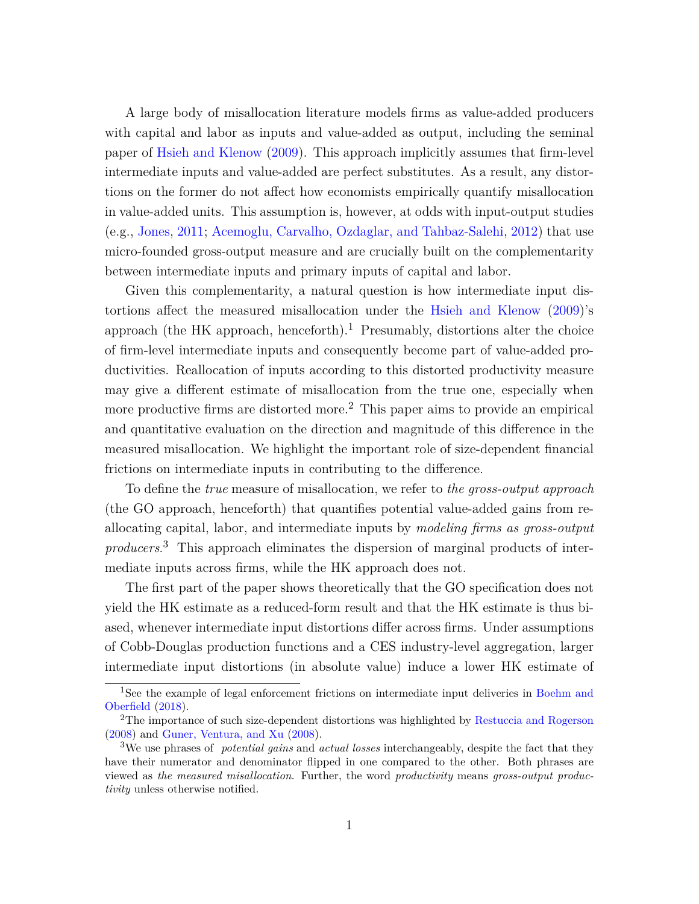A large body of misallocation literature models firms as value-added producers with capital and labor as inputs and value-added as output, including the seminal paper of [Hsieh and Klenow](#page-51-0) ([2009](#page-51-0)). This approach implicitly assumes that firm-level intermediate inputs and value-added are perfect substitutes. As a result, any distortions on the former do not affect how economists empirically quantify misallocation in value-added units. This assumption is, however, at odds with input-output studies (e.g., [Jones,](#page-51-1) [2011;](#page-51-1) [Acemoglu, Carvalho, Ozdaglar, and Tahbaz-Salehi](#page-49-0), [2012](#page-49-0)) that use micro-founded gross-output measure and are crucially built on the complementarity between intermediate inputs and primary inputs of capital and labor.

Given this complementarity, a natural question is how intermediate input distortions affect the measured misallocation under the [Hsieh and Klenow](#page-51-0) [\(2009\)](#page-51-0)'s approach (the HK approach, henceforth).<sup>[1](#page-1-0)</sup> Presumably, distortions alter the choice of firm-level intermediate inputs and consequently become part of value-added productivities. Reallocation of inputs according to this distorted productivity measure may give a different estimate of misallocation from the true one, especially when more productive firms are distorted more.[2](#page-1-1) This paper aims to provide an empirical and quantitative evaluation on the direction and magnitude of this difference in the measured misallocation. We highlight the important role of size-dependent financial frictions on intermediate inputs in contributing to the difference.

To define the *true* measure of misallocation, we refer to *the gross-output approach* (the GO approach, henceforth) that quantifies potential value-added gains from reallocating capital, labor, and intermediate inputs by *modeling firms as gross-output producers*. [3](#page-1-2) This approach eliminates the dispersion of marginal products of intermediate inputs across firms, while the HK approach does not.

The first part of the paper shows theoretically that the GO specification does not yield the HK estimate as a reduced-form result and that the HK estimate is thus biased, whenever intermediate input distortions differ across firms. Under assumptions of Cobb-Douglas production functions and a CES industry-level aggregation, larger intermediate input distortions (in absolute value) induce a lower HK estimate of

<span id="page-1-0"></span><sup>&</sup>lt;sup>1</sup>See the example of legal enforcement frictions on intermediate input deliveries in [Boehm and](#page-49-1) [Oberfield](#page-49-1) [\(2018](#page-49-1)).

<span id="page-1-1"></span><sup>2</sup>The importance of such size-dependent distortions was highlighted by [Restuccia and Rogerson](#page-52-0) ([2008\)](#page-52-0) and [Guner, Ventura, and Xu](#page-51-2) ([2008\)](#page-51-2).

<span id="page-1-2"></span><sup>3</sup>We use phrases of *potential gains* and *actual losses* interchangeably, despite the fact that they have their numerator and denominator flipped in one compared to the other. Both phrases are viewed as *the measured misallocation*. Further, the word *productivity* means *gross-output productivity* unless otherwise notified.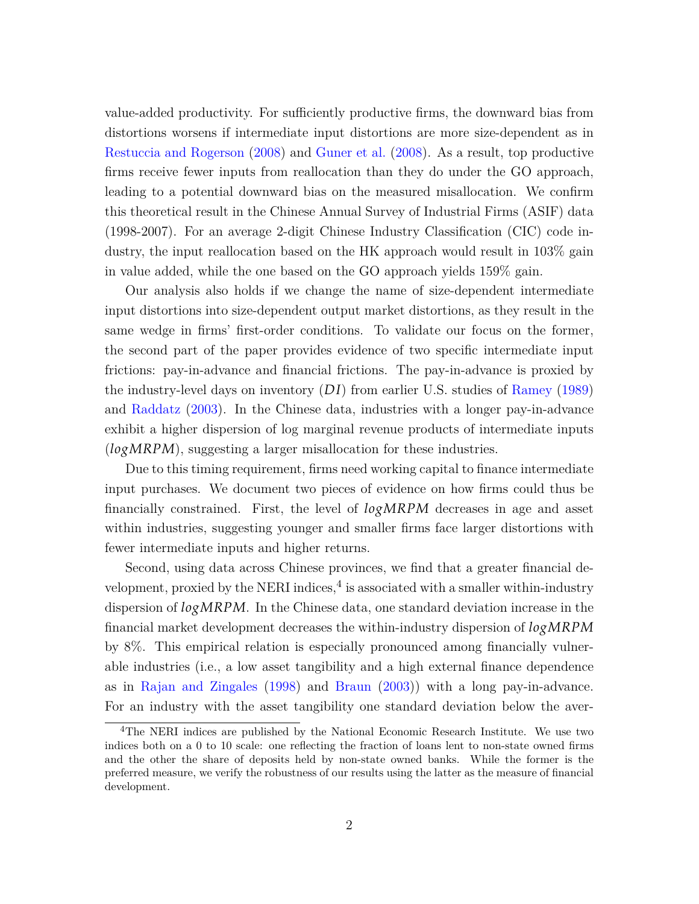value-added productivity. For sufficiently productive firms, the downward bias from distortions worsens if intermediate input distortions are more size-dependent as in [Restuccia and Rogerson](#page-52-0) [\(2008\)](#page-52-0) and [Guner et al.](#page-51-2) ([2008\)](#page-51-2). As a result, top productive firms receive fewer inputs from reallocation than they do under the GO approach, leading to a potential downward bias on the measured misallocation. We confirm this theoretical result in the Chinese Annual Survey of Industrial Firms (ASIF) data (1998-2007). For an average 2-digit Chinese Industry Classification (CIC) code industry, the input reallocation based on the HK approach would result in 103% gain in value added, while the one based on the GO approach yields 159% gain.

Our analysis also holds if we change the name of size-dependent intermediate input distortions into size-dependent output market distortions, as they result in the same wedge in firms' first-order conditions. To validate our focus on the former, the second part of the paper provides evidence of two specific intermediate input frictions: pay-in-advance and financial frictions. The pay-in-advance is proxied by the industry-level days on inventory (*D I*) from earlier U.S. studies of [Ramey](#page-52-1) [\(1989\)](#page-52-1) and [Raddatz](#page-52-2) [\(2003\)](#page-52-2). In the Chinese data, industries with a longer pay-in-advance exhibit a higher dispersion of log marginal revenue products of intermediate inputs (*logMRPM*), suggesting a larger misallocation for these industries.

Due to this timing requirement, firms need working capital to finance intermediate input purchases. We document two pieces of evidence on how firms could thus be financially constrained. First, the level of *logMRPM* decreases in age and asset within industries, suggesting younger and smaller firms face larger distortions with fewer intermediate inputs and higher returns.

Second, using data across Chinese provinces, we find that a greater financial de-velopment, proxied by the NERI indices,<sup>[4](#page-2-0)</sup> is associated with a smaller within-industry dispersion of *logMRPM*. In the Chinese data, one standard deviation increase in the financial market development decreases the within-industry dispersion of *logMRPM* by 8%. This empirical relation is especially pronounced among financially vulnerable industries (i.e., a low asset tangibility and a high external finance dependence as in [Rajan and Zingales](#page-52-3) ([1998](#page-52-3)) and [Braun](#page-50-0) ([2003](#page-50-0))) with a long pay-in-advance. For an industry with the asset tangibility one standard deviation below the aver-

<span id="page-2-0"></span><sup>4</sup>The NERI indices are published by the National Economic Research Institute. We use two indices both on a 0 to 10 scale: one reflecting the fraction of loans lent to non-state owned firms and the other the share of deposits held by non-state owned banks. While the former is the preferred measure, we verify the robustness of our results using the latter as the measure of financial development.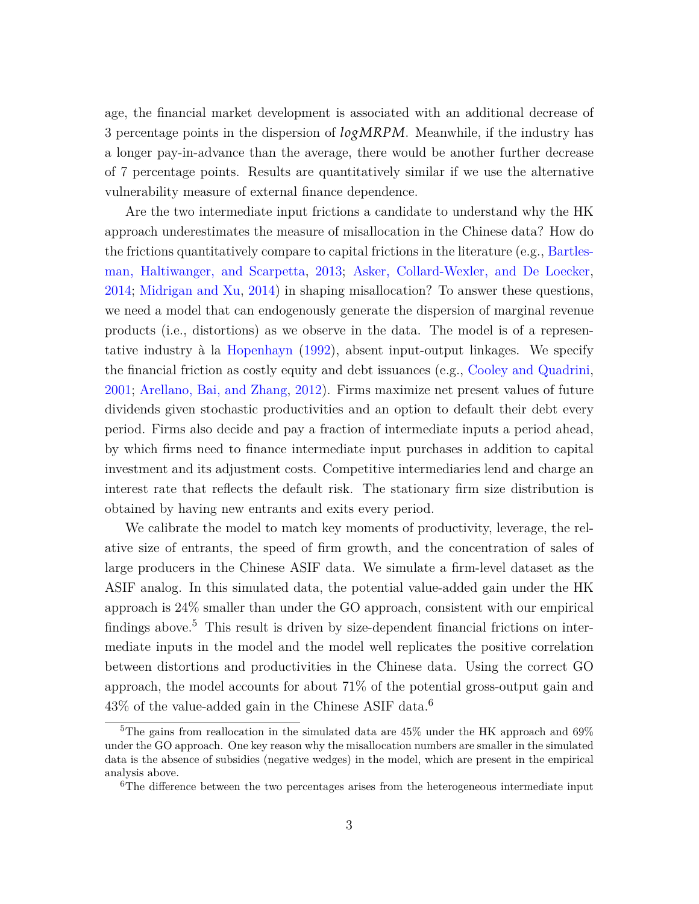age, the financial market development is associated with an additional decrease of 3 percentage points in the dispersion of *logMRPM*. Meanwhile, if the industry has a longer pay-in-advance than the average, there would be another further decrease of 7 percentage points. Results are quantitatively similar if we use the alternative vulnerability measure of external finance dependence.

Are the two intermediate input frictions a candidate to understand why the HK approach underestimates the measure of misallocation in the Chinese data? How do the frictions quantitatively compare to capital frictions in the literature (e.g., [Bartles](#page-49-2)[man, Haltiwanger, and Scarpetta,](#page-49-2) [2013;](#page-49-2) [Asker, Collard-Wexler, and De Loecker,](#page-49-3) [2014](#page-49-3); [Midrigan and Xu,](#page-52-4) [2014](#page-52-4)) in shaping misallocation? To answer these questions, we need a model that can endogenously generate the dispersion of marginal revenue products (i.e., distortions) as we observe in the data. The model is of a representative industry à la [Hopenhayn](#page-51-3) [\(1992\)](#page-51-3), absent input-output linkages. We specify the financial friction as costly equity and debt issuances (e.g., [Cooley and Quadrini,](#page-50-1) [2001](#page-50-1); [Arellano, Bai, and Zhang,](#page-49-4) [2012\)](#page-49-4). Firms maximize net present values of future dividends given stochastic productivities and an option to default their debt every period. Firms also decide and pay a fraction of intermediate inputs a period ahead, by which firms need to finance intermediate input purchases in addition to capital investment and its adjustment costs. Competitive intermediaries lend and charge an interest rate that reflects the default risk. The stationary firm size distribution is obtained by having new entrants and exits every period.

We calibrate the model to match key moments of productivity, leverage, the relative size of entrants, the speed of firm growth, and the concentration of sales of large producers in the Chinese ASIF data. We simulate a firm-level dataset as the ASIF analog. In this simulated data, the potential value-added gain under the HK approach is 24% smaller than under the GO approach, consistent with our empirical findings above.<sup>[5](#page-3-0)</sup> This result is driven by size-dependent financial frictions on intermediate inputs in the model and the model well replicates the positive correlation between distortions and productivities in the Chinese data. Using the correct GO approach, the model accounts for about 71% of the potential gross-output gain and  $43\%$  of the value-added gain in the Chinese ASIF data.<sup>[6](#page-3-1)</sup>

<span id="page-3-0"></span><sup>&</sup>lt;sup>5</sup>The gains from reallocation in the simulated data are  $45\%$  under the HK approach and  $69\%$ under the GO approach. One key reason why the misallocation numbers are smaller in the simulated data is the absence of subsidies (negative wedges) in the model, which are present in the empirical analysis above.

<span id="page-3-1"></span><sup>&</sup>lt;sup>6</sup>The difference between the two percentages arises from the heterogeneous intermediate input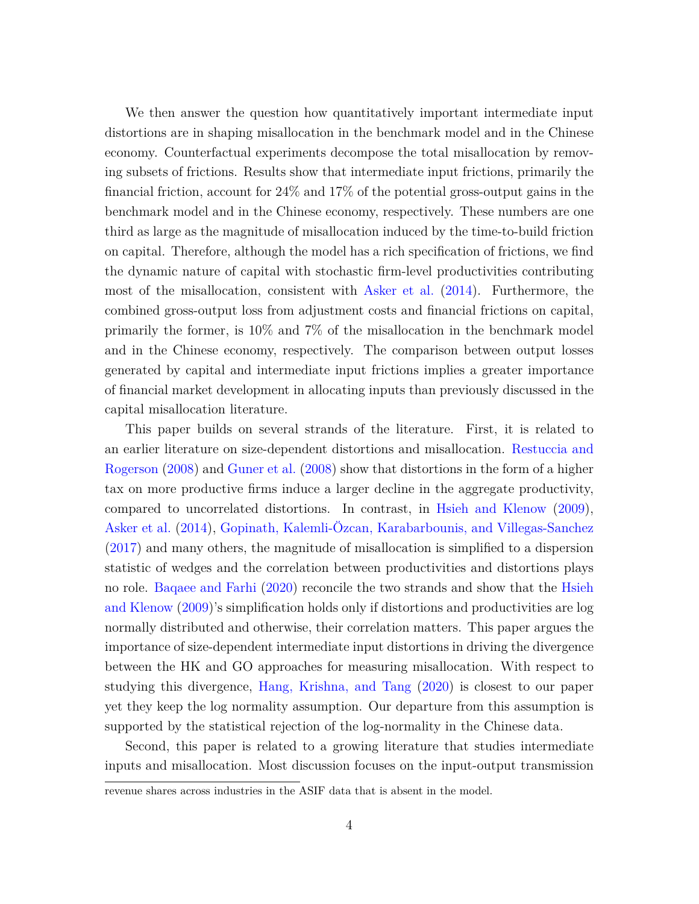We then answer the question how quantitatively important intermediate input distortions are in shaping misallocation in the benchmark model and in the Chinese economy. Counterfactual experiments decompose the total misallocation by removing subsets of frictions. Results show that intermediate input frictions, primarily the financial friction, account for 24% and 17% of the potential gross-output gains in the benchmark model and in the Chinese economy, respectively. These numbers are one third as large as the magnitude of misallocation induced by the time-to-build friction on capital. Therefore, although the model has a rich specification of frictions, we find the dynamic nature of capital with stochastic firm-level productivities contributing most of the misallocation, consistent with [Asker et al.](#page-49-3) [\(2014\)](#page-49-3). Furthermore, the combined gross-output loss from adjustment costs and financial frictions on capital, primarily the former, is 10% and 7% of the misallocation in the benchmark model and in the Chinese economy, respectively. The comparison between output losses generated by capital and intermediate input frictions implies a greater importance of financial market development in allocating inputs than previously discussed in the capital misallocation literature.

This paper builds on several strands of the literature. First, it is related to an earlier literature on size-dependent distortions and misallocation. [Restuccia and](#page-52-0) [Rogerson](#page-52-0) [\(2008\)](#page-52-0) and [Guner et al.](#page-51-2) [\(2008\)](#page-51-2) show that distortions in the form of a higher tax on more productive firms induce a larger decline in the aggregate productivity, compared to uncorrelated distortions. In contrast, in [Hsieh and Klenow](#page-51-0) ([2009](#page-51-0)), [Asker et al.](#page-49-3) [\(2014\)](#page-49-3), [Gopinath, Kalemli-Özcan, Karabarbounis, and Villegas-Sanchez](#page-51-4) [\(2017\)](#page-51-4) and many others, the magnitude of misallocation is simplified to a dispersion statistic of wedges and the correlation between productivities and distortions plays no role. [Baqaee and Farhi](#page-49-5) [\(2020](#page-49-5)) reconcile the two strands and show that the [Hsieh](#page-51-0) [and Klenow](#page-51-0) [\(2009\)](#page-51-0)'s simplification holds only if distortions and productivities are log normally distributed and otherwise, their correlation matters. This paper argues the importance of size-dependent intermediate input distortions in driving the divergence between the HK and GO approaches for measuring misallocation. With respect to studying this divergence, [Hang, Krishna, and Tang](#page-51-5) ([2020](#page-51-5)) is closest to our paper yet they keep the log normality assumption. Our departure from this assumption is supported by the statistical rejection of the log-normality in the Chinese data.

Second, this paper is related to a growing literature that studies intermediate inputs and misallocation. Most discussion focuses on the input-output transmission

revenue shares across industries in the ASIF data that is absent in the model.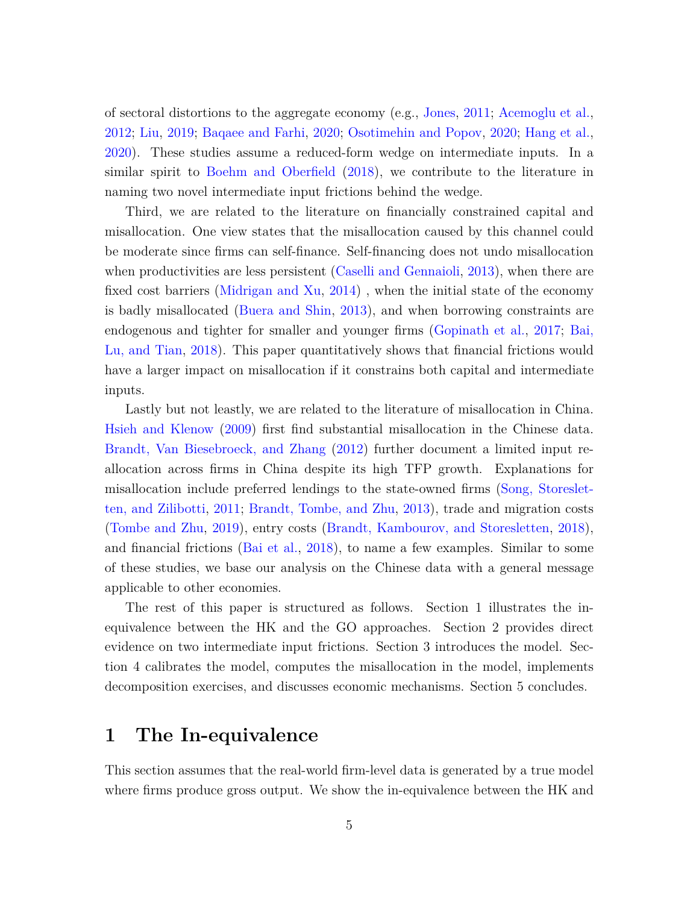of sectoral distortions to the aggregate economy (e.g., [Jones](#page-51-1), [2011;](#page-51-1) [Acemoglu et al.,](#page-49-0) [2012](#page-49-0); [Liu](#page-51-6), [2019](#page-51-6); [Baqaee and Farhi](#page-49-5), [2020;](#page-49-5) [Osotimehin and Popov](#page-52-5), [2020;](#page-52-5) [Hang et al.,](#page-51-5) [2020](#page-51-5)). These studies assume a reduced-form wedge on intermediate inputs. In a similar spirit to [Boehm and Oberfield](#page-49-1) [\(2018\)](#page-49-1), we contribute to the literature in naming two novel intermediate input frictions behind the wedge.

Third, we are related to the literature on financially constrained capital and misallocation. One view states that the misallocation caused by this channel could be moderate since firms can self-finance. Self-financing does not undo misallocation when productivities are less persistent [\(Caselli and Gennaioli,](#page-50-2) [2013](#page-50-2)), when there are fixed cost barriers [\(Midrigan and Xu](#page-52-4), [2014\)](#page-52-4) , when the initial state of the economy is badly misallocated [\(Buera and Shin](#page-50-3), [2013\)](#page-50-3), and when borrowing constraints are endogenous and tighter for smaller and younger firms [\(Gopinath et al.,](#page-51-4) [2017](#page-51-4); [Bai,](#page-49-6) [Lu, and Tian,](#page-49-6) [2018](#page-49-6)). This paper quantitatively shows that financial frictions would have a larger impact on misallocation if it constrains both capital and intermediate inputs.

Lastly but not leastly, we are related to the literature of misallocation in China. [Hsieh and Klenow](#page-51-0) ([2009](#page-51-0)) first find substantial misallocation in the Chinese data. [Brandt, Van Biesebroeck, and Zhang](#page-50-4) ([2012](#page-50-4)) further document a limited input reallocation across firms in China despite its high TFP growth. Explanations for misallocation include preferred lendings to the state-owned firms [\(Song, Storeslet](#page-52-6)[ten, and Zilibotti](#page-52-6), [2011;](#page-52-6) [Brandt, Tombe, and Zhu](#page-50-5), [2013\)](#page-50-5), trade and migration costs [\(Tombe and Zhu](#page-53-0), [2019](#page-53-0)), entry costs [\(Brandt, Kambourov, and Storesletten](#page-50-6), [2018](#page-50-6)), and financial frictions ([Bai et al.,](#page-49-6) [2018](#page-49-6)), to name a few examples. Similar to some of these studies, we base our analysis on the Chinese data with a general message applicable to other economies.

The rest of this paper is structured as follows. Section 1 illustrates the inequivalence between the HK and the GO approaches. Section 2 provides direct evidence on two intermediate input frictions. Section 3 introduces the model. Section 4 calibrates the model, computes the misallocation in the model, implements decomposition exercises, and discusses economic mechanisms. Section 5 concludes.

# **1 The In-equivalence**

This section assumes that the real-world firm-level data is generated by a true model where firms produce gross output. We show the in-equivalence between the HK and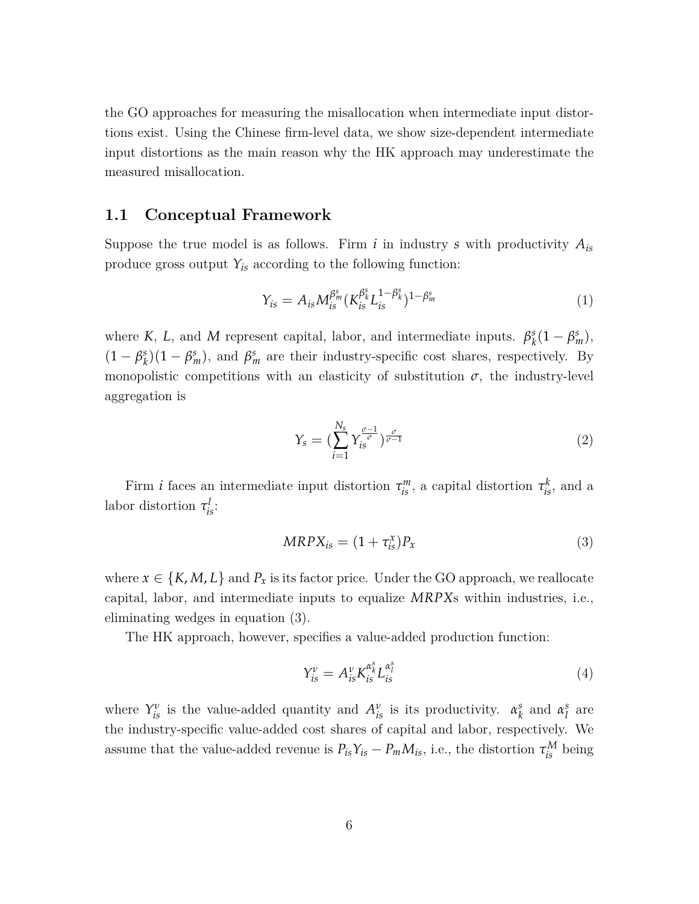the GO approaches for measuring the misallocation when intermediate input distortions exist. Using the Chinese firm-level data, we show size-dependent intermediate input distortions as the main reason why the HK approach may underestimate the measured misallocation.

#### **1.1 Conceptual Framework**

Suppose the true model is as follows. Firm  $i$  in industry  $s$  with productivity  $A_{is}$ produce gross output  $Y_{is}$  according to the following function:

<span id="page-6-2"></span>
$$
Y_{is} = A_{is} M_{is}^{\beta_m^s} (K_{is}^{\beta_s^s} L_{is}^{1-\beta_s^s})^{1-\beta_m^s}
$$
(1)

where *K*, *L*, and *M* represent capital, labor, and intermediate inputs.  $\beta_k^s$  $\frac{s}{k}(1-\beta_m^s),$  $(1 - \beta_k^s)$  $g_k^s$  $(1 - \beta_m^s)$ , and  $\beta_m^s$  are their industry-specific cost shares, respectively. By monopolistic competitions with an elasticity of substitution  $\sigma$ , the industry-level aggregation is

<span id="page-6-3"></span>
$$
Y_s = \left(\sum_{i=1}^{N_s} Y_{is}^{\frac{\sigma-1}{\sigma}}\right)_{\sigma-1}^{\frac{\sigma}{\sigma-1}}
$$
\n
$$
\tag{2}
$$

Firm *i* faces an intermediate input distortion  $\tau_{is}^m$ , a capital distortion  $\tau_{is}^k$ , and a labor distortion  $\tau_{is}^l$ :

<span id="page-6-0"></span>
$$
MRPX_{is} = (1 + \tau_{is}^x)P_x \tag{3}
$$

where  $x \in \{K, M, L\}$  and  $P_x$  is its factor price. Under the GO approach, we reallocate capital, labor, and intermediate inputs to equalize *MRPX*s within industries, i.e., eliminating wedges in equation [\(3](#page-6-0)).

The HK approach, however, specifies a value-added production function:

<span id="page-6-1"></span>
$$
Y_{is}^{\nu} = A_{is}^{\nu} K_{is}^{\alpha_{k}^{s}} L_{is}^{\alpha_{l}^{s}} \tag{4}
$$

where  $Y_{is}^{\nu}$  is the value-added quantity and  $A_{is}^{\nu}$  is its productivity.  $\alpha_{k}^{s}$  $\alpha_l^s$  and  $\alpha_l^s$ *l* are the industry-specific value-added cost shares of capital and labor, respectively. We assume that the value-added revenue is  $P_{is}Y_{is} - P_mM_{is}$ , i.e., the distortion  $\tau_{is}^M$  being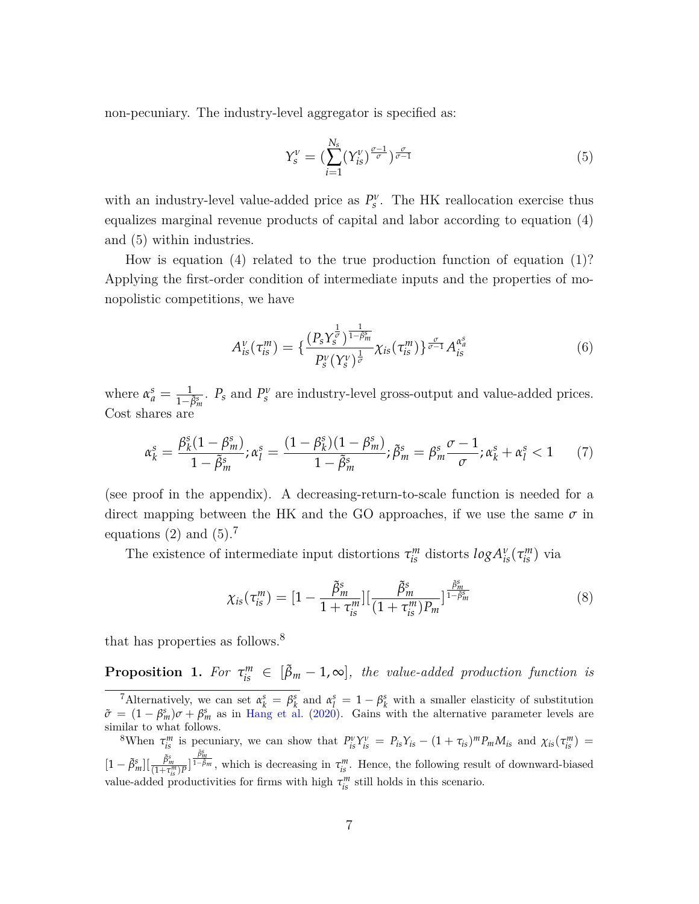non-pecuniary. The industry-level aggregator is specified as:

<span id="page-7-0"></span>
$$
Y_s^{\nu} = \left(\sum_{i=1}^{N_s} (Y_{is}^{\nu})^{\frac{\sigma-1}{\sigma}}\right)^{\frac{\sigma}{\sigma-1}}
$$
\n
$$
\tag{5}
$$

with an industry-level value-added price as  $P_s^{\nu}$ . The HK reallocation exercise thus equalizes marginal revenue products of capital and labor according to equation ([4\)](#page-6-1) and [\(5\)](#page-7-0) within industries.

How is equation ([4](#page-6-1)) related to the true production function of equation [\(1](#page-6-2))? Applying the first-order condition of intermediate inputs and the properties of monopolistic competitions, we have

$$
A_{is}^{\nu}(\tau_{is}^{m}) = \left\{ \frac{\left(P_{s} Y_{s}^{\frac{1}{\sigma}}\right)^{\frac{1}{1-\tilde{\beta}_{m}^{s}}}}{P_{s}^{\nu} (Y_{s}^{\nu})^{\frac{1}{\sigma}} \lambda_{is}(\tau_{is}^{m}) \right\}^{\frac{\sigma}{\sigma-1}} A_{is}^{\alpha_{a}^{s}} \tag{6}
$$

where  $\alpha_a^s = \frac{1}{1-\tilde{\beta}_m^s}$ .  $P_s$  and  $P_s^{\nu}$  are industry-level gross-output and value-added prices. Cost shares are

$$
\alpha_k^s = \frac{\beta_k^s (1 - \beta_m^s)}{1 - \tilde{\beta}_m^s}; \alpha_l^s = \frac{(1 - \beta_k^s)(1 - \beta_m^s)}{1 - \tilde{\beta}_m^s}; \tilde{\beta}_m^s = \beta_m^s \frac{\sigma - 1}{\sigma}; \alpha_k^s + \alpha_l^s < 1 \tag{7}
$$

(see proof in the appendix). A decreasing-return-to-scale function is needed for a direct mapping between the HK and the GO approaches, if we use the same  $\sigma$  in equations ([2\)](#page-6-3) and  $(5)$  $(5)$ .<sup>[7](#page-7-1)</sup>

The existence of intermediate input distortions  $\tau_{is}^{m}$  distorts  $log A_{is}^{v}(\tau_{is}^{m})$  via

$$
\chi_{is}(\tau_{is}^m) = [1 - \frac{\tilde{\beta}_m^s}{1 + \tau_{is}^m}][\frac{\tilde{\beta}_m^s}{(1 + \tau_{is}^m)P_m}]^{\frac{\tilde{\beta}_m^s}{1 - \tilde{\beta}_m^s}}
$$
(8)

that has properties as follows.[8](#page-7-2)

<span id="page-7-3"></span>**Proposition 1.** For  $\tau_{is}^m \in [\tilde{\beta}_m - 1, \infty]$ , the value-added production function is

<span id="page-7-1"></span><sup>&</sup>lt;sup>7</sup>Alternatively, we can set  $\alpha_k^s = \beta_k^s$  and  $\alpha_l^s = 1 - \beta_k^s$  with a smaller elasticity of substitution  $\tilde{\sigma} = (1 - \beta_m^s)\sigma + \beta_m^s$  as in [Hang et al.](#page-51-5) [\(2020](#page-51-5)). Gains with the alternative parameter levels are similar to what follows.

<span id="page-7-2"></span><sup>&</sup>lt;sup>8</sup>When  $\tau_{is}^m$  is pecuniary, we can show that  $P_{is}^{\nu}Y_{is}^{\nu} = P_{is}Y_{is} - (1 + \tau_{is})^m P_m M_{is}$  and  $\chi_{is}(\tau_{is}^m) =$  $[1-\tilde{\beta}_m^s][\frac{\tilde{\beta}_m^s}{(1+\tau^m_{is})P}]$  $\frac{\tilde{\beta}^s_m}{1-\tilde{\beta}_m}$ , which is decreasing in  $\tau^m_{is}$ . Hence, the following result of downward-biased value-added productivities for firms with high  $\tau_{is}^m$  still holds in this scenario.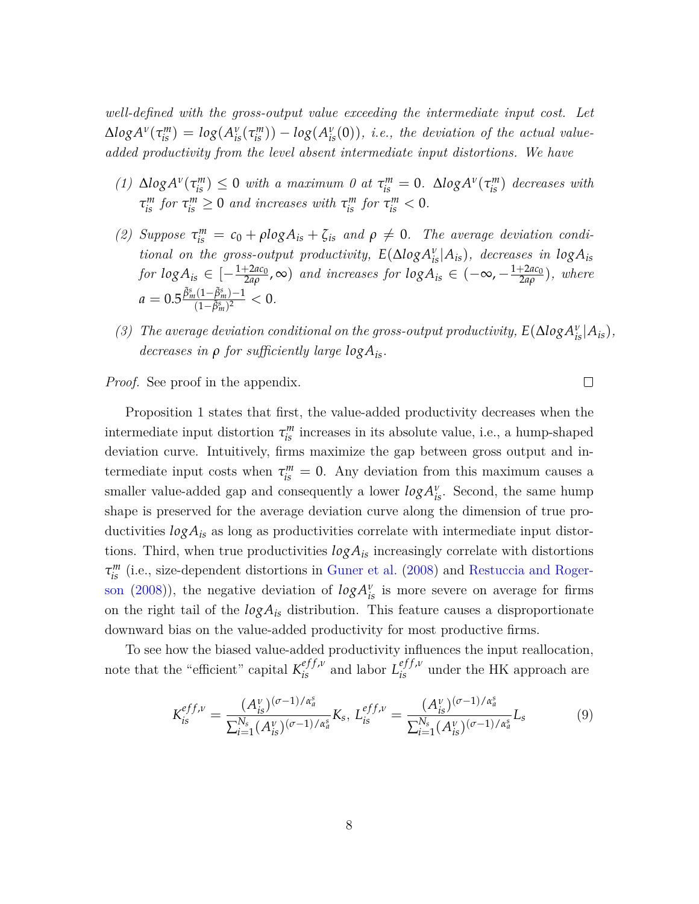*well-defined with the gross-output value exceeding the intermediate input cost. Let*  $\Delta log A^{\nu}(\tau_{is}^{m}) = log(A_{is}^{\nu}(\tau_{is}^{m})) - log(A_{is}^{\nu}(0)),$  i.e., the deviation of the actual value*added productivity from the level absent intermediate input distortions. We have*

- *(1)*  $\Delta log A^{\nu}(\tau_{is}^{m}) \leq 0$  *with a maximum 0 at*  $\tau_{is}^{m} = 0$ *.*  $\Delta log A^{\nu}(\tau_{is}^{m})$  decreases with  $\tau_{is}^m$  *for*  $\tau_{is}^m \geq 0$  *and increases with*  $\tau_{is}^m$  *for*  $\tau_{is}^m < 0$ .
- *(2) Suppose*  $\tau_{is}^{m} = c_0 + \rho \log A_{is} + \zeta_{is}$  *and*  $\rho \neq 0$ *. The average deviation conditional on the gross-output productivity,*  $E(\Delta log A_{is}^v | A_{is})$ *, decreases in*  $log A_{is}$ *for*  $log A_{is} \in \left[-\frac{1+2ac_0}{2a\rho}\right]$ 2*aρ* , ∞) *and increases for logAis ∈* (*−*∞, *−* 1+2*ac*<sup>0</sup> 2*aρ* )*, where*  $a = 0.5 \frac{\tilde{\beta}_m^s (1 - \tilde{\beta}_m^s) - 1}{(1 - \tilde{\beta}_m^s)^2}$  $\frac{(\mu(1-p_m^s)-1}{(1-\tilde{\beta}_m^s)^2} < 0.$
- *(3) The average deviation conditional on the gross-output productivity,*  $E(\Delta log A_{is}^{\nu}|A_{is})$ *, decreases in ρ for sufficiently large logAis.*

<span id="page-8-0"></span> $\Box$ 

*Proof.* See proof in the appendix.

Proposition [1](#page-7-3) states that first, the value-added productivity decreases when the intermediate input distortion  $\tau_{is}^m$  increases in its absolute value, i.e., a hump-shaped deviation curve. Intuitively, firms maximize the gap between gross output and intermediate input costs when  $\tau_{is}^m = 0$ . Any deviation from this maximum causes a smaller value-added gap and consequently a lower  $log A_{is}^{\nu}$ . Second, the same hump shape is preserved for the average deviation curve along the dimension of true productivities *logAis* as long as productivities correlate with intermediate input distortions. Third, when true productivities *logAis* increasingly correlate with distortions  $\tau_{is}^m$  (i.e., size-dependent distortions in [Guner et al.](#page-51-2) [\(2008\)](#page-51-2) and [Restuccia and Roger](#page-52-0)[son](#page-52-0) ([2008](#page-52-0))), the negative deviation of  $log A^{\nu}_{is}$  is more severe on average for firms on the right tail of the *logAis* distribution. This feature causes a disproportionate downward bias on the value-added productivity for most productive firms.

To see how the biased value-added productivity influences the input reallocation, note that the "efficient" capital  $K_{is}^{eff,\nu}$  and labor  $L_{is}^{eff,\nu}$  under the HK approach are

$$
K_{is}^{eff,\nu} = \frac{(A_{is}^{\nu})^{(\sigma-1)/\alpha_a^s}}{\sum_{i=1}^{N_s} (A_{is}^{\nu})^{(\sigma-1)/\alpha_a^s}} K_s, \ L_{is}^{eff,\nu} = \frac{(A_{is}^{\nu})^{(\sigma-1)/\alpha_a^s}}{\sum_{i=1}^{N_s} (A_{is}^{\nu})^{(\sigma-1)/\alpha_a^s}} L_s
$$
(9)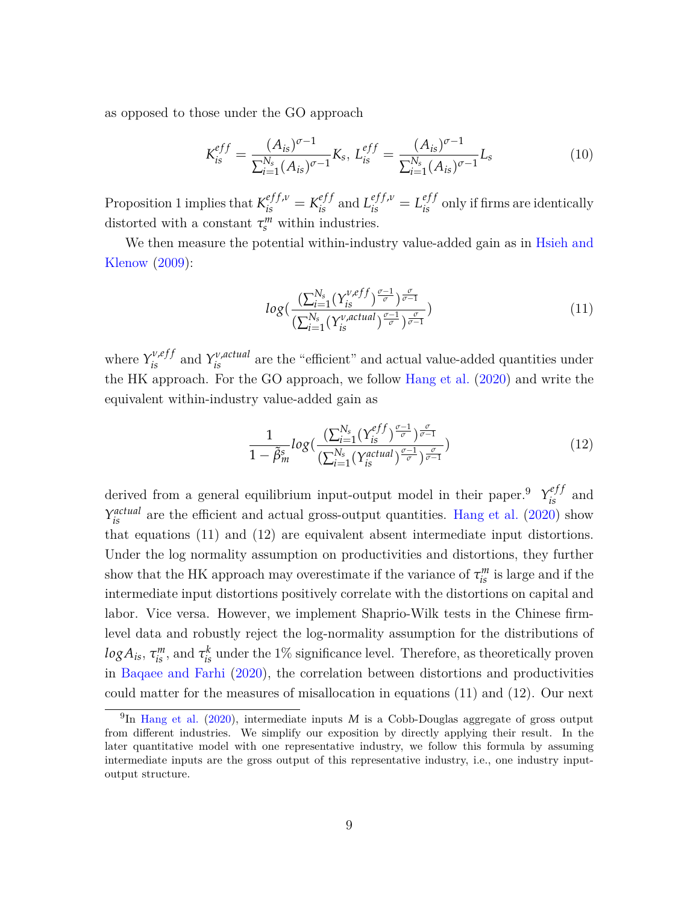as opposed to those under the GO approach

$$
K_{is}^{eff} = \frac{(A_{is})^{\sigma - 1}}{\sum_{i=1}^{N_s} (A_{is})^{\sigma - 1}} K_s, \ L_{is}^{eff} = \frac{(A_{is})^{\sigma - 1}}{\sum_{i=1}^{N_s} (A_{is})^{\sigma - 1}} L_s
$$
(10)

Proposition [1](#page-7-3) implies that  $K_{is}^{eff,\nu} = K_{is}^{eff}$  and  $L_{is}^{eff,\nu} = L_{is}^{eff}$  only if firms are identically distorted with a constant  $\tau_s^m$  within industries.

We then measure the potential within-industry value-added gain as in [Hsieh and](#page-51-0) [Klenow](#page-51-0) [\(2009\)](#page-51-0):

<span id="page-9-1"></span>
$$
log\left(\frac{\left(\sum_{i=1}^{N_s} (Y_{is}^{\nu, eff})^{\frac{\sigma-1}{\sigma}}\right)_{\sigma-1}^{\frac{\sigma}{\sigma-1}}}{\left(\sum_{i=1}^{N_s} (Y_{is}^{\nu, actual})^{\frac{\sigma-1}{\sigma}}\right)_{\sigma-1}^{\frac{\sigma}{\sigma-1}}}\right)
$$
\n(11)

where  $Y_{is}^{\nu,eff}$  and  $Y_{is}^{\nu,actual}$  are the "efficient" and actual value-added quantities under the HK approach. For the GO approach, we follow [Hang et al.](#page-51-5) ([2020](#page-51-5)) and write the equivalent within-industry value-added gain as

<span id="page-9-2"></span>
$$
\frac{1}{1-\tilde{\beta}_m^s} log\left(\frac{\left(\sum_{i=1}^{N_s} (\gamma_{is}^{eff})^{\frac{\sigma-1}{\sigma}}\right)_{\sigma-1}^{\frac{\sigma}{\sigma-1}}}{\left(\sum_{i=1}^{N_s} (\gamma_{is}^{actual})^{\frac{\sigma-1}{\sigma}}\right)_{\sigma-1}^{\frac{\sigma}{\sigma-1}}}\right)
$$
(12)

derived from a general equilibrium input-output model in their paper.<sup>[9](#page-9-0)</sup>  $\gamma_{is}^{eff}$  and  $Y_{is}^{actual}$  are the efficient and actual gross-output quantities. [Hang et al.](#page-51-5) [\(2020](#page-51-5)) show that equations [\(11\)](#page-9-1) and ([12](#page-9-2)) are equivalent absent intermediate input distortions. Under the log normality assumption on productivities and distortions, they further show that the HK approach may overestimate if the variance of  $\tau_{is}^m$  is large and if the intermediate input distortions positively correlate with the distortions on capital and labor. Vice versa. However, we implement Shaprio-Wilk tests in the Chinese firmlevel data and robustly reject the log-normality assumption for the distributions of  $log A_{is}$ ,  $\tau_{is}^m$ , and  $\tau_{is}^k$  under the 1% significance level. Therefore, as theoretically proven in [Baqaee and Farhi](#page-49-5) [\(2020\)](#page-49-5), the correlation between distortions and productivities could matter for the measures of misallocation in equations [\(11](#page-9-1)) and [\(12](#page-9-2)). Our next

<span id="page-9-0"></span><sup>&</sup>lt;sup>9</sup>In [Hang et al.](#page-51-5) ([2020\)](#page-51-5), intermediate inputs *M* is a Cobb-Douglas aggregate of gross output from different industries. We simplify our exposition by directly applying their result. In the later quantitative model with one representative industry, we follow this formula by assuming intermediate inputs are the gross output of this representative industry, i.e., one industry inputoutput structure.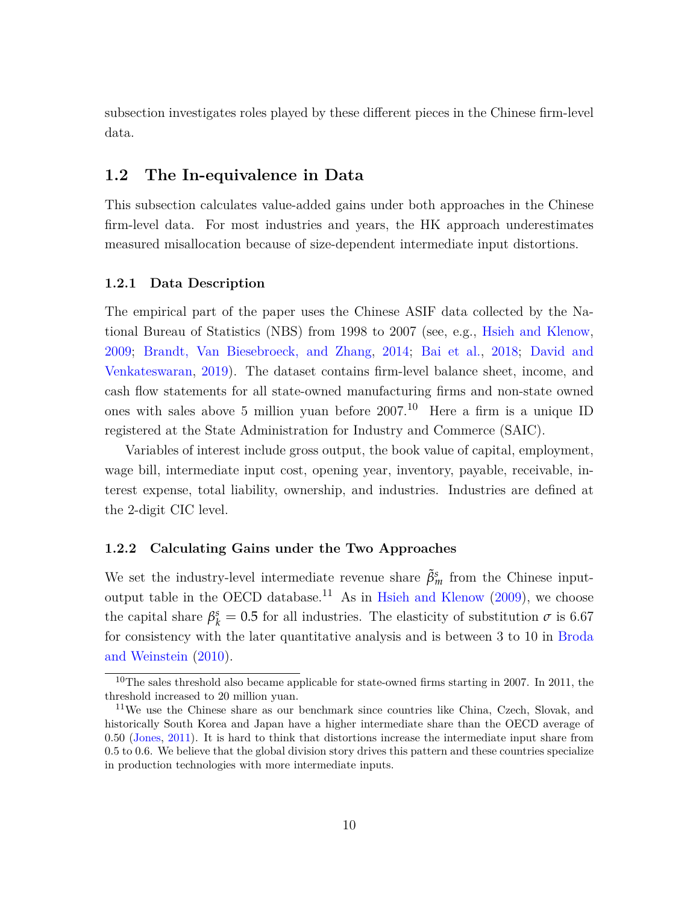subsection investigates roles played by these different pieces in the Chinese firm-level data.

#### **1.2 The In-equivalence in Data**

This subsection calculates value-added gains under both approaches in the Chinese firm-level data. For most industries and years, the HK approach underestimates measured misallocation because of size-dependent intermediate input distortions.

#### **1.2.1 Data Description**

The empirical part of the paper uses the Chinese ASIF data collected by the National Bureau of Statistics (NBS) from 1998 to 2007 (see, e.g., [Hsieh and Klenow,](#page-51-0) [2009](#page-51-0); [Brandt, Van Biesebroeck, and Zhang,](#page-50-7) [2014;](#page-50-7) [Bai et al.](#page-49-6), [2018](#page-49-6); [David and](#page-50-8) [Venkateswaran,](#page-50-8) [2019\)](#page-50-8). The dataset contains firm-level balance sheet, income, and cash flow statements for all state-owned manufacturing firms and non-state owned ones with sales above 5 million yuan before 2007.[10](#page-10-0) Here a firm is a unique ID registered at the State Administration for Industry and Commerce (SAIC).

Variables of interest include gross output, the book value of capital, employment, wage bill, intermediate input cost, opening year, inventory, payable, receivable, interest expense, total liability, ownership, and industries. Industries are defined at the 2-digit CIC level.

#### **1.2.2 Calculating Gains under the Two Approaches**

We set the industry-level intermediate revenue share  $\tilde{\beta}^s_m$  from the Chinese input-output table in the OECD database.<sup>[11](#page-10-1)</sup> As in [Hsieh and Klenow](#page-51-0)  $(2009)$  $(2009)$ , we choose the capital share  $\beta_k^s = 0.5$  for all industries. The elasticity of substitution  $\sigma$  is 6.67 for consistency with the later quantitative analysis and is between 3 to 10 in [Broda](#page-50-9) [and Weinstein](#page-50-9) [\(2010\)](#page-50-9).

<span id="page-10-0"></span> $10$ The sales threshold also became applicable for state-owned firms starting in 2007. In 2011, the threshold increased to 20 million yuan.

<span id="page-10-1"></span><sup>11</sup>We use the Chinese share as our benchmark since countries like China, Czech, Slovak, and historically South Korea and Japan have a higher intermediate share than the OECD average of 0.50 ([Jones,](#page-51-1) [2011](#page-51-1)). It is hard to think that distortions increase the intermediate input share from 0.5 to 0.6. We believe that the global division story drives this pattern and these countries specialize in production technologies with more intermediate inputs.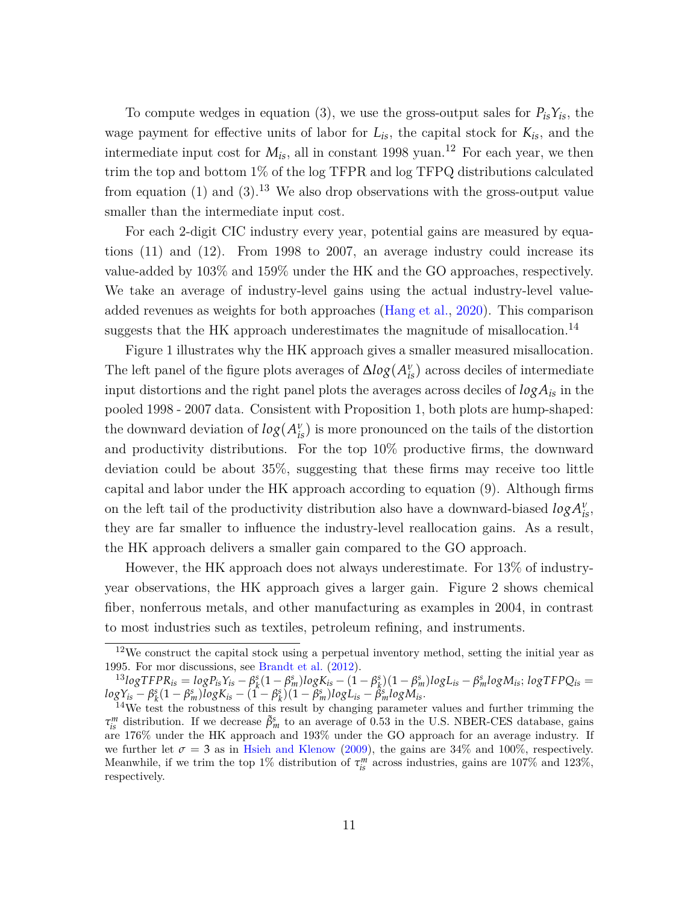To compute wedges in equation [\(3](#page-6-0)), we use the gross-output sales for  $P_{is}Y_{is}$ , the wage payment for effective units of labor for  $L_{is}$ , the capital stock for  $K_{is}$ , and the intermediate input cost for  $M_{is}$ , all in constant 1998 yuan.<sup>[12](#page-11-0)</sup> For each year, we then trim the top and bottom 1% of the log TFPR and log TFPQ distributions calculated from equation ([1\)](#page-6-2) and [\(3](#page-6-0)).<sup>[13](#page-11-1)</sup> We also drop observations with the gross-output value smaller than the intermediate input cost.

For each 2-digit CIC industry every year, potential gains are measured by equations ([11\)](#page-9-1) and ([12\)](#page-9-2). From 1998 to 2007, an average industry could increase its value-added by 103% and 159% under the HK and the GO approaches, respectively. We take an average of industry-level gains using the actual industry-level valueadded revenues as weights for both approaches ([Hang et al.,](#page-51-5) [2020](#page-51-5)). This comparison suggests that the HK approach underestimates the magnitude of misallocation.<sup>[14](#page-11-2)</sup>

Figure [1](#page-33-0) illustrates why the HK approach gives a smaller measured misallocation. The left panel of the figure plots averages of  $\Delta log(A_{is}^v)$  across deciles of intermediate input distortions and the right panel plots the averages across deciles of *logAis* in the pooled 1998 - 2007 data. Consistent with Proposition [1](#page-7-3), both plots are hump-shaped: the downward deviation of  $log(A_{is}^v)$  is more pronounced on the tails of the distortion and productivity distributions. For the top 10% productive firms, the downward deviation could be about 35%, suggesting that these firms may receive too little capital and labor under the HK approach according to equation ([9\)](#page-8-0). Although firms on the left tail of the productivity distribution also have a downward-biased  $log A^{\nu}_{is}$ , they are far smaller to influence the industry-level reallocation gains. As a result, the HK approach delivers a smaller gain compared to the GO approach.

However, the HK approach does not always underestimate. For 13% of industryyear observations, the HK approach gives a larger gain. Figure [2](#page-34-0) shows chemical fiber, nonferrous metals, and other manufacturing as examples in 2004, in contrast to most industries such as textiles, petroleum refining, and instruments.

<span id="page-11-0"></span> $12$ We construct the capital stock using a perpetual inventory method, setting the initial year as 1995. For mor discussions, see [Brandt et al.](#page-50-4) [\(2012](#page-50-4)).

<span id="page-11-1"></span> $^{13}logTFPR_{is} = logP_{is}Y_{is} - \beta_k^s(1-\beta_m^s)logK_{is} - (1-\beta_k^s)(1-\beta_m^s)logL_{is} - \beta_m^slogM_{is}; logTFPQ_{is} =$  $logY_{is} - \beta_k^s(1-\beta_m^s)logK_{is} - (1-\beta_k^s)(1-\beta_m^s)logL_{is} - \beta_m^slogM_{is}.$ 

<span id="page-11-2"></span><sup>&</sup>lt;sup>14</sup>We test the robustness of this result by changing parameter values and further trimming the  $\tau_{is}^m$  distribution. If we decrease  $\tilde{\beta}_m^s$  to an average of 0.53 in the U.S. NBER-CES database, gains are 176% under the HK approach and 193% under the GO approach for an average industry. If we further let  $\sigma = 3$  as in [Hsieh and Klenow](#page-51-0) [\(2009](#page-51-0)), the gains are 34% and 100%, respectively. Meanwhile, if we trim the top 1% distribution of  $\tau_{is}^{m}$  across industries, gains are 107% and 123%, respectively.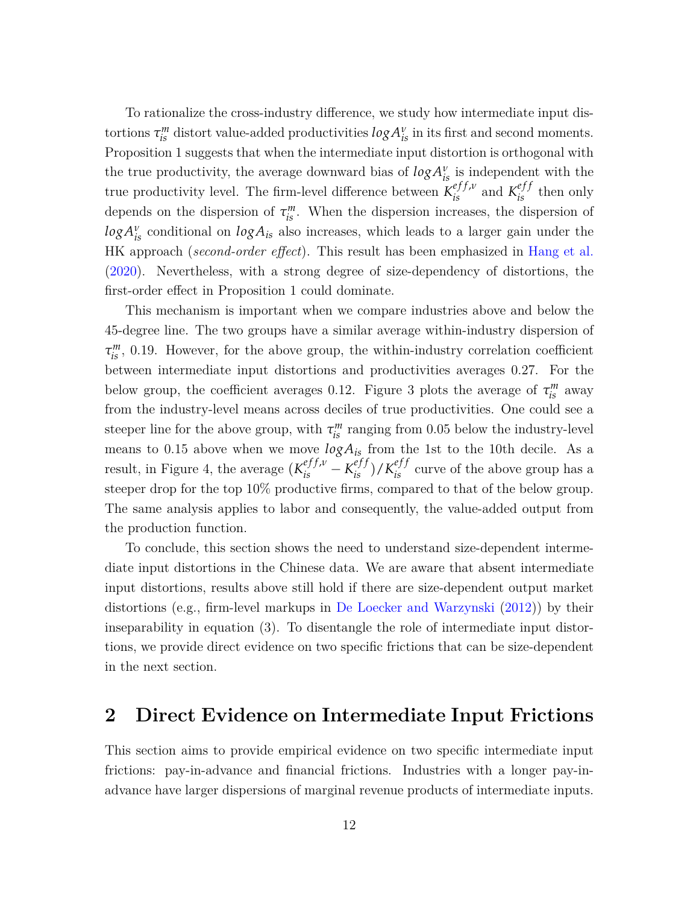To rationalize the cross-industry difference, we study how intermediate input distortions  $\tau_{is}^m$  distort value-added productivities  $log A_{is}^v$  in its first and second moments. Proposition [1](#page-7-3) suggests that when the intermediate input distortion is orthogonal with the true productivity, the average downward bias of  $log A^{\nu}_{is}$  is independent with the true productivity level. The firm-level difference between  $K_{is}^{eff,\nu}$  and  $K_{is}^{eff}$  then only depends on the dispersion of  $\tau_{is}^m$ . When the dispersion increases, the dispersion of  $log A_{is}^{\nu}$  conditional on  $log A_{is}$  also increases, which leads to a larger gain under the HK approach (*second-order effect*). This result has been emphasized in [Hang et al.](#page-51-5) [\(2020\)](#page-51-5). Nevertheless, with a strong degree of size-dependency of distortions, the first-order effect in Proposition [1](#page-7-3) could dominate.

This mechanism is important when we compare industries above and below the 45-degree line. The two groups have a similar average within-industry dispersion of  $\tau_{is}^m$ , 0.19. However, for the above group, the within-industry correlation coefficient between intermediate input distortions and productivities averages 0.27. For the below group, the coefficient averages 0.12. Figure [3](#page-35-0) plots the average of  $\tau_{is}^m$  away from the industry-level means across deciles of true productivities. One could see a steeper line for the above group, with  $\tau_{is}^{m}$  ranging from 0.05 below the industry-level means to 0.15 above when we move  $log A_{is}$  from the 1st to the 10th decile. As a result, in Figure [4,](#page-36-0) the average  $(K_{is}^{eff,\nu} - K_{is}^{eff})/K_{is}^{eff}$  curve of the above group has a steeper drop for the top 10% productive firms, compared to that of the below group. The same analysis applies to labor and consequently, the value-added output from the production function.

To conclude, this section shows the need to understand size-dependent intermediate input distortions in the Chinese data. We are aware that absent intermediate input distortions, results above still hold if there are size-dependent output market distortions (e.g., firm-level markups in [De Loecker and Warzynski](#page-50-10) [\(2012\)](#page-50-10)) by their inseparability in equation ([3](#page-6-0)). To disentangle the role of intermediate input distortions, we provide direct evidence on two specific frictions that can be size-dependent in the next section.

### **2 Direct Evidence on Intermediate Input Frictions**

This section aims to provide empirical evidence on two specific intermediate input frictions: pay-in-advance and financial frictions. Industries with a longer pay-inadvance have larger dispersions of marginal revenue products of intermediate inputs.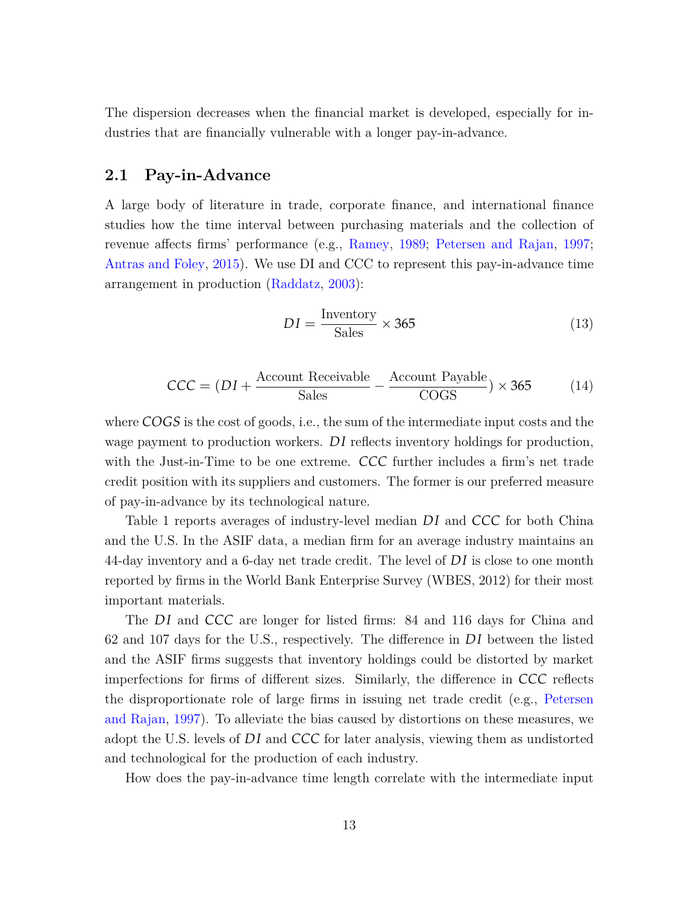The dispersion decreases when the financial market is developed, especially for industries that are financially vulnerable with a longer pay-in-advance.

#### **2.1 Pay-in-Advance**

A large body of literature in trade, corporate finance, and international finance studies how the time interval between purchasing materials and the collection of revenue affects firms' performance (e.g., [Ramey](#page-52-1), [1989](#page-52-1); [Petersen and Rajan](#page-52-7), [1997;](#page-52-7) [Antras and Foley,](#page-49-7) [2015\)](#page-49-7). We use DI and CCC to represent this pay-in-advance time arrangement in production [\(Raddatz,](#page-52-2) [2003](#page-52-2)):

<span id="page-13-1"></span><span id="page-13-0"></span>
$$
DI = \frac{\text{Inventory}}{\text{Sales}} \times 365\tag{13}
$$

$$
CCC = (DI + \frac{Account\text{ Receiver} \times 365}{Sales} - \frac{Account\text{ Payable}}{COGS}) \times 365 \tag{14}
$$

where *COGS* is the cost of goods, i.e., the sum of the intermediate input costs and the wage payment to production workers. *DI* reflects inventory holdings for production, with the Just-in-Time to be one extreme. *CCC* further includes a firm's net trade credit position with its suppliers and customers. The former is our preferred measure of pay-in-advance by its technological nature.

Table [1](#page-41-0) reports averages of industry-level median *DI* and *CCC* for both China and the U.S. In the ASIF data, a median firm for an average industry maintains an 44-day inventory and a 6-day net trade credit. The level of *D I* is close to one month reported by firms in the World Bank Enterprise Survey (WBES, 2012) for their most important materials.

The *DI* and *CCC* are longer for listed firms: 84 and 116 days for China and 62 and 107 days for the U.S., respectively. The difference in *D I* between the listed and the ASIF firms suggests that inventory holdings could be distorted by market imperfections for firms of different sizes. Similarly, the difference in *CCC* reflects the disproportionate role of large firms in issuing net trade credit (e.g., [Petersen](#page-52-7) [and Rajan](#page-52-7), [1997\)](#page-52-7). To alleviate the bias caused by distortions on these measures, we adopt the U.S. levels of *D I* and *CCC* for later analysis, viewing them as undistorted and technological for the production of each industry.

How does the pay-in-advance time length correlate with the intermediate input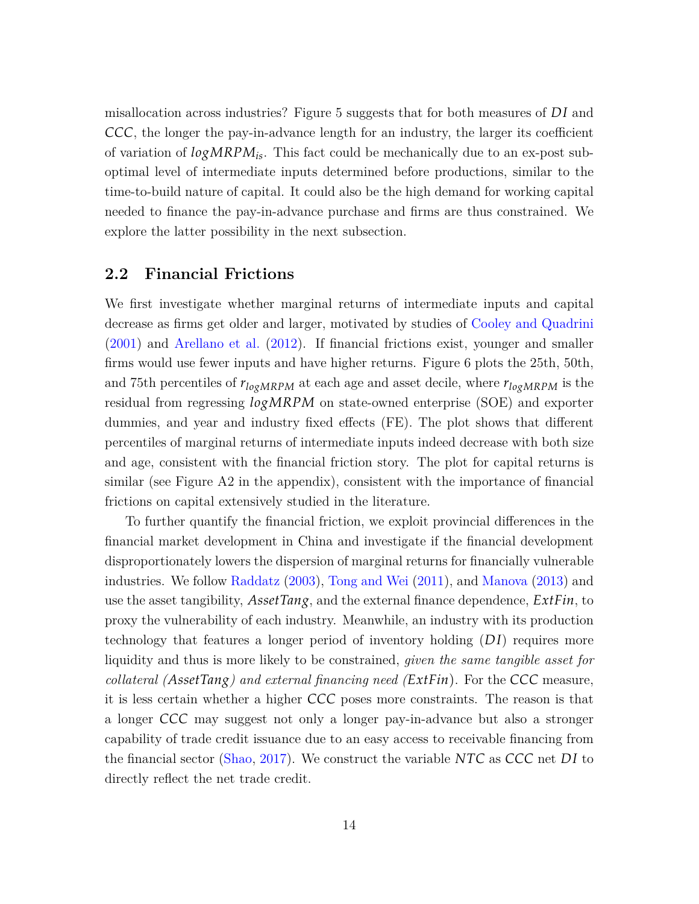misallocation across industries? Figure [5](#page-37-0) suggests that for both measures of *D I* and *CCC*, the longer the pay-in-advance length for an industry, the larger its coefficient of variation of *logMRPMis*. This fact could be mechanically due to an ex-post suboptimal level of intermediate inputs determined before productions, similar to the time-to-build nature of capital. It could also be the high demand for working capital needed to finance the pay-in-advance purchase and firms are thus constrained. We explore the latter possibility in the next subsection.

#### **2.2 Financial Frictions**

We first investigate whether marginal returns of intermediate inputs and capital decrease as firms get older and larger, motivated by studies of [Cooley and Quadrini](#page-50-1) [\(2001\)](#page-50-1) and [Arellano et al.](#page-49-4) [\(2012\)](#page-49-4). If financial frictions exist, younger and smaller firms would use fewer inputs and have higher returns. Figure [6](#page-38-0) plots the 25th, 50th, and 75th percentiles of *rlogMRPM* at each age and asset decile, where *rlogMRPM* is the residual from regressing *logMRPM* on state-owned enterprise (SOE) and exporter dummies, and year and industry fixed effects (FE). The plot shows that different percentiles of marginal returns of intermediate inputs indeed decrease with both size and age, consistent with the financial friction story. The plot for capital returns is similar (see Figure [A2](#page-60-0) in the appendix), consistent with the importance of financial frictions on capital extensively studied in the literature.

To further quantify the financial friction, we exploit provincial differences in the financial market development in China and investigate if the financial development disproportionately lowers the dispersion of marginal returns for financially vulnerable industries. We follow [Raddatz](#page-52-2) ([2003](#page-52-2)), [Tong and Wei](#page-53-1) ([2011](#page-53-1)), and [Manova](#page-51-7) [\(2013\)](#page-51-7) and use the asset tangibility, *AssetTang*, and the external finance dependence, *ExtFin*, to proxy the vulnerability of each industry. Meanwhile, an industry with its production technology that features a longer period of inventory holding (*D I*) requires more liquidity and thus is more likely to be constrained, *given the same tangible asset for collateral (AssetTang) and external financing need (ExtFin*). For the *CCC* measure, it is less certain whether a higher *CCC* poses more constraints. The reason is that a longer *CCC* may suggest not only a longer pay-in-advance but also a stronger capability of trade credit issuance due to an easy access to receivable financing from the financial sector [\(Shao,](#page-52-8) [2017](#page-52-8)). We construct the variable *NTC* as *CCC* net *D I* to directly reflect the net trade credit.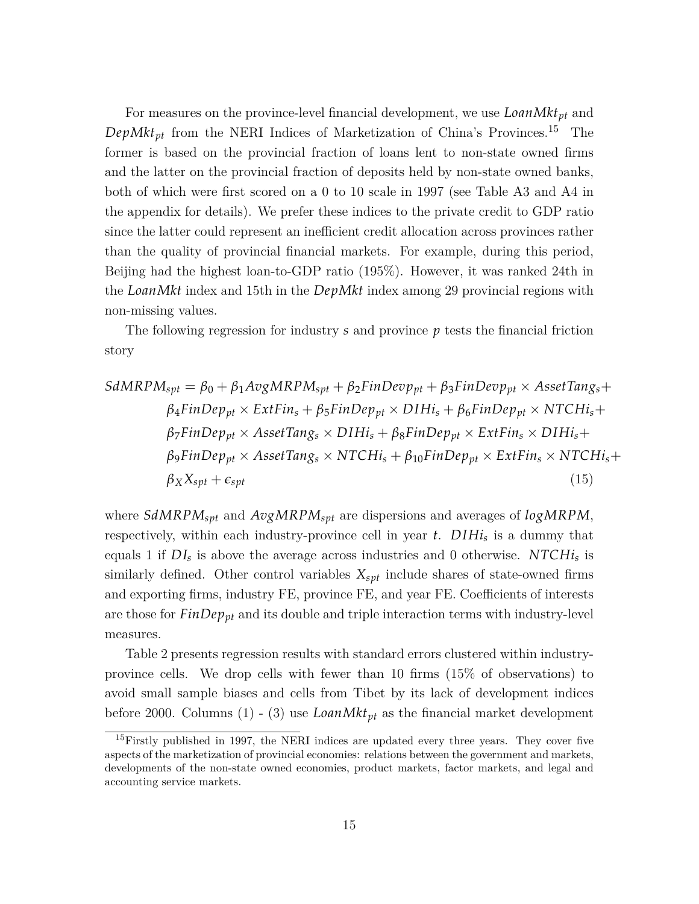For measures on the province-level financial development, we use *LoanMktpt* and  $DepMkt_{pt}$  from the NERI Indices of Marketization of China's Provinces.<sup>[15](#page-15-0)</sup> The former is based on the provincial fraction of loans lent to non-state owned firms and the latter on the provincial fraction of deposits held by non-state owned banks, both of which were first scored on a 0 to 10 scale in 1997 (see Table A3 and A4 in the appendix for details). We prefer these indices to the private credit to GDP ratio since the latter could represent an inefficient credit allocation across provinces rather than the quality of provincial financial markets. For example, during this period, Beijing had the highest loan-to-GDP ratio (195%). However, it was ranked 24th in the *LoanMkt* index and 15th in the *DepMkt* index among 29 provincial regions with non-missing values.

The following regression for industry *s* and province *p* tests the financial friction story

$$
SdMRPM_{spt} = \beta_0 + \beta_1 AvgMRPM_{spt} + \beta_2 FinDevp_{pt} + \beta_3 FinDevp_{pt} \times AssetTang_s +
$$
  
\n
$$
\beta_4 FinDep_{pt} \times ExtFin_s + \beta_5 FinDep_{pt} \times DIHi_s + \beta_6 FinDep_{pt} \times NTCHi_s +
$$
  
\n
$$
\beta_7 FinDep_{pt} \times AssetTang_s \times DIHi_s + \beta_8 FinDep_{pt} \times ExtFin_s \times DIHi_s +
$$
  
\n
$$
\beta_9FinDep_{pt} \times AssetTang_s \times NTCHi_s + \beta_{10}FinDep_{pt} \times ExtFin_s \times NTCHi_s +
$$
  
\n
$$
\beta_X X_{spt} + \epsilon_{spt}
$$
  
\n(15)

where *SdMRPMspt* and *AvgMRPMspt* are dispersions and averages of *logMRPM*, respectively, within each industry-province cell in year *t*.  $DIHi<sub>s</sub>$  is a dummy that equals 1 if  $DI_s$  is above the average across industries and 0 otherwise. *NTCHi<sub>s</sub>* is similarly defined. Other control variables *Xspt* include shares of state-owned firms and exporting firms, industry FE, province FE, and year FE. Coefficients of interests are those for *FinDeppt* and its double and triple interaction terms with industry-level measures.

Table [2](#page-42-0) presents regression results with standard errors clustered within industryprovince cells. We drop cells with fewer than 10 firms (15% of observations) to avoid small sample biases and cells from Tibet by its lack of development indices before 2000. Columns  $(1)$  -  $(3)$  use *LoanMkt*<sub>pt</sub> as the financial market development

<span id="page-15-0"></span><sup>15</sup>Firstly published in 1997, the NERI indices are updated every three years. They cover five aspects of the marketization of provincial economies: relations between the government and markets, developments of the non-state owned economies, product markets, factor markets, and legal and accounting service markets.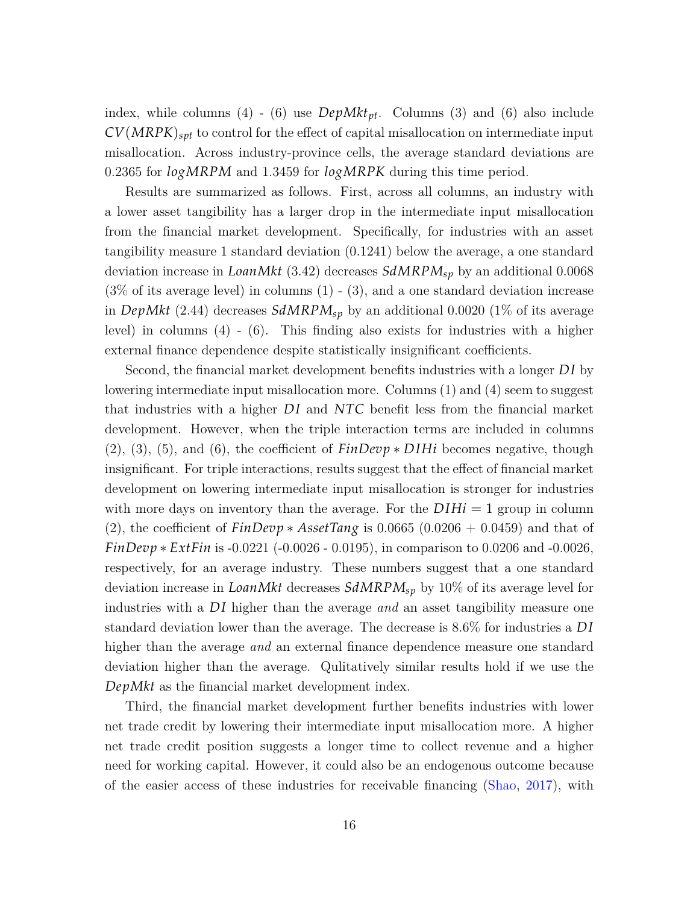index, while columns (4) - (6) use *DepMktpt*. Columns (3) and (6) also include *CV*(*MRPK*)*spt* to control for the effect of capital misallocation on intermediate input misallocation. Across industry-province cells, the average standard deviations are 0.2365 for *logMRPM* and 1.3459 for *logMRPK* during this time period.

Results are summarized as follows. First, across all columns, an industry with a lower asset tangibility has a larger drop in the intermediate input misallocation from the financial market development. Specifically, for industries with an asset tangibility measure 1 standard deviation (0.1241) below the average, a one standard deviation increase in *LoanMkt* (3.42) decreases *SdMRPMsp* by an additional 0.0068  $(3\% \text{ of its average level})$  in columns  $(1)$  -  $(3)$ , and a one standard deviation increase in *DepMkt* (2.44) decreases *SdMRPMsp* by an additional 0.0020 (1% of its average level) in columns (4) - (6). This finding also exists for industries with a higher external finance dependence despite statistically insignificant coefficients.

Second, the financial market development benefits industries with a longer *D I* by lowering intermediate input misallocation more. Columns (1) and (4) seem to suggest that industries with a higher *DI* and *NTC* benefit less from the financial market development. However, when the triple interaction terms are included in columns (2), (3), (5), and (6), the coefficient of *FinDevp ∗ D IHi* becomes negative, though insignificant. For triple interactions, results suggest that the effect of financial market development on lowering intermediate input misallocation is stronger for industries with more days on inventory than the average. For the  $DHi = 1$  group in column (2), the coefficient of *FinDevp ∗ AssetTang* is 0.0665 (0.0206 + 0.0459) and that of *FinDevp* ∗ *ExtFin* is -0.0221 (-0.0026 - 0.0195), in comparison to 0.0206 and -0.0026, respectively, for an average industry. These numbers suggest that a one standard deviation increase in *LoanMkt* decreases *SdMRPMsp* by 10% of its average level for industries with a *D I* higher than the average *and* an asset tangibility measure one standard deviation lower than the average. The decrease is 8.6% for industries a *D I* higher than the average *and* an external finance dependence measure one standard deviation higher than the average. Qulitatively similar results hold if we use the *DepMkt* as the financial market development index.

Third, the financial market development further benefits industries with lower net trade credit by lowering their intermediate input misallocation more. A higher net trade credit position suggests a longer time to collect revenue and a higher need for working capital. However, it could also be an endogenous outcome because of the easier access of these industries for receivable financing ([Shao](#page-52-8), [2017](#page-52-8)), with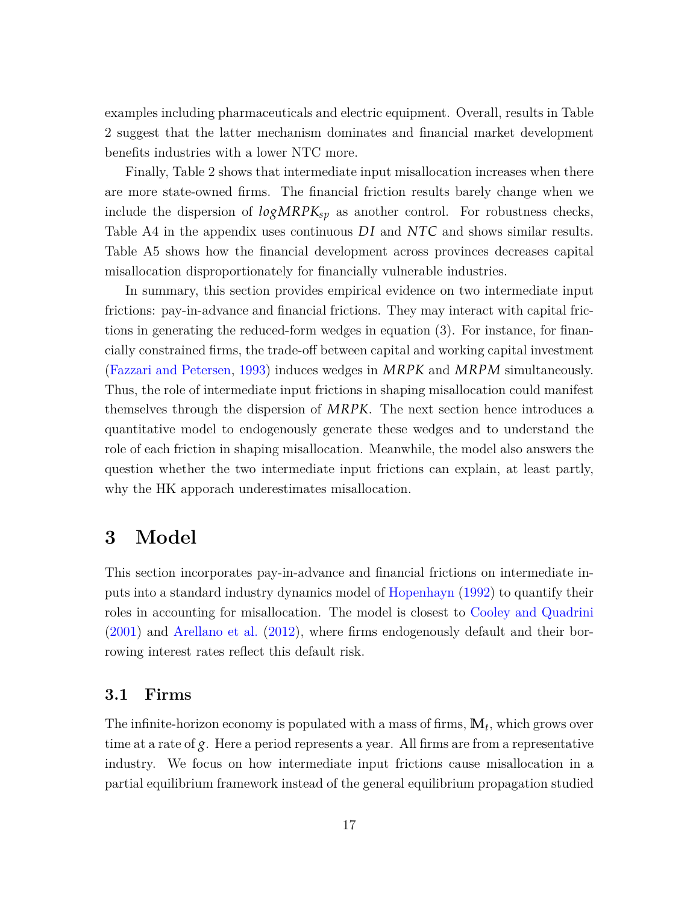examples including pharmaceuticals and electric equipment. Overall, results in Table [2](#page-42-0) suggest that the latter mechanism dominates and financial market development benefits industries with a lower NTC more.

Finally, Table [2](#page-42-0) shows that intermediate input misallocation increases when there are more state-owned firms. The financial friction results barely change when we include the dispersion of  $logMRPK_{sp}$  as another control. For robustness checks, Table [A4](#page-64-0) in the appendix uses continuous *DI* and *NTC* and shows similar results. Table [A5](#page-65-0) shows how the financial development across provinces decreases capital misallocation disproportionately for financially vulnerable industries.

In summary, this section provides empirical evidence on two intermediate input frictions: pay-in-advance and financial frictions. They may interact with capital frictions in generating the reduced-form wedges in equation (3). For instance, for financially constrained firms, the trade-off between capital and working capital investment [\(Fazzari and Petersen,](#page-51-8) [1993\)](#page-51-8) induces wedges in *MRPK* and *MRPM* simultaneously. Thus, the role of intermediate input frictions in shaping misallocation could manifest themselves through the dispersion of *MRPK*. The next section hence introduces a quantitative model to endogenously generate these wedges and to understand the role of each friction in shaping misallocation. Meanwhile, the model also answers the question whether the two intermediate input frictions can explain, at least partly, why the HK apporach underestimates misallocation.

### **3 Model**

This section incorporates pay-in-advance and financial frictions on intermediate inputs into a standard industry dynamics model of [Hopenhayn](#page-51-3) [\(1992\)](#page-51-3) to quantify their roles in accounting for misallocation. The model is closest to [Cooley and Quadrini](#page-50-1) [\(2001\)](#page-50-1) and [Arellano et al.](#page-49-4) [\(2012\)](#page-49-4), where firms endogenously default and their borrowing interest rates reflect this default risk.

#### **3.1 Firms**

The infinite-horizon economy is populated with a mass of firms, **M***<sup>t</sup>* , which grows over time at a rate of *g*. Here a period represents a year. All firms are from a representative industry. We focus on how intermediate input frictions cause misallocation in a partial equilibrium framework instead of the general equilibrium propagation studied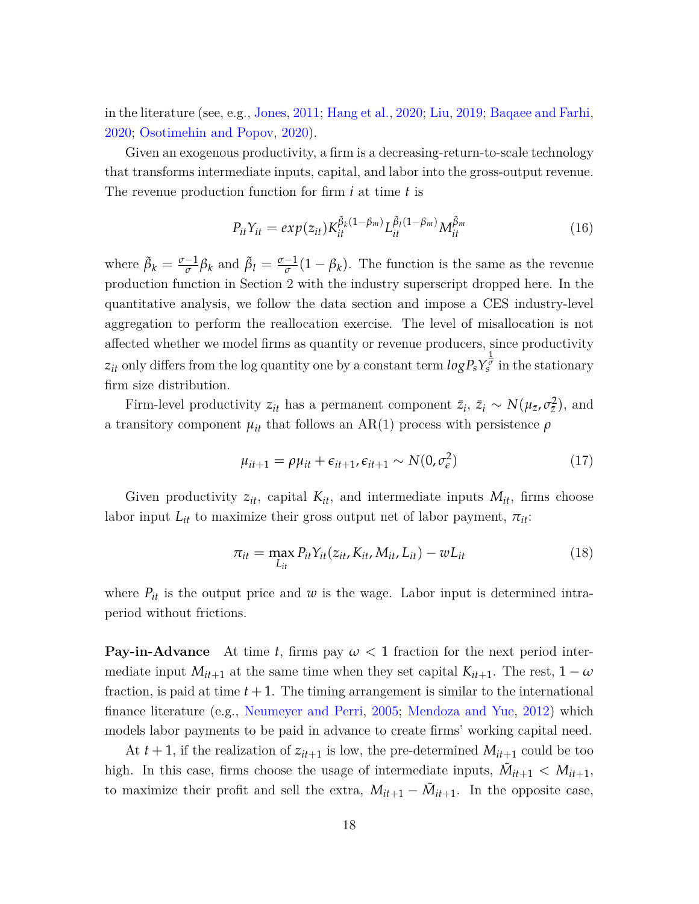in the literature (see, e.g., [Jones,](#page-51-1) [2011](#page-51-1); [Hang et al.,](#page-51-5) [2020](#page-51-5); [Liu,](#page-51-6) [2019](#page-51-6); [Baqaee and Farhi,](#page-49-5) [2020](#page-49-5); [Osotimehin and Popov,](#page-52-5) [2020](#page-52-5)).

Given an exogenous productivity, a firm is a decreasing-return-to-scale technology that transforms intermediate inputs, capital, and labor into the gross-output revenue. The revenue production function for firm *i* at time *t* is

$$
P_{it}Y_{it} = exp(z_{it})K_{it}^{\tilde{\beta}_k(1-\beta_m)}L_{it}^{\tilde{\beta}_l(1-\beta_m)}M_{it}^{\tilde{\beta}_m}
$$
\n(16)

where  $\tilde{\beta}_k = \frac{\sigma - 1}{\sigma} \beta_k$  and  $\tilde{\beta}_l = \frac{\sigma - 1}{\sigma} (1 - \beta_k)$ . The function is the same as the revenue production function in Section 2 with the industry superscript dropped here. In the quantitative analysis, we follow the data section and impose a CES industry-level aggregation to perform the reallocation exercise. The level of misallocation is not affected whether we model firms as quantity or revenue producers, since productivity  $z_{it}$  only differs from the log quantity one by a constant term  $log P_s Y_s^{\frac{1}{\sigma}}$  in the stationary firm size distribution.

Firm-level productivity  $z_{it}$  has a permanent component  $\bar{z}_i$ ,  $\bar{z}_i \sim N(\mu_{\bar{z}}, \sigma_{\bar{z}}^2)$ , and a transitory component  $\mu_{it}$  that follows an AR(1) process with persistence  $\rho$ 

$$
\mu_{it+1} = \rho \mu_{it} + \epsilon_{it+1}, \epsilon_{it+1} \sim N(0, \sigma_{\epsilon}^2)
$$
\n(17)

Given productivity  $z_{it}$ , capital  $K_{it}$ , and intermediate inputs  $M_{it}$ , firms choose labor input  $L_{it}$  to maximize their gross output net of labor payment,  $\pi_{it}$ :

$$
\pi_{it} = \max_{L_{it}} P_{it} Y_{it}(z_{it}, K_{it}, M_{it}, L_{it}) - w_{it}
$$
\n(18)

where  $P_{it}$  is the output price and  $w$  is the wage. Labor input is determined intraperiod without frictions.

**Pay-in-Advance** At time *t*, firms pay  $\omega < 1$  fraction for the next period intermediate input  $M_{it+1}$  at the same time when they set capital  $K_{it+1}$ . The rest,  $1 - \omega$ fraction, is paid at time  $t + 1$ . The timing arrangement is similar to the international finance literature (e.g., [Neumeyer and Perri](#page-52-9), [2005](#page-52-9); [Mendoza and Yue](#page-51-9), [2012\)](#page-51-9) which models labor payments to be paid in advance to create firms' working capital need.

At  $t + 1$ , if the realization of  $z_{it+1}$  is low, the pre-determined  $M_{it+1}$  could be too high. In this case, firms choose the usage of intermediate inputs,  $\tilde{M}_{it+1} < M_{it+1}$ , to maximize their profit and sell the extra,  $M_{it+1} - \tilde{M}_{it+1}$ . In the opposite case,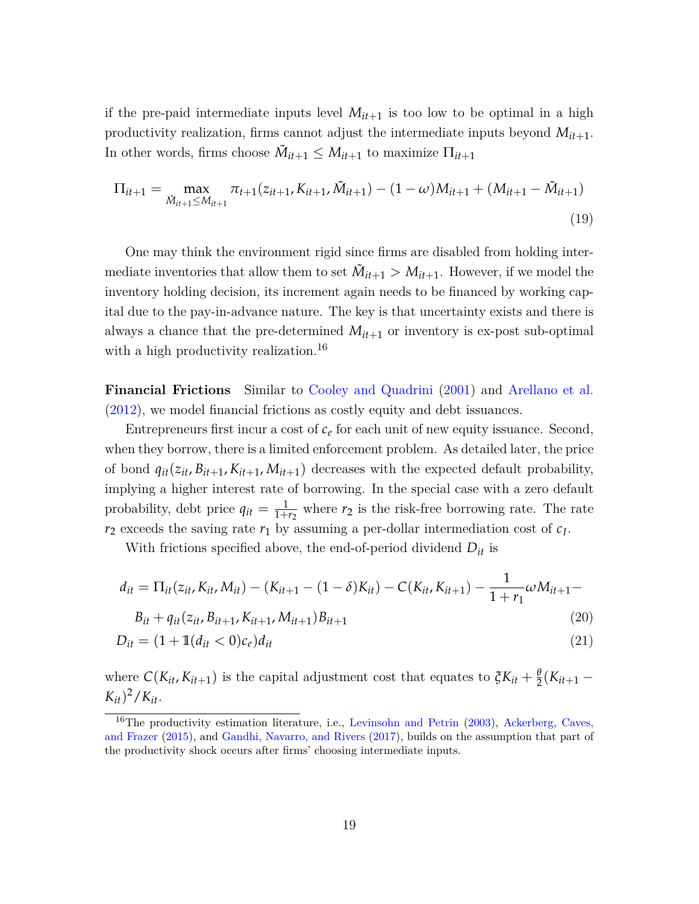if the pre-paid intermediate inputs level  $M_{it+1}$  is too low to be optimal in a high productivity realization, firms cannot adjust the intermediate inputs beyond  $M_{it+1}$ . In other words, firms choose  $\tilde{M}_{it+1} \leq M_{it+1}$  to maximize  $\prod_{it+1}$ 

$$
\Pi_{it+1} = \max_{\tilde{M}_{it+1} \le M_{it+1}} \pi_{t+1}(z_{it+1}, K_{it+1}, \tilde{M}_{it+1}) - (1 - \omega)M_{it+1} + (M_{it+1} - \tilde{M}_{it+1})
$$
\n(19)

One may think the environment rigid since firms are disabled from holding intermediate inventories that allow them to set  $\tilde{M}_{it+1} > M_{it+1}$ . However, if we model the inventory holding decision, its increment again needs to be financed by working capital due to the pay-in-advance nature. The key is that uncertainty exists and there is always a chance that the pre-determined  $M_{it+1}$  or inventory is ex-post sub-optimal with a high productivity realization.<sup>[16](#page-19-0)</sup>

**Financial Frictions** Similar to [Cooley and Quadrini](#page-50-1) ([2001](#page-50-1)) and [Arellano et al.](#page-49-4) [\(2012\)](#page-49-4), we model financial frictions as costly equity and debt issuances.

Entrepreneurs first incur a cost of  $c_{\ell}$  for each unit of new equity issuance. Second, when they borrow, there is a limited enforcement problem. As detailed later, the price of bond  $q_{it}(z_{it}, B_{it+1}, K_{it+1}, M_{it+1})$  decreases with the expected default probability, implying a higher interest rate of borrowing. In the special case with a zero default probability, debt price  $q_{it} = \frac{1}{1+r_2}$  where  $r_2$  is the risk-free borrowing rate. The rate  $r_2$  exceeds the saving rate  $r_1$  by assuming a per-dollar intermediation cost of  $c_I$ .

With frictions specified above, the end-of-period dividend *Dit* is

$$
d_{it} = \Pi_{it}(z_{it}, K_{it}, M_{it}) - (K_{it+1} - (1 - \delta)K_{it}) - C(K_{it}, K_{it+1}) - \frac{1}{1 + r_1} \omega M_{it+1} -
$$

$$
B_{it} + q_{it}(z_{it}, B_{it+1}, K_{it+1}, M_{it+1})B_{it+1}
$$
\n(20)

$$
D_{it} = (1 + \mathbb{1}(d_{it} < 0)c_e)d_{it} \tag{21}
$$

where  $C(K_{it}, K_{it+1})$  is the capital adjustment cost that equates to  $\zeta K_{it} + \frac{\theta}{2}(K_{it+1} - \zeta)$  $(K_{it})^2/K_{it}$ .

<span id="page-19-0"></span> $16$ The productivity estimation literature, i.e., [Levinsohn and Petrin](#page-51-10) [\(2003](#page-51-10)), [Ackerberg, Caves,](#page-49-8) [and Frazer](#page-49-8) [\(2015](#page-49-8)), and [Gandhi, Navarro, and Rivers](#page-51-11) ([2017\)](#page-51-11), builds on the assumption that part of the productivity shock occurs after firms' choosing intermediate inputs.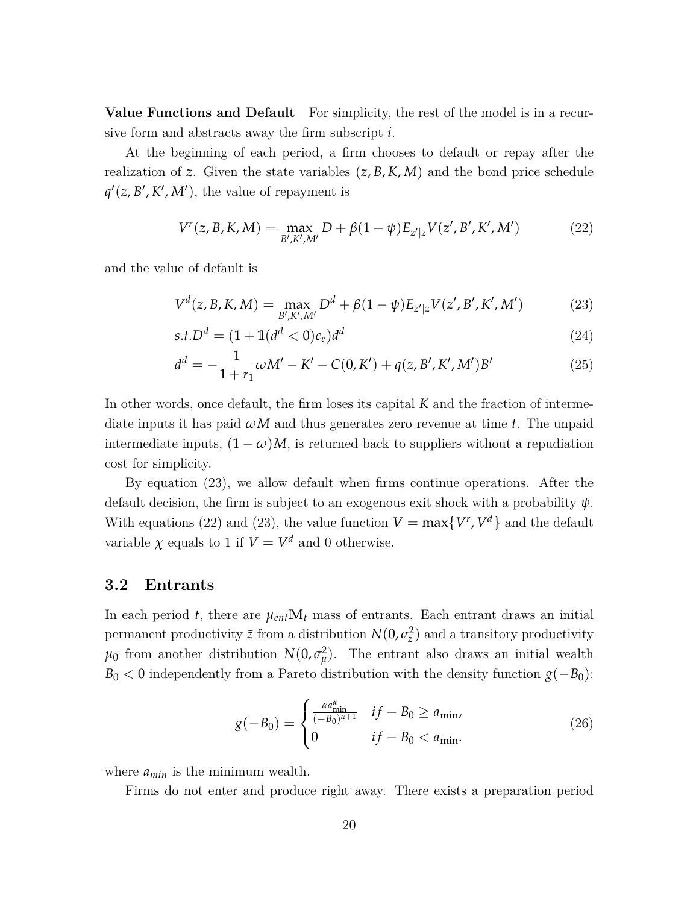**Value Functions and Default** For simplicity, the rest of the model is in a recursive form and abstracts away the firm subscript *i*.

At the beginning of each period, a firm chooses to default or repay after the realization of *z*. Given the state variables  $(z, B, K, M)$  and the bond price schedule  $q'(z, B', K', M')$ , the value of repayment is

<span id="page-20-1"></span>
$$
V^{r}(z, B, K, M) = \max_{B', K', M'} D + \beta (1 - \psi) E_{z'|z} V(z', B', K', M')
$$
 (22)

and the value of default is

<span id="page-20-0"></span>
$$
V^{d}(z, B, K, M) = \max_{B', K', M'} D^{d} + \beta (1 - \psi) E_{z'|z} V(z', B', K', M')
$$
 (23)

$$
s.t. Dd = (1 + 1(dd < 0)ce)dd
$$
\n(24)

$$
d^{d} = -\frac{1}{1+r_{1}}\omega M' - K' - C(0, K') + q(z, B', K', M')B'
$$
\n(25)

In other words, once default, the firm loses its capital *K* and the fraction of intermediate inputs it has paid *ωM* and thus generates zero revenue at time *t*. The unpaid intermediate inputs,  $(1 - \omega)M$ , is returned back to suppliers without a repudiation cost for simplicity.

By equation ([23](#page-20-0)), we allow default when firms continue operations. After the default decision, the firm is subject to an exogenous exit shock with a probability *ψ*. With equations [\(22](#page-20-1)) and [\(23](#page-20-0)), the value function  $V = \max\{V^r, V^d\}$  and the default variable  $\chi$  equals to 1 if  $V = V^d$  and 0 otherwise.

#### **3.2 Entrants**

In each period *t*, there are  $\mu_{ent}$ **M**<sub>t</sub> mass of entrants. Each entrant draws an initial permanent productivity  $\bar{z}$  from a distribution  $N(0, \sigma_z^2)$  and a transitory productivity  $\mu_0$  from another distribution  $N(0, \sigma_\mu^2)$ . The entrant also draws an initial wealth  $B_0 < 0$  independently from a Pareto distribution with the density function  $g(-B_0)$ :

$$
g(-B_0) = \begin{cases} \frac{\alpha a_{\min}^{\alpha}}{(-B_0)^{\alpha+1}} & if -B_0 \ge a_{\min}, \\ 0 & if -B_0 < a_{\min}. \end{cases}
$$
 (26)

where *amin* is the minimum wealth.

Firms do not enter and produce right away. There exists a preparation period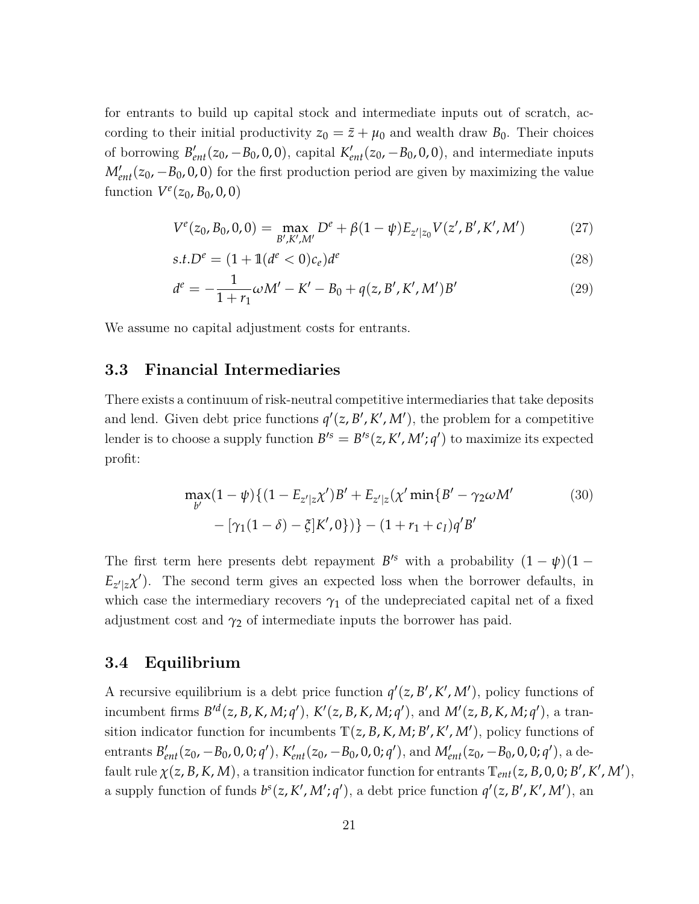for entrants to build up capital stock and intermediate inputs out of scratch, according to their initial productivity  $z_0 = \bar{z} + \mu_0$  and wealth draw  $B_0$ . Their choices of borrowing  $B'_{ent}(z_0, -B_0, 0, 0)$ , capital  $K'_{ent}(z_0, -B_0, 0, 0)$ , and intermediate inputs  $M'_{ent}(z_0, -B_0, 0, 0)$  for the first production period are given by maximizing the value function  $V^{e}(z_0, B_0, 0, 0)$ 

$$
V^{e}(z_0, B_0, 0, 0) = \max_{B', K', M'} D^{e} + \beta (1 - \psi) E_{z'|z_0} V(z', B', K', M') \qquad (27)
$$

$$
s.t. De = (1 + 1(de < 0)ce)de
$$
\n(28)

$$
d^{e} = -\frac{1}{1+r_{1}}\omega M' - K' - B_{0} + q(z, B', K', M')B'
$$
\n(29)

We assume no capital adjustment costs for entrants.

#### **3.3 Financial Intermediaries**

There exists a continuum of risk-neutral competitive intermediaries that take deposits and lend. Given debt price functions  $q'(z, B', K', M')$ , the problem for a competitive lender is to choose a supply function  $B'^s = B'^s(z, K', M'; q')$  to maximize its expected profit:

$$
\max_{b'} (1 - \psi) \{ (1 - E_{z'|z} \chi')B' + E_{z'|z} (\chi' \min \{ B' - \gamma_2 \omega M' \} - [\gamma_1 (1 - \delta) - \xi] K', 0 \}) \} - (1 + r_1 + c_I) q' B'
$$
\n(30)

The first term here presents debt repayment  $B^{s}$  with a probability  $(1 - \psi)(1 - \psi)$  $E_{z'|z} \chi'$ ). The second term gives an expected loss when the borrower defaults, in which case the intermediary recovers  $\gamma_1$  of the undepreciated capital net of a fixed adjustment cost and  $\gamma_2$  of intermediate inputs the borrower has paid.

#### **3.4 Equilibrium**

A recursive equilibrium is a debt price function  $q'(z, B', K', M')$ , policy functions of incumbent firms  $B'^d(z, B, K, M; q'), K'(z, B, K, M; q'),$  and  $M'(z, B, K, M; q'),$  a transition indicator function for incumbents  $T(z, B, K, M; B', K', M')$ , policy functions of entrants  $B'_{ent}(z_0, -B_0, 0, 0; q')$ ,  $K'_{ent}(z_0, -B_0, 0, 0; q')$ , and  $M'_{ent}(z_0, -B_0, 0, 0; q')$ , a default rule  $\chi(z, B, K, M)$ , a transition indicator function for entrants  $T_{ent}(z, B, 0, 0; B', K', M')$ , a supply function of funds  $b^{s}(z, K', M'; q')$ , a debt price function  $q'(z, B', K', M')$ , and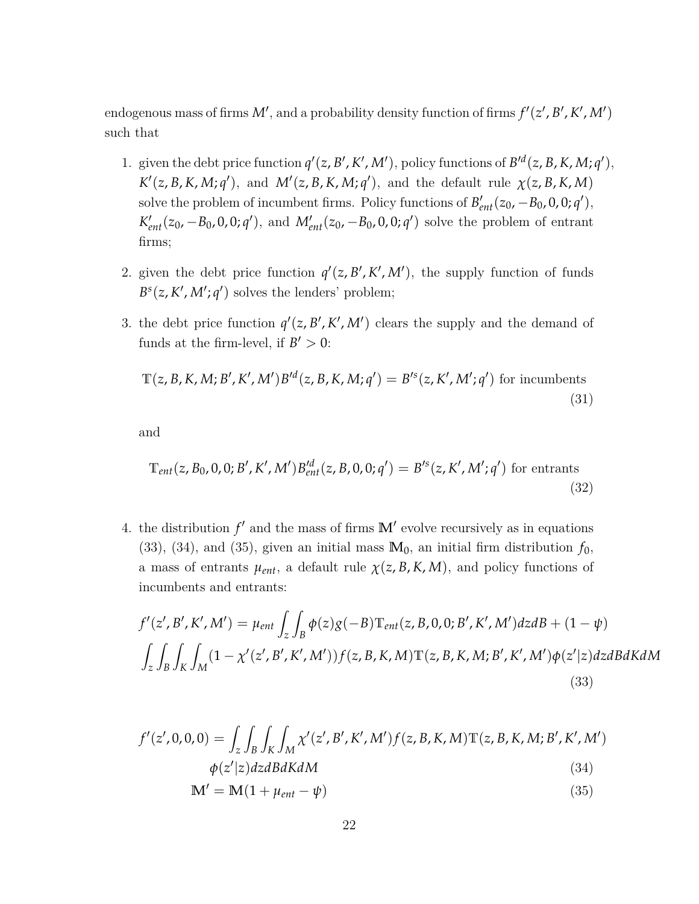endogenous mass of firms  $M'$ , and a probability density function of firms  $f'(z', B', K', M')$ such that

- 1. given the debt price function  $q'(z, B', K', M')$ , policy functions of  $B'^d(z, B, K, M; q')$ ,  $K'(z, B, K, M; q')$ , and  $M'(z, B, K, M; q')$ , and the default rule  $\chi(z, B, K, M)$ solve the problem of incumbent firms. Policy functions of  $B'_{ent}(z_0, -B_0, 0, 0; q')$ ,  $K'_{ent}(z_0, -B_0, 0, 0; q')$ , and  $M'_{ent}(z_0, -B_0, 0, 0; q')$  solve the problem of entrant firms;
- 2. given the debt price function  $q'(z, B', K', M')$ , the supply function of funds  $B^{s}(z, K', M'; q')$  solves the lenders' problem;
- 3. the debt price function  $q'(z, B', K', M')$  clears the supply and the demand of funds at the firm-level, if  $B' > 0$ :

$$
\mathbb{T}(z, B, K, M; B', K', M')B'^d(z, B, K, M; q') = B'^s(z, K', M'; q')
$$
 for incumbents (31)

and

$$
\mathbb{T}_{ent}(z, B_0, 0, 0; B', K', M') B_{ent}'^d(z, B, 0, 0; q') = B'^s(z, K', M'; q') \text{ for entrants}
$$
\n(32)

4. the distribution  $f'$  and the mass of firms  $\mathbb{M}'$  evolve recursively as in equations [\(33\)](#page-22-0), ([34](#page-22-1)), and [\(35\)](#page-22-2), given an initial mass  $M_0$ , an initial firm distribution  $f_0$ , a mass of entrants  $\mu_{ent}$ , a default rule  $\chi(z, B, K, M)$ , and policy functions of incumbents and entrants:

$$
f'(z', B', K', M') = \mu_{ent} \int_{z} \int_{B} \phi(z)g(-B)T_{ent}(z, B, 0, 0; B', K', M')dzdB + (1 - \psi)
$$
  

$$
\int_{z} \int_{B} \int_{K} \int_{M} (1 - \chi'(z', B', K', M'))f(z, B, K, M)T(z, B, K, M; B', K', M')\phi(z'|z)dzdBdKdM
$$
  
(33)

$$
f'(z',0,0,0) = \int_{z} \int_{B} \int_{K} \int_{M} \chi'(z',B',K',M') f(z,B,K,M) \mathbb{T}(z,B,K,M;B',K',M')
$$
  

$$
\phi(z'|z) dz dB dK dM
$$
 (34)

<span id="page-22-2"></span><span id="page-22-1"></span><span id="page-22-0"></span>
$$
\mathbf{M}' = \mathbf{M}(1 + \mu_{ent} - \psi) \tag{35}
$$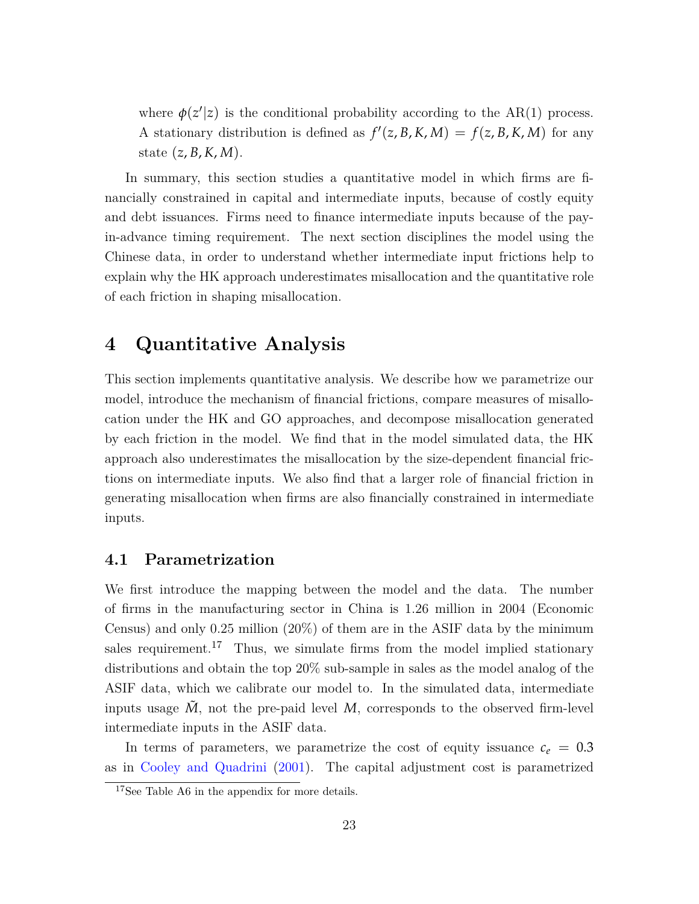where  $\phi(z'|z)$  is the conditional probability according to the AR(1) process. A stationary distribution is defined as  $f'(z, B, K, M) = f(z, B, K, M)$  for any state (*z*, *B*, *K*, *M*).

In summary, this section studies a quantitative model in which firms are financially constrained in capital and intermediate inputs, because of costly equity and debt issuances. Firms need to finance intermediate inputs because of the payin-advance timing requirement. The next section disciplines the model using the Chinese data, in order to understand whether intermediate input frictions help to explain why the HK approach underestimates misallocation and the quantitative role of each friction in shaping misallocation.

### **4 Quantitative Analysis**

This section implements quantitative analysis. We describe how we parametrize our model, introduce the mechanism of financial frictions, compare measures of misallocation under the HK and GO approaches, and decompose misallocation generated by each friction in the model. We find that in the model simulated data, the HK approach also underestimates the misallocation by the size-dependent financial frictions on intermediate inputs. We also find that a larger role of financial friction in generating misallocation when firms are also financially constrained in intermediate inputs.

#### **4.1 Parametrization**

We first introduce the mapping between the model and the data. The number of firms in the manufacturing sector in China is 1.26 million in 2004 (Economic Census) and only 0.25 million (20%) of them are in the ASIF data by the minimum sales requirement.<sup>[17](#page-23-0)</sup> Thus, we simulate firms from the model implied stationary distributions and obtain the top 20% sub-sample in sales as the model analog of the ASIF data, which we calibrate our model to. In the simulated data, intermediate inputs usage  $M$ , not the pre-paid level  $M$ , corresponds to the observed firm-level intermediate inputs in the ASIF data.

In terms of parameters, we parametrize the cost of equity issuance  $c_e = 0.3$ as in [Cooley and Quadrini](#page-50-1) ([2001](#page-50-1)). The capital adjustment cost is parametrized

<span id="page-23-0"></span><sup>&</sup>lt;sup>17</sup>See Table [A6](#page-66-0) in the appendix for more details.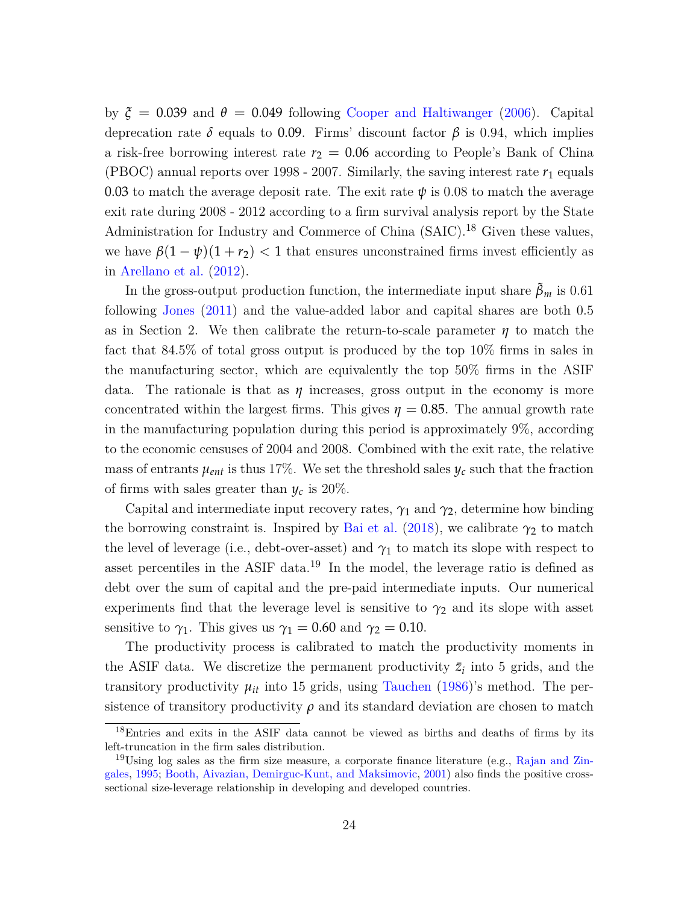by  $\zeta = 0.039$  and  $\theta = 0.049$  following [Cooper and Haltiwanger](#page-50-11) ([2006](#page-50-11)). Capital deprecation rate  $\delta$  equals to 0.09. Firms' discount factor  $\beta$  is 0.94, which implies a risk-free borrowing interest rate  $r_2 = 0.06$  according to People's Bank of China (PBOC) annual reports over 1998 - 2007. Similarly, the saving interest rate  $r_1$  equals 0.03 to match the average deposit rate. The exit rate  $\psi$  is 0.08 to match the average exit rate during 2008 - 2012 according to a firm survival analysis report by the State Administration for Industry and Commerce of China (SAIC).<sup>[18](#page-24-0)</sup> Given these values, we have  $\beta(1-\psi)(1+r_2)$  < 1 that ensures unconstrained firms invest efficiently as in [Arellano et al.](#page-49-4) [\(2012\)](#page-49-4).

In the gross-output production function, the intermediate input share  $\beta_m$  is 0.61 following [Jones](#page-51-1) [\(2011\)](#page-51-1) and the value-added labor and capital shares are both 0.5 as in Section 2. We then calibrate the return-to-scale parameter  $\eta$  to match the fact that 84.5% of total gross output is produced by the top 10% firms in sales in the manufacturing sector, which are equivalently the top 50% firms in the ASIF data. The rationale is that as  $\eta$  increases, gross output in the economy is more concentrated within the largest firms. This gives  $\eta = 0.85$ . The annual growth rate in the manufacturing population during this period is approximately 9%, according to the economic censuses of 2004 and 2008. Combined with the exit rate, the relative mass of entrants  $\mu_{ent}$  is thus 17%. We set the threshold sales  $y_c$  such that the fraction of firms with sales greater than  $y_c$  is 20%.

Capital and intermediate input recovery rates,  $\gamma_1$  and  $\gamma_2$ , determine how binding the borrowing constraint is. Inspired by [Bai et al.](#page-49-6) ([2018](#page-49-6)), we calibrate  $\gamma_2$  to match the level of leverage (i.e., debt-over-asset) and  $\gamma_1$  to match its slope with respect to asset percentiles in the ASIF data.<sup>[19](#page-24-1)</sup> In the model, the leverage ratio is defined as debt over the sum of capital and the pre-paid intermediate inputs. Our numerical experiments find that the leverage level is sensitive to  $\gamma_2$  and its slope with asset sensitive to  $\gamma_1$ . This gives us  $\gamma_1 = 0.60$  and  $\gamma_2 = 0.10$ .

The productivity process is calibrated to match the productivity moments in the ASIF data. We discretize the permanent productivity  $\bar{z}_i$  into 5 grids, and the transitory productivity  $\mu_{it}$  into 15 grids, using [Tauchen](#page-53-2) ([1986](#page-53-2))'s method. The persistence of transitory productivity  $\rho$  and its standard deviation are chosen to match

<span id="page-24-0"></span><sup>&</sup>lt;sup>18</sup>Entries and exits in the ASIF data cannot be viewed as births and deaths of firms by its left-truncation in the firm sales distribution.

<span id="page-24-1"></span><sup>&</sup>lt;sup>19</sup>Using log sales as the firm size measure, a corporate finance literature (e.g., [Rajan and Zin](#page-52-10)[gales,](#page-52-10) [1995;](#page-52-10) [Booth, Aivazian, Demirguc-Kunt, and Maksimovic](#page-49-9), [2001](#page-49-9)) also finds the positive crosssectional size-leverage relationship in developing and developed countries.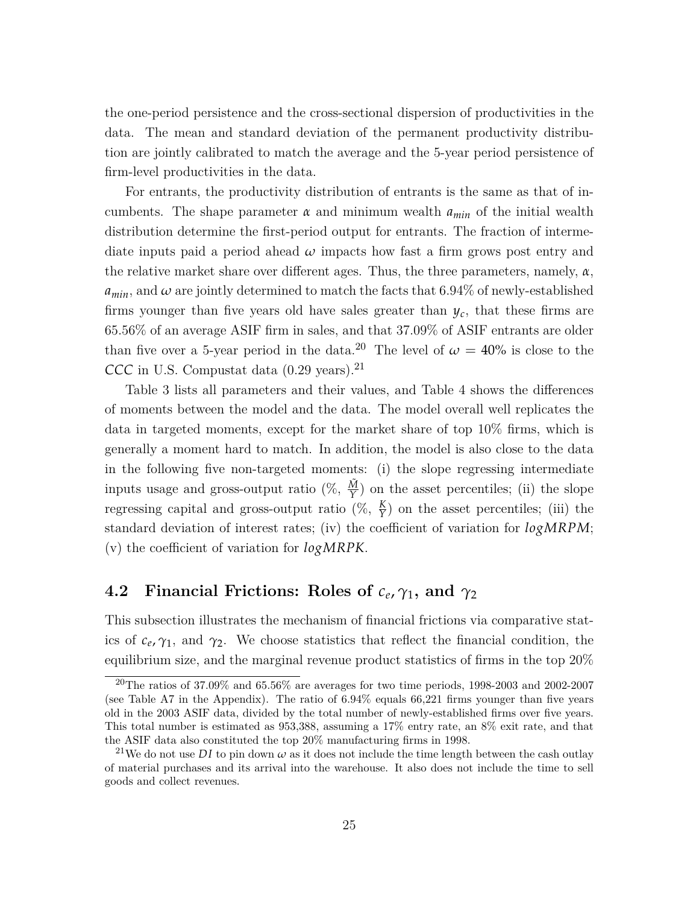the one-period persistence and the cross-sectional dispersion of productivities in the data. The mean and standard deviation of the permanent productivity distribution are jointly calibrated to match the average and the 5-year period persistence of firm-level productivities in the data.

For entrants, the productivity distribution of entrants is the same as that of incumbents. The shape parameter  $\alpha$  and minimum wealth  $a_{min}$  of the initial wealth distribution determine the first-period output for entrants. The fraction of intermediate inputs paid a period ahead  $\omega$  impacts how fast a firm grows post entry and the relative market share over different ages. Thus, the three parameters, namely,  $\alpha$ ,  $a_{min}$ , and  $\omega$  are jointly determined to match the facts that 6.94% of newly-established firms younger than five years old have sales greater than  $y_c$ , that these firms are 65.56% of an average ASIF firm in sales, and that 37.09% of ASIF entrants are older than five over a 5-year period in the data.<sup>[20](#page-25-0)</sup> The level of  $\omega = 40\%$  is close to the *CCC* in U.S. Compustat data (0.29 years).[21](#page-25-1)

Table [3](#page-43-0) lists all parameters and their values, and Table [4](#page-44-0) shows the differences of moments between the model and the data. The model overall well replicates the data in targeted moments, except for the market share of top 10% firms, which is generally a moment hard to match. In addition, the model is also close to the data in the following five non-targeted moments: (i) the slope regressing intermediate inputs usage and gross-output ratio  $(\%, \frac{\tilde{M}}{Y})$  on the asset percentiles; (ii) the slope regressing capital and gross-output ratio  $(\%, \frac{K}{\gamma})$  on the asset percentiles; (iii) the standard deviation of interest rates; (iv) the coefficient of variation for *logMRPM*; (v) the coefficient of variation for *logMRPK*.

# **4.2** Financial Frictions: Roles of  $c_e$ ,  $\gamma_1$ , and  $\gamma_2$

This subsection illustrates the mechanism of financial frictions via comparative statics of  $c_e, \gamma_1$ , and  $\gamma_2$ . We choose statistics that reflect the financial condition, the equilibrium size, and the marginal revenue product statistics of firms in the top 20%

<span id="page-25-0"></span><sup>&</sup>lt;sup>20</sup>The ratios of 37.09% and 65.56% are averages for two time periods, 1998-2003 and 2002-2007 (see Table [A7](#page-67-0) in the Appendix). The ratio of 6.94% equals 66,221 firms younger than five years old in the 2003 ASIF data, divided by the total number of newly-established firms over five years. This total number is estimated as 953,388, assuming a 17% entry rate, an 8% exit rate, and that the ASIF data also constituted the top 20% manufacturing firms in 1998.

<span id="page-25-1"></span><sup>&</sup>lt;sup>21</sup>We do not use *DI* to pin down  $\omega$  as it does not include the time length between the cash outlay of material purchases and its arrival into the warehouse. It also does not include the time to sell goods and collect revenues.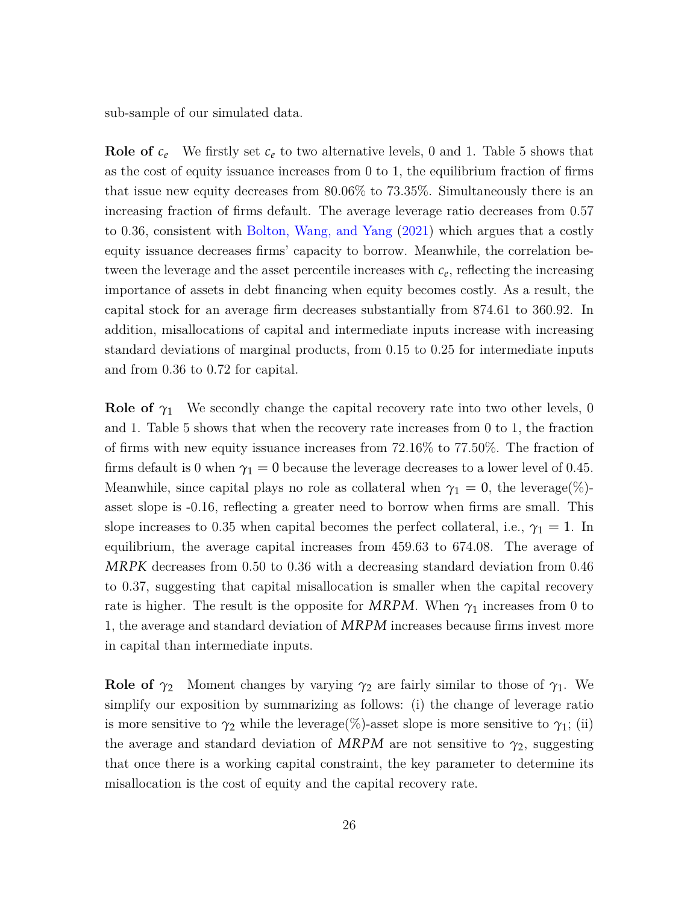sub-sample of our simulated data.

**Role of**  $c_e$  We firstly set  $c_e$  to two alternative levels, 0 and 1. Table [5](#page-45-0) shows that as the cost of equity issuance increases from 0 to 1, the equilibrium fraction of firms that issue new equity decreases from 80.06% to 73.35%. Simultaneously there is an increasing fraction of firms default. The average leverage ratio decreases from 0.57 to 0.36, consistent with [Bolton, Wang, and Yang](#page-49-10) [\(2021\)](#page-49-10) which argues that a costly equity issuance decreases firms' capacity to borrow. Meanwhile, the correlation between the leverage and the asset percentile increases with  $c_e$ , reflecting the increasing importance of assets in debt financing when equity becomes costly. As a result, the capital stock for an average firm decreases substantially from 874.61 to 360.92. In addition, misallocations of capital and intermediate inputs increase with increasing standard deviations of marginal products, from 0.15 to 0.25 for intermediate inputs and from 0.36 to 0.72 for capital.

**Role of**  $\gamma_1$  We secondly change the capital recovery rate into two other levels, 0 and 1. Table [5](#page-45-0) shows that when the recovery rate increases from 0 to 1, the fraction of firms with new equity issuance increases from 72.16% to 77.50%. The fraction of firms default is 0 when  $\gamma_1 = 0$  because the leverage decreases to a lower level of 0.45. Meanwhile, since capital plays no role as collateral when  $\gamma_1 = 0$ , the leverage(%)asset slope is -0.16, reflecting a greater need to borrow when firms are small. This slope increases to 0.35 when capital becomes the perfect collateral, i.e.,  $\gamma_1 = 1$ . In equilibrium, the average capital increases from 459.63 to 674.08. The average of *MRPK* decreases from 0.50 to 0.36 with a decreasing standard deviation from 0.46 to 0.37, suggesting that capital misallocation is smaller when the capital recovery rate is higher. The result is the opposite for *MRPM*. When  $\gamma_1$  increases from 0 to 1, the average and standard deviation of *MRPM* increases because firms invest more in capital than intermediate inputs.

**Role of**  $\gamma_2$  Moment changes by varying  $\gamma_2$  are fairly similar to those of  $\gamma_1$ . We simplify our exposition by summarizing as follows: (i) the change of leverage ratio is more sensitive to  $\gamma_2$  while the leverage(%)-asset slope is more sensitive to  $\gamma_1$ ; (ii) the average and standard deviation of *MRPM* are not sensitive to  $\gamma_2$ , suggesting that once there is a working capital constraint, the key parameter to determine its misallocation is the cost of equity and the capital recovery rate.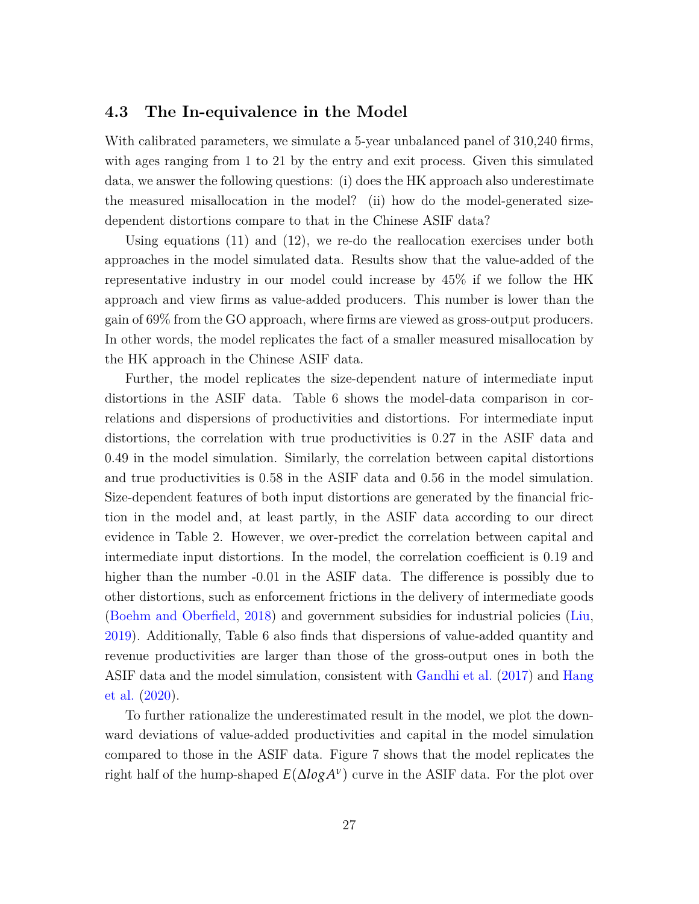#### **4.3 The In-equivalence in the Model**

With calibrated parameters, we simulate a 5-year unbalanced panel of 310,240 firms, with ages ranging from 1 to 21 by the entry and exit process. Given this simulated data, we answer the following questions: (i) does the HK approach also underestimate the measured misallocation in the model? (ii) how do the model-generated sizedependent distortions compare to that in the Chinese ASIF data?

Using equations  $(11)$  and  $(12)$ , we re-do the reallocation exercises under both approaches in the model simulated data. Results show that the value-added of the representative industry in our model could increase by 45% if we follow the HK approach and view firms as value-added producers. This number is lower than the gain of 69% from the GO approach, where firms are viewed as gross-output producers. In other words, the model replicates the fact of a smaller measured misallocation by the HK approach in the Chinese ASIF data.

Further, the model replicates the size-dependent nature of intermediate input distortions in the ASIF data. Table [6](#page-46-0) shows the model-data comparison in correlations and dispersions of productivities and distortions. For intermediate input distortions, the correlation with true productivities is 0.27 in the ASIF data and 0.49 in the model simulation. Similarly, the correlation between capital distortions and true productivities is 0.58 in the ASIF data and 0.56 in the model simulation. Size-dependent features of both input distortions are generated by the financial friction in the model and, at least partly, in the ASIF data according to our direct evidence in Table [2](#page-42-0). However, we over-predict the correlation between capital and intermediate input distortions. In the model, the correlation coefficient is 0.19 and higher than the number  $-0.01$  in the ASIF data. The difference is possibly due to other distortions, such as enforcement frictions in the delivery of intermediate goods [\(Boehm and Oberfield,](#page-49-1) [2018\)](#page-49-1) and government subsidies for industrial policies ([Liu,](#page-51-6) [2019](#page-51-6)). Additionally, Table [6](#page-46-0) also finds that dispersions of value-added quantity and revenue productivities are larger than those of the gross-output ones in both the ASIF data and the model simulation, consistent with [Gandhi et al.](#page-51-11) ([2017\)](#page-51-11) and [Hang](#page-51-5) [et al.](#page-51-5) [\(2020\)](#page-51-5).

To further rationalize the underestimated result in the model, we plot the downward deviations of value-added productivities and capital in the model simulation compared to those in the ASIF data. Figure [7](#page-39-0) shows that the model replicates the right half of the hump-shaped  $E(\Delta log A^{\nu})$  curve in the ASIF data. For the plot over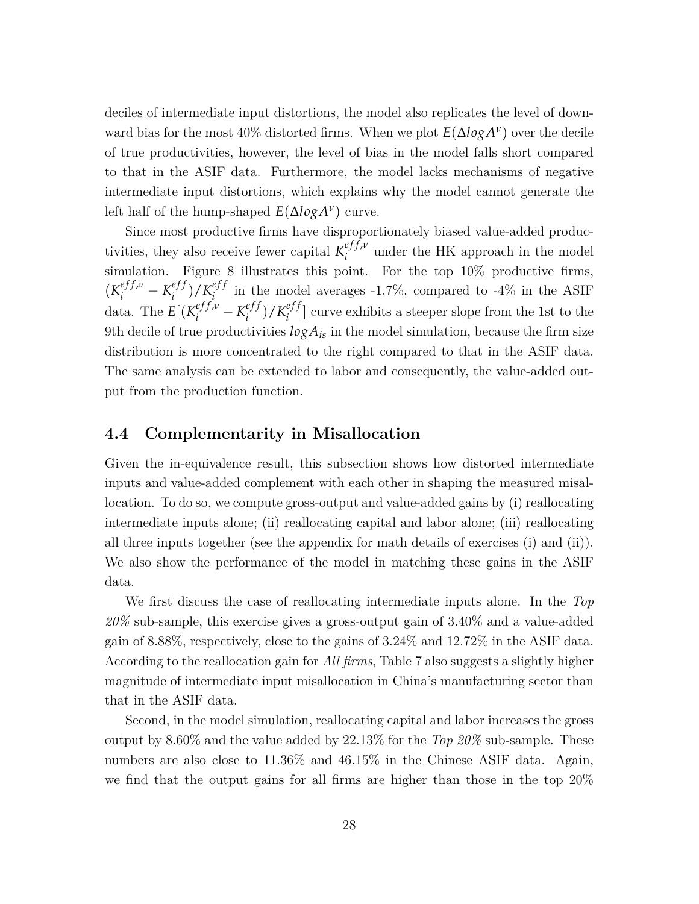deciles of intermediate input distortions, the model also replicates the level of downward bias for the most 40% distorted firms. When we plot  $E(\Delta log A^{\nu})$  over the decile of true productivities, however, the level of bias in the model falls short compared to that in the ASIF data. Furthermore, the model lacks mechanisms of negative intermediate input distortions, which explains why the model cannot generate the left half of the hump-shaped *E*(∆*logA<sup>ν</sup>* ) curve.

Since most productive firms have disproportionately biased value-added productivities, they also receive fewer capital  $K_i^{eff,\nu}$  $i$ <sup> $e_j$ </sup>,  $i$ <sup> $i$ </sup> under the HK approach in the model simulation. Figure [8](#page-40-0) illustrates this point. For the top  $10\%$  productive firms,  $(K_i^{eff,\nu} - K_i^{eff})$  $\binom{eff}{i}$  /  $K_i^{eff}$  $i_j^{e_j}$  in the model averages -1.7%, compared to -4% in the ASIF data. The  $E[(K_i^{eff,\nu} - K_i^{eff})]$  $\binom{eff}{i}$  /  $K_i^{eff}$  $\binom{e}{i}$  curve exhibits a steeper slope from the 1st to the 9th decile of true productivities  $log A_{is}$  in the model simulation, because the firm size distribution is more concentrated to the right compared to that in the ASIF data. The same analysis can be extended to labor and consequently, the value-added output from the production function.

#### **4.4 Complementarity in Misallocation**

Given the in-equivalence result, this subsection shows how distorted intermediate inputs and value-added complement with each other in shaping the measured misallocation. To do so, we compute gross-output and value-added gains by (i) reallocating intermediate inputs alone; (ii) reallocating capital and labor alone; (iii) reallocating all three inputs together (see the appendix for math details of exercises (i) and (ii)). We also show the performance of the model in matching these gains in the ASIF data.

We first discuss the case of reallocating intermediate inputs alone. In the *Top 20%* sub-sample, this exercise gives a gross-output gain of 3.40% and a value-added gain of 8.88%, respectively, close to the gains of 3.24% and 12.72% in the ASIF data. According to the reallocation gain for *All firms*, Table [7](#page-47-0) also suggests a slightly higher magnitude of intermediate input misallocation in China's manufacturing sector than that in the ASIF data.

Second, in the model simulation, reallocating capital and labor increases the gross output by 8.60% and the value added by 22.13% for the *Top 20%* sub-sample. These numbers are also close to 11.36% and 46.15% in the Chinese ASIF data. Again, we find that the output gains for all firms are higher than those in the top 20%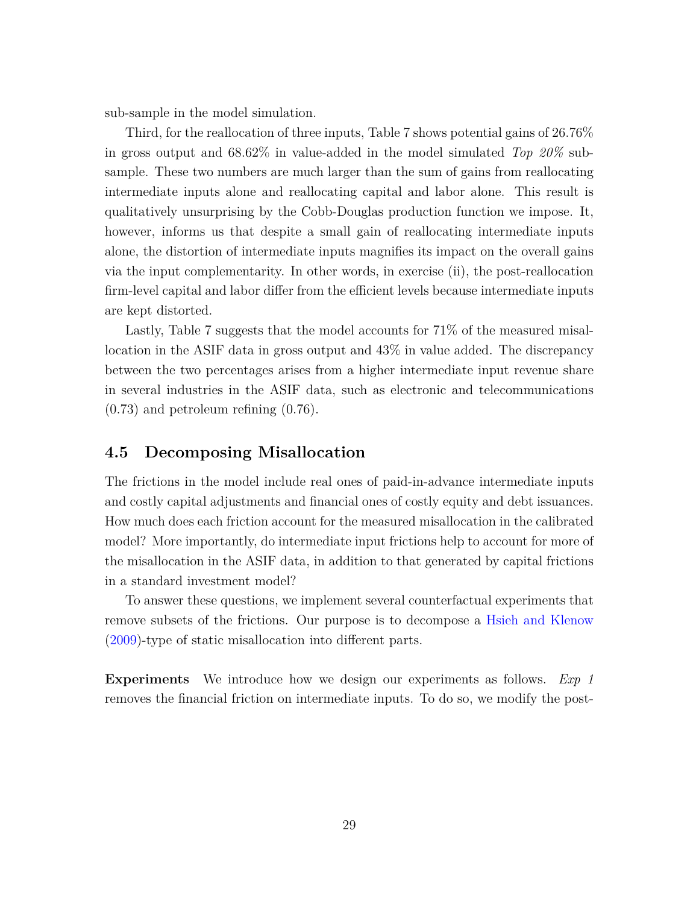sub-sample in the model simulation.

Third, for the reallocation of three inputs, Table [7](#page-47-0) shows potential gains of 26.76% in gross output and 68.62% in value-added in the model simulated *Top 20%* subsample. These two numbers are much larger than the sum of gains from reallocating intermediate inputs alone and reallocating capital and labor alone. This result is qualitatively unsurprising by the Cobb-Douglas production function we impose. It, however, informs us that despite a small gain of reallocating intermediate inputs alone, the distortion of intermediate inputs magnifies its impact on the overall gains via the input complementarity. In other words, in exercise (ii), the post-reallocation firm-level capital and labor differ from the efficient levels because intermediate inputs are kept distorted.

Lastly, Table [7](#page-47-0) suggests that the model accounts for 71% of the measured misallocation in the ASIF data in gross output and 43% in value added. The discrepancy between the two percentages arises from a higher intermediate input revenue share in several industries in the ASIF data, such as electronic and telecommunications (0.73) and petroleum refining (0.76).

#### **4.5 Decomposing Misallocation**

The frictions in the model include real ones of paid-in-advance intermediate inputs and costly capital adjustments and financial ones of costly equity and debt issuances. How much does each friction account for the measured misallocation in the calibrated model? More importantly, do intermediate input frictions help to account for more of the misallocation in the ASIF data, in addition to that generated by capital frictions in a standard investment model?

To answer these questions, we implement several counterfactual experiments that remove subsets of the frictions. Our purpose is to decompose a [Hsieh and Klenow](#page-51-0) [\(2009\)](#page-51-0)-type of static misallocation into different parts.

**Experiments** We introduce how we design our experiments as follows. *Exp 1* removes the financial friction on intermediate inputs. To do so, we modify the post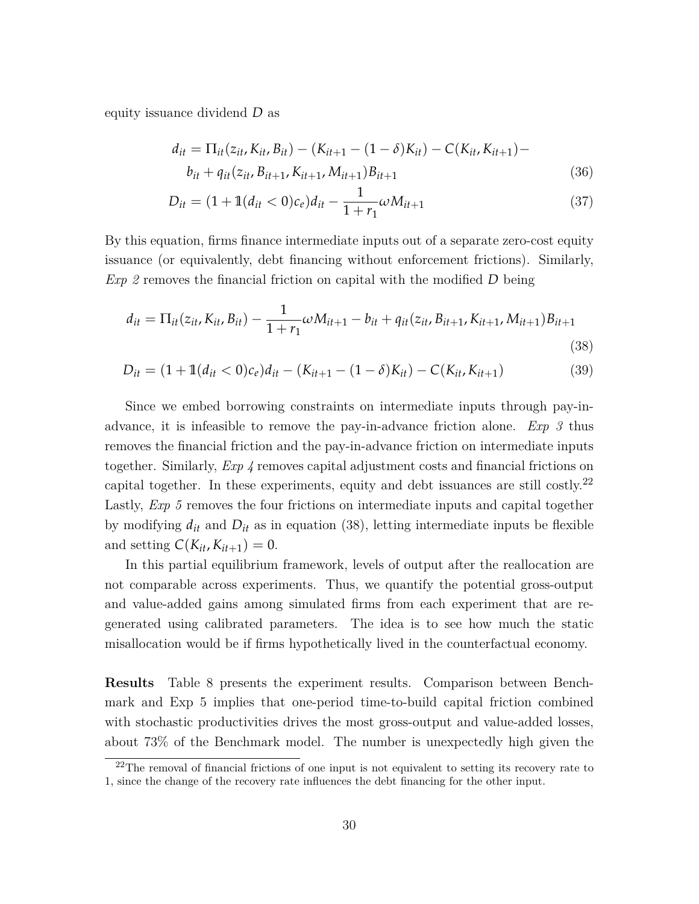equity issuance dividend *D* as

$$
d_{it} = \Pi_{it}(z_{it}, K_{it}, B_{it}) - (K_{it+1} - (1 - \delta)K_{it}) - C(K_{it}, K_{it+1}) -
$$
  

$$
b_{it} + q_{it}(z_{it}, B_{it+1}, K_{it+1}, M_{it+1})B_{it+1}
$$
 (36)

<span id="page-30-1"></span>
$$
D_{it} = (1 + \mathbb{1}(d_{it} < 0)c_e)d_{it} - \frac{1}{1 + r_1}\omega M_{it+1} \tag{37}
$$

By this equation, firms finance intermediate inputs out of a separate zero-cost equity issuance (or equivalently, debt financing without enforcement frictions). Similarly, *Exp 2* removes the financial friction on capital with the modified *D* being

$$
d_{it} = \Pi_{it}(z_{it}, K_{it}, B_{it}) - \frac{1}{1+r_1}\omega M_{it+1} - b_{it} + q_{it}(z_{it}, B_{it+1}, K_{it+1}, M_{it+1})B_{it+1}
$$
\n(38)

$$
D_{it} = (1 + \mathbb{1}(d_{it} < 0)c_e)d_{it} - (K_{it+1} - (1 - \delta)K_{it}) - C(K_{it}, K_{it+1})\tag{39}
$$

Since we embed borrowing constraints on intermediate inputs through pay-inadvance, it is infeasible to remove the pay-in-advance friction alone. *Exp 3* thus removes the financial friction and the pay-in-advance friction on intermediate inputs together. Similarly, *Exp 4* removes capital adjustment costs and financial frictions on capital together. In these experiments, equity and debt issuances are still costly.<sup>[22](#page-30-0)</sup> Lastly, *Exp 5* removes the four frictions on intermediate inputs and capital together by modifying  $d_{it}$  and  $D_{it}$  as in equation [\(38](#page-30-1)), letting intermediate inputs be flexible and setting  $C(K_{it}, K_{it+1}) = 0$ .

In this partial equilibrium framework, levels of output after the reallocation are not comparable across experiments. Thus, we quantify the potential gross-output and value-added gains among simulated firms from each experiment that are regenerated using calibrated parameters. The idea is to see how much the static misallocation would be if firms hypothetically lived in the counterfactual economy.

**Results** Table [8](#page-48-0) presents the experiment results. Comparison between Benchmark and Exp 5 implies that one-period time-to-build capital friction combined with stochastic productivities drives the most gross-output and value-added losses, about 73% of the Benchmark model. The number is unexpectedly high given the

<span id="page-30-0"></span> $22$ The removal of financial frictions of one input is not equivalent to setting its recovery rate to 1, since the change of the recovery rate influences the debt financing for the other input.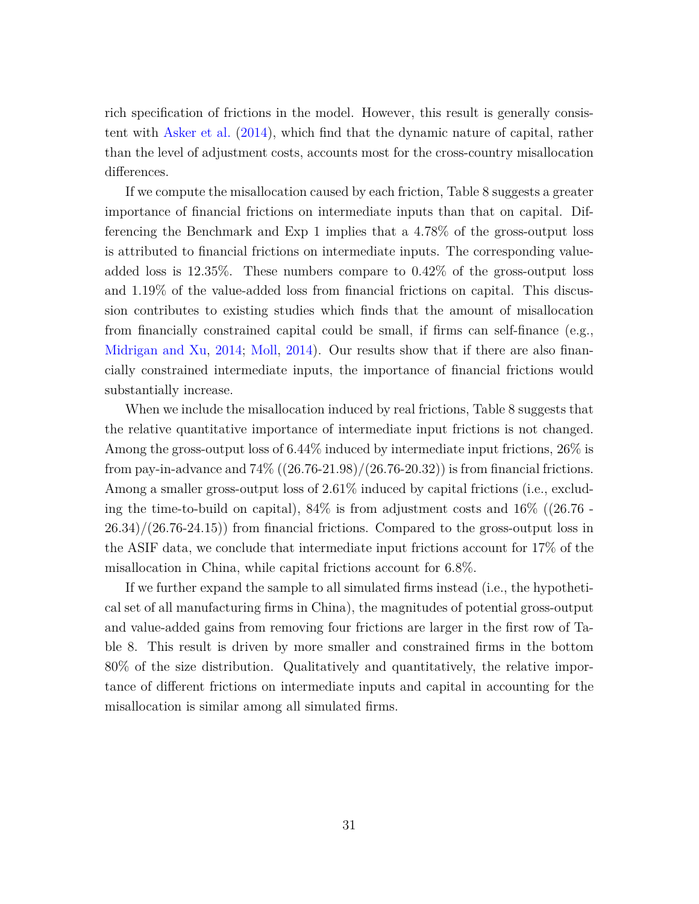rich specification of frictions in the model. However, this result is generally consistent with [Asker et al.](#page-49-3) ([2014](#page-49-3)), which find that the dynamic nature of capital, rather than the level of adjustment costs, accounts most for the cross-country misallocation differences.

If we compute the misallocation caused by each friction, Table [8](#page-48-0) suggests a greater importance of financial frictions on intermediate inputs than that on capital. Differencing the Benchmark and Exp 1 implies that a 4.78% of the gross-output loss is attributed to financial frictions on intermediate inputs. The corresponding valueadded loss is 12.35%. These numbers compare to 0.42% of the gross-output loss and 1.19% of the value-added loss from financial frictions on capital. This discussion contributes to existing studies which finds that the amount of misallocation from financially constrained capital could be small, if firms can self-finance (e.g., [Midrigan and Xu](#page-52-4), [2014](#page-52-4); [Moll,](#page-52-11) [2014\)](#page-52-11). Our results show that if there are also financially constrained intermediate inputs, the importance of financial frictions would substantially increase.

When we include the misallocation induced by real frictions, Table [8](#page-48-0) suggests that the relative quantitative importance of intermediate input frictions is not changed. Among the gross-output loss of 6.44% induced by intermediate input frictions, 26% is from pay-in-advance and  $74\%$   $((26.76-21.98)/(26.76-20.32))$  is from financial frictions. Among a smaller gross-output loss of 2.61% induced by capital frictions (i.e., excluding the time-to-build on capital),  $84\%$  is from adjustment costs and  $16\%$  ((26.76 - $26.34)/(26.76-24.15)$  from financial frictions. Compared to the gross-output loss in the ASIF data, we conclude that intermediate input frictions account for 17% of the misallocation in China, while capital frictions account for 6.8%.

If we further expand the sample to all simulated firms instead (i.e., the hypothetical set of all manufacturing firms in China), the magnitudes of potential gross-output and value-added gains from removing four frictions are larger in the first row of Table [8.](#page-48-0) This result is driven by more smaller and constrained firms in the bottom 80% of the size distribution. Qualitatively and quantitatively, the relative importance of different frictions on intermediate inputs and capital in accounting for the misallocation is similar among all simulated firms.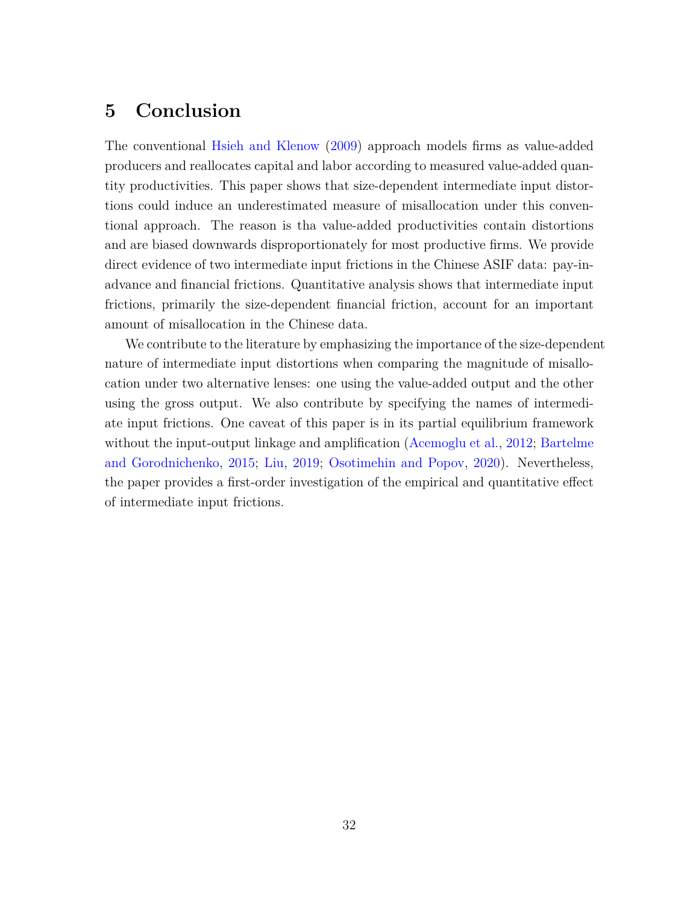# **5 Conclusion**

The conventional [Hsieh and Klenow](#page-51-0) [\(2009\)](#page-51-0) approach models firms as value-added producers and reallocates capital and labor according to measured value-added quantity productivities. This paper shows that size-dependent intermediate input distortions could induce an underestimated measure of misallocation under this conventional approach. The reason is tha value-added productivities contain distortions and are biased downwards disproportionately for most productive firms. We provide direct evidence of two intermediate input frictions in the Chinese ASIF data: pay-inadvance and financial frictions. Quantitative analysis shows that intermediate input frictions, primarily the size-dependent financial friction, account for an important amount of misallocation in the Chinese data.

We contribute to the literature by emphasizing the importance of the size-dependent nature of intermediate input distortions when comparing the magnitude of misallocation under two alternative lenses: one using the value-added output and the other using the gross output. We also contribute by specifying the names of intermediate input frictions. One caveat of this paper is in its partial equilibrium framework without the input-output linkage and amplification [\(Acemoglu et al.,](#page-49-0) [2012;](#page-49-0) [Bartelme](#page-49-11) [and Gorodnichenko](#page-49-11), [2015](#page-49-11); [Liu,](#page-51-6) [2019](#page-51-6); [Osotimehin and Popov,](#page-52-5) [2020](#page-52-5)). Nevertheless, the paper provides a first-order investigation of the empirical and quantitative effect of intermediate input frictions.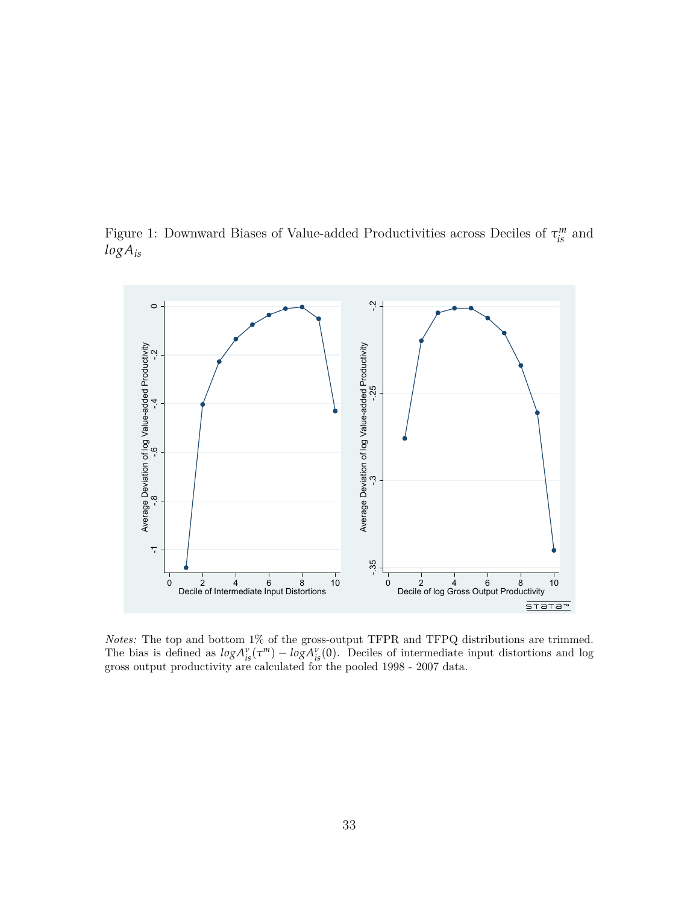<span id="page-33-0"></span>Figure 1: Downward Biases of Value-added Productivities across Deciles of  $\tau_{is}^{m}$  and *logAis*



*Notes:* The top and bottom 1% of the gross-output TFPR and TFPQ distributions are trimmed. The bias is defined as  $log A^{\nu}_{is}(\tau^m) - log A^{\nu}_{is}(0)$ . Deciles of intermediate input distortions and log gross output productivity are calculated for the pooled 1998 - 2007 data.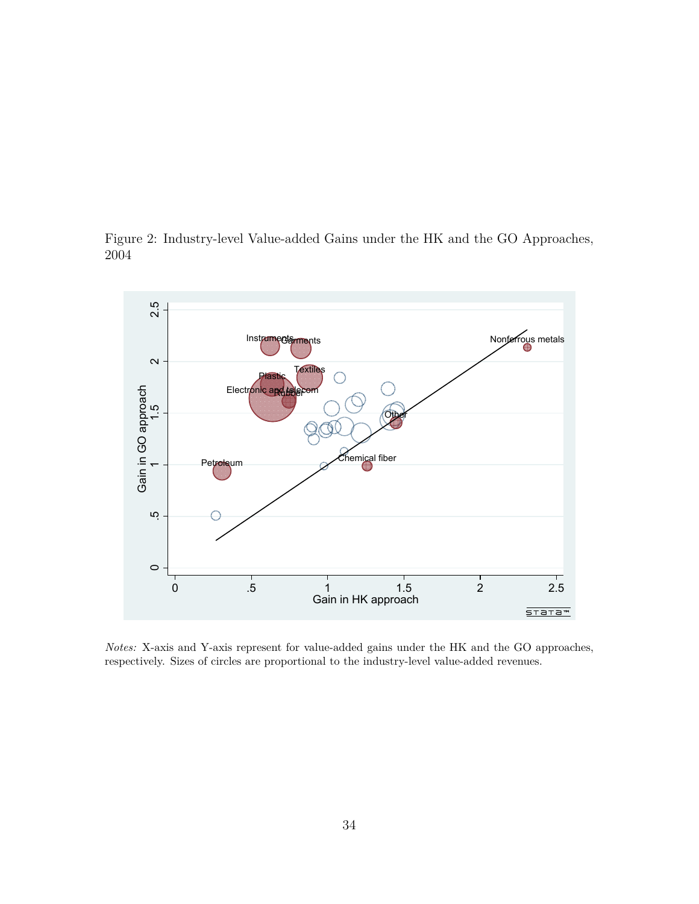<span id="page-34-0"></span>Figure 2: Industry-level Value-added Gains under the HK and the GO Approaches, 2004



*Notes:* X-axis and Y-axis represent for value-added gains under the HK and the GO approaches, respectively. Sizes of circles are proportional to the industry-level value-added revenues.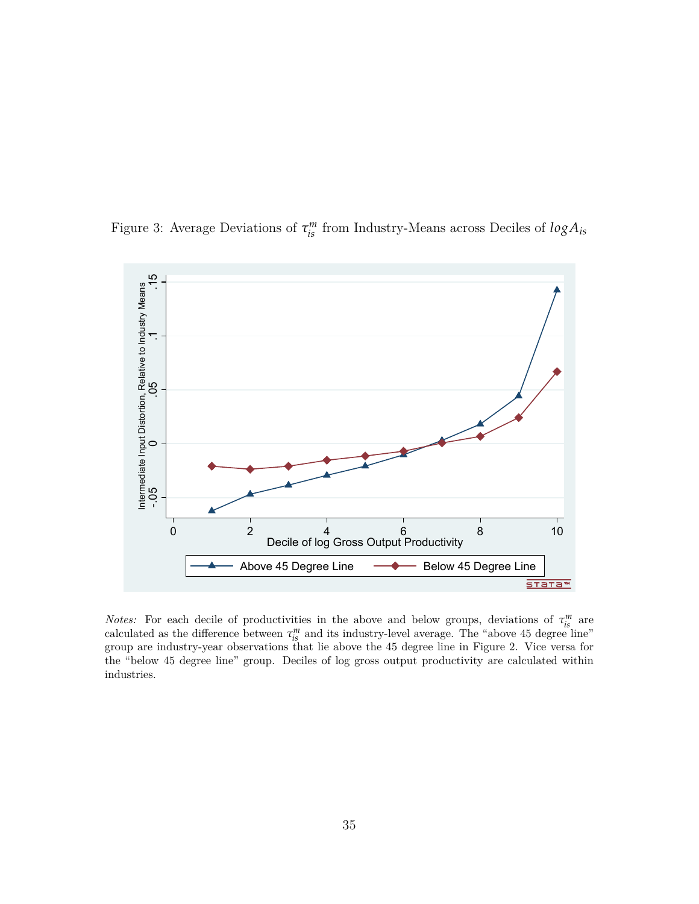

<span id="page-35-0"></span>Figure 3: Average Deviations of  $\tau_{is}^{m}$  from Industry-Means across Deciles of  $log A_{is}$ 

*Notes:* For each decile of productivities in the above and below groups, deviations of  $\tau_{is}^m$  are calculated as the difference between  $\tau_{is}^{m}$  and its industry-level average. The "above 45 degree line" group are industry-year observations that lie above the 45 degree line in Figure 2. Vice versa for the "below 45 degree line" group. Deciles of log gross output productivity are calculated within industries.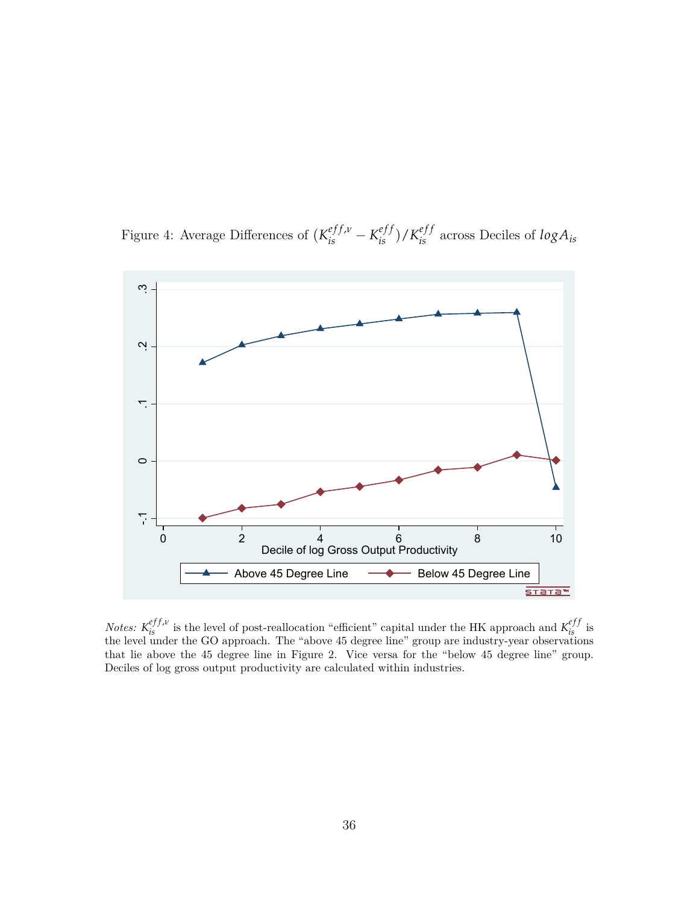<span id="page-36-0"></span>Figure 4: Average Differences of  $(K_{is}^{eff,v} - K_{is}^{eff})/K_{is}^{eff}$  across Deciles of  $log A_{is}$ 



*Notes:*  $K_{is}^{eff,\nu}$  is the level of post-reallocation "efficient" capital under the HK approach and  $K_{is}^{eff}$  is the level under the GO approach. The "above 45 degree line" group are industry-year observations that lie above the 45 degree line in Figure 2. Vice versa for the "below 45 degree line" group. Deciles of log gross output productivity are calculated within industries.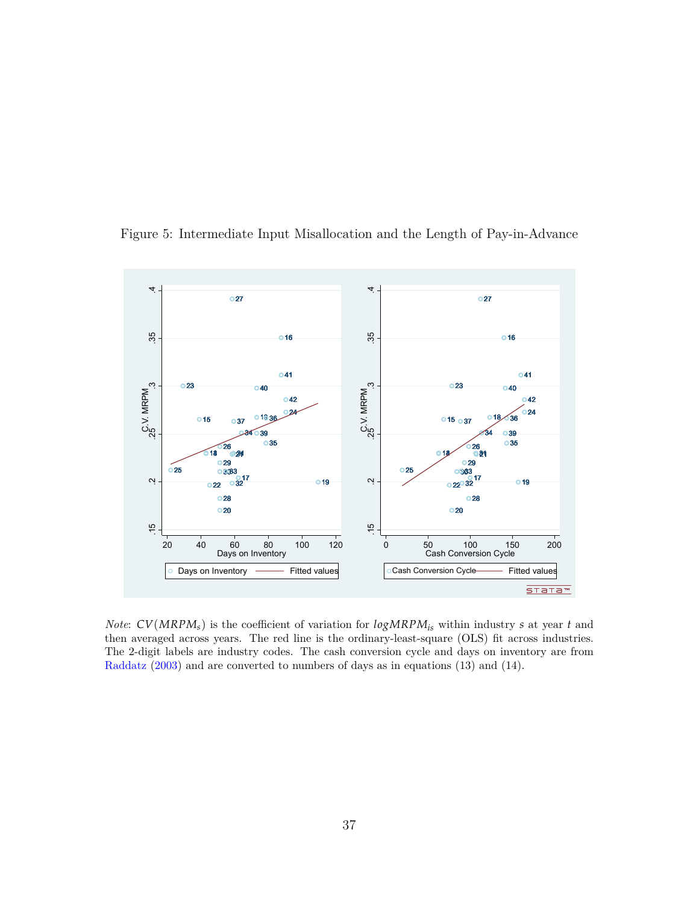

<span id="page-37-0"></span>Figure 5: Intermediate Input Misallocation and the Length of Pay-in-Advance

*Note*: *CV*(*MRPMs*) is the coefficient of variation for *logMRPMis* within industry *s* at year *t* and then averaged across years. The red line is the ordinary-least-square (OLS) fit across industries. The 2-digit labels are industry codes. The cash conversion cycle and days on inventory are from [Raddatz](#page-52-2) ([2003\)](#page-52-2) and are converted to numbers of days as in equations ([13\)](#page-13-0) and [\(14](#page-13-1)).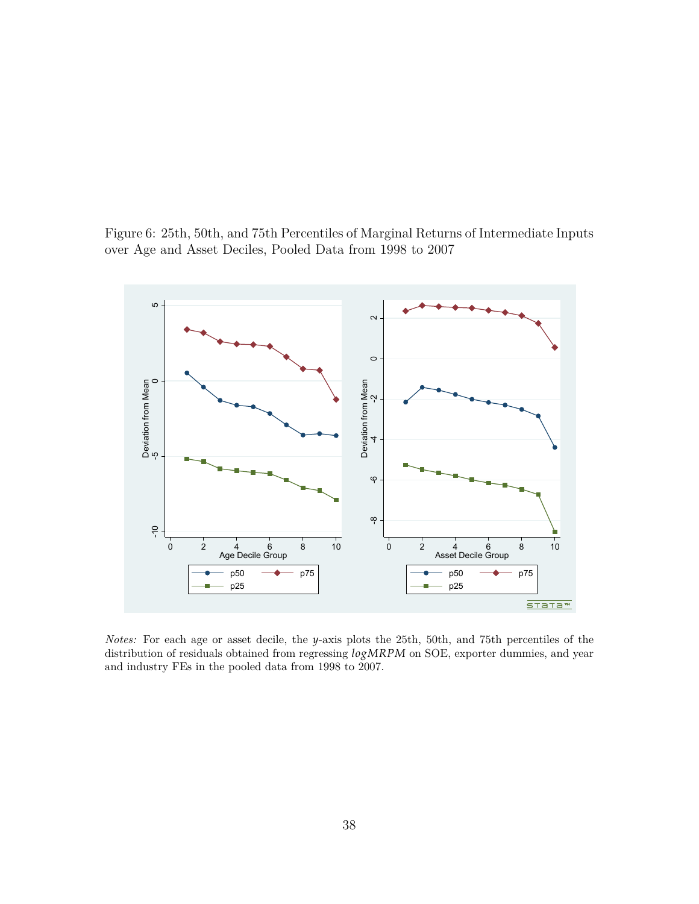<span id="page-38-0"></span>



*Notes:* For each age or asset decile, the *y*-axis plots the 25th, 50th, and 75th percentiles of the distribution of residuals obtained from regressing *logMRPM* on SOE, exporter dummies, and year and industry FEs in the pooled data from 1998 to 2007.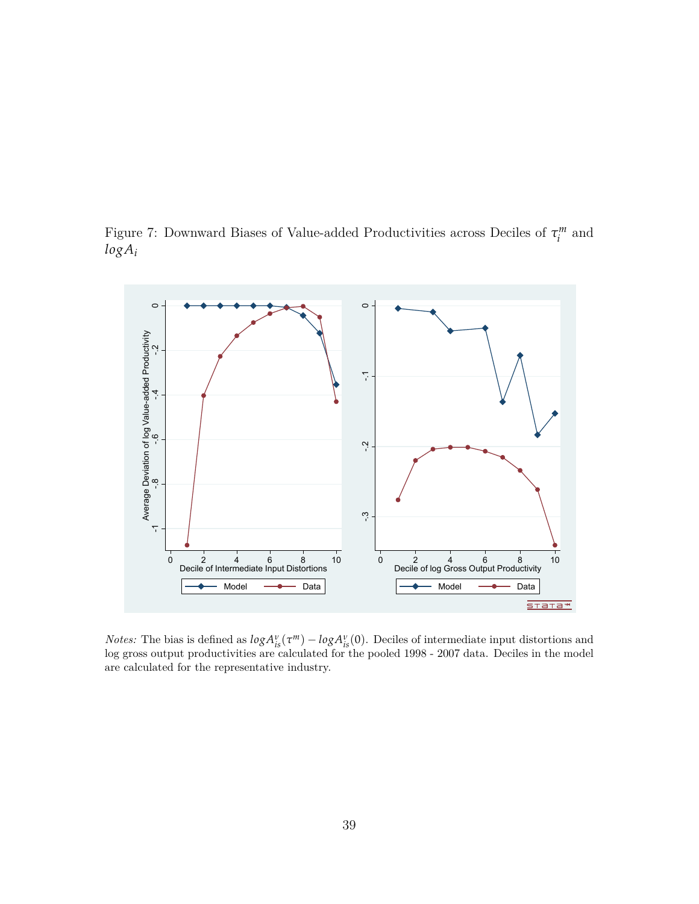<span id="page-39-0"></span>Figure 7: Downward Biases of Value-added Productivities across Deciles of *τ m*  $\int_{i}^{m}$  and *logA<sup>i</sup>*



*Notes:* The bias is defined as  $log A^{\nu}_{is}(\tau^m) - log A^{\nu}_{is}(0)$ . Deciles of intermediate input distortions and log gross output productivities are calculated for the pooled 1998 - 2007 data. Deciles in the model are calculated for the representative industry.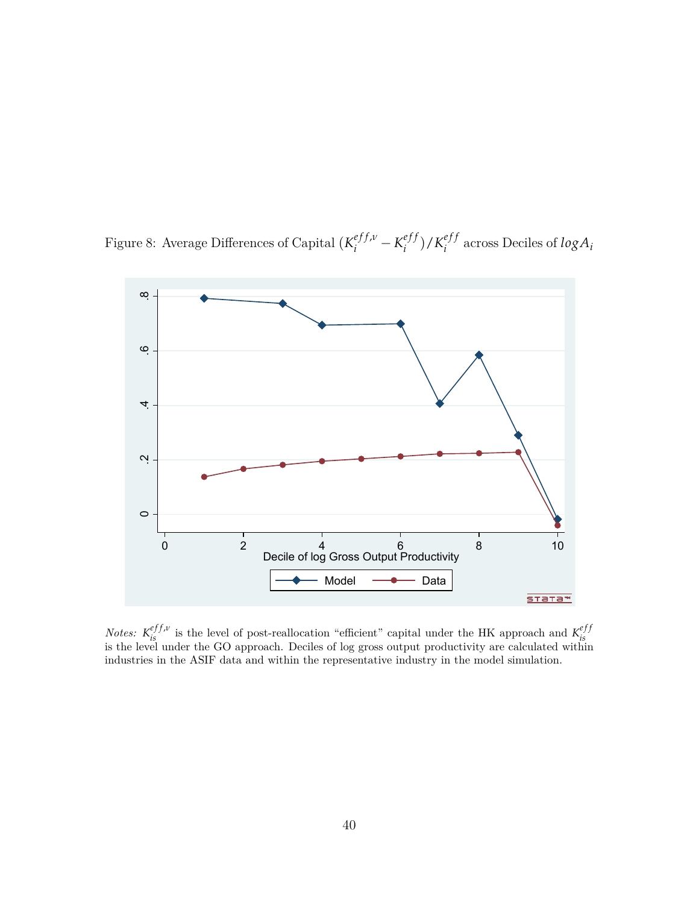<span id="page-40-0"></span>Figure 8: Average Differences of Capital  $(K_i^{eff,\nu} - K_i^{eff}$  $\binom{eff}{i}$  /  $K_i^{eff}$  $\sum_i^{e_j}$  across Deciles of  $log A_i$ 



*Notes:*  $K_{is}^{eff,\nu}$  is the level of post-reallocation "efficient" capital under the HK approach and  $K_{is}^{eff}$ is the level under the GO approach. Deciles of log gross output productivity are calculated within industries in the ASIF data and within the representative industry in the model simulation.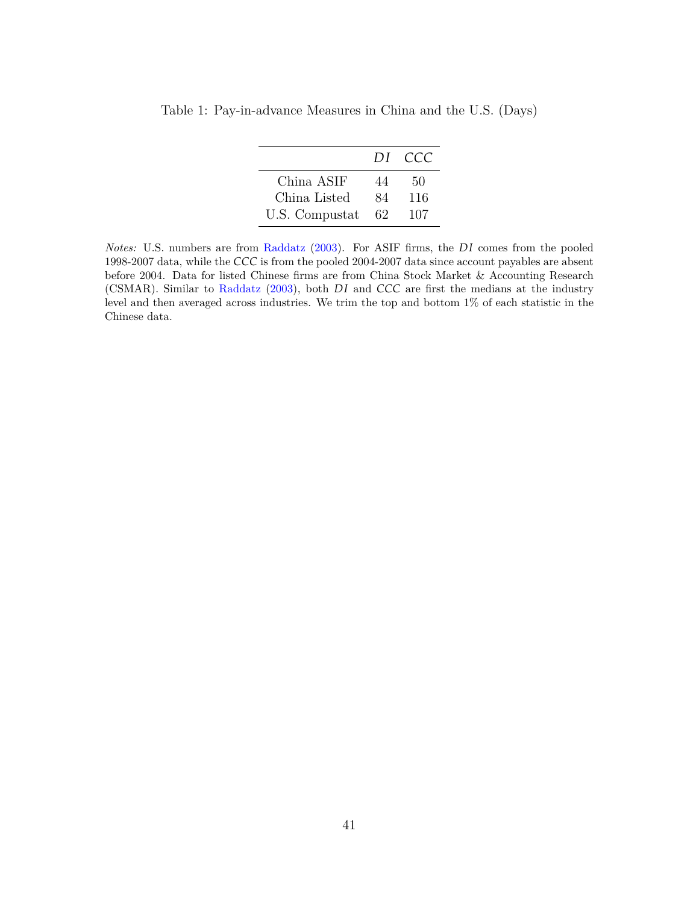|                | DI. | - CCC |
|----------------|-----|-------|
| China ASIF     | 44  | 50    |
| China Listed   | 84  | 116   |
| U.S. Compustat | 62  | 107   |

<span id="page-41-0"></span>Table 1: Pay-in-advance Measures in China and the U.S. (Days)

*Notes:* U.S. numbers are from [Raddatz](#page-52-2) ([2003\)](#page-52-2). For ASIF firms, the *DI* comes from the pooled 1998-2007 data, while the *CCC* is from the pooled 2004-2007 data since account payables are absent before 2004. Data for listed Chinese firms are from China Stock Market & Accounting Research (CSMAR). Similar to [Raddatz](#page-52-2) ([2003\)](#page-52-2), both *DI* and *CCC* are first the medians at the industry level and then averaged across industries. We trim the top and bottom 1% of each statistic in the Chinese data.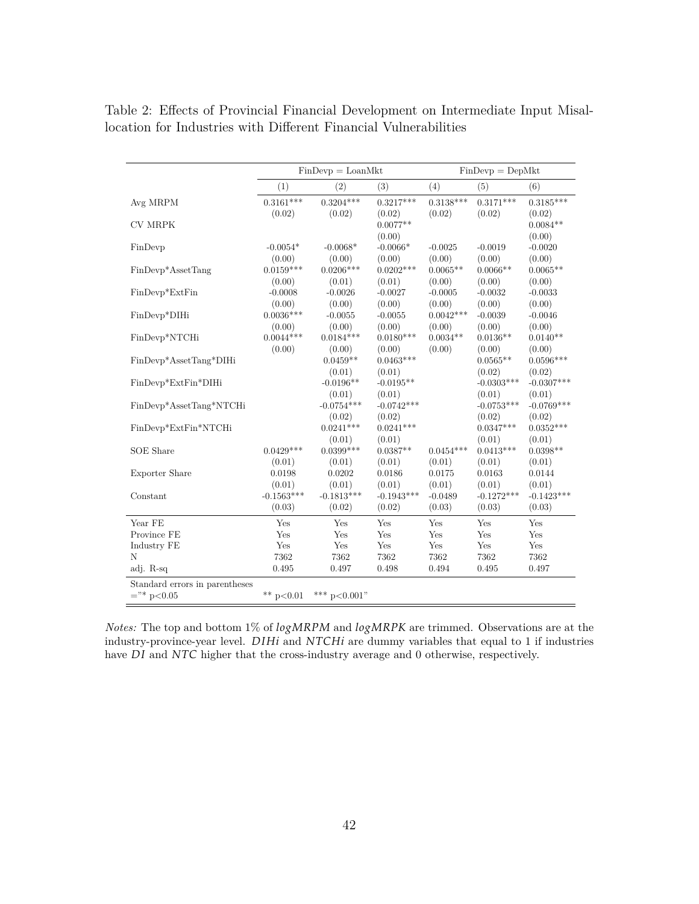|                                                 |                        | $FinDevp = LoanMkt$    |                        |                       | $FinDevp = DepMkt$     |                        |
|-------------------------------------------------|------------------------|------------------------|------------------------|-----------------------|------------------------|------------------------|
|                                                 | (1)                    | (2)                    | (3)                    | (4)                   | (5)                    | (6)                    |
| Avg MRPM                                        | $0.3161***$<br>(0.02)  | $0.3204***$<br>(0.02)  | $0.3217***$<br>(0.02)  | $0.3138***$<br>(0.02) | $0.3171***$<br>(0.02)  | $0.3185***$<br>(0.02)  |
| <b>CV MRPK</b>                                  |                        |                        | $0.0077**$<br>(0.00)   |                       |                        | $0.0084**$<br>(0.00)   |
| FinDevp                                         | $-0.0054*$<br>(0.00)   | $-0.0068*$<br>(0.00)   | $-0.0066*$<br>(0.00)   | $-0.0025$<br>(0.00)   | $-0.0019$<br>(0.00)    | $-0.0020$<br>(0.00)    |
| FinDevp*AssetTang                               | $0.0159***$<br>(0.00)  | $0.0206***$<br>(0.01)  | $0.0202***$<br>(0.01)  | $0.0065**$<br>(0.00)  | $0.0066**$<br>(0.00)   | $0.0065**$<br>(0.00)   |
| FinDevp*ExtFin                                  | $-0.0008$<br>(0.00)    | $-0.0026$<br>(0.00)    | $-0.0027$<br>(0.00)    | $-0.0005$<br>(0.00)   | $-0.0032$<br>(0.00)    | $-0.0033$<br>(0.00)    |
| FinDevp*DIHi                                    | $0.0036***$<br>(0.00)  | $-0.0055$<br>(0.00)    | $-0.0055$<br>(0.00)    | $0.0042***$<br>(0.00) | $-0.0039$<br>(0.00)    | $-0.0046$<br>(0.00)    |
| FinDevp*NTCHi                                   | $0.0044***$<br>(0.00)  | $0.0184***$<br>(0.00)  | $0.0180***$<br>(0.00)  | $0.0034**$<br>(0.00)  | $0.0136**$<br>(0.00)   | $0.0140**$<br>(0.00)   |
| FinDevp*AssetTang*DIHi                          |                        | $0.0459**$<br>(0.01)   | $0.0463***$<br>(0.01)  |                       | $0.0565**$<br>(0.02)   | $0.0596***$<br>(0.02)  |
| $\text{FinDevp*} \text{ExtFin*} \text{DH}$      |                        | $-0.0196**$<br>(0.01)  | $-0.0195**$<br>(0.01)  |                       | $-0.0303***$<br>(0.01) | $-0.0307***$<br>(0.01) |
| FinDevp*AssetTang*NTCHi                         |                        | $-0.0754***$<br>(0.02) | $-0.0742***$<br>(0.02) |                       | $-0.0753***$<br>(0.02) | $-0.0769***$<br>(0.02) |
| FinDevp*ExtFin*NTCHi                            |                        | $0.0241***$<br>(0.01)  | $0.0241***$<br>(0.01)  |                       | $0.0347***$<br>(0.01)  | $0.0352***$<br>(0.01)  |
| <b>SOE</b> Share                                | $0.0429***$<br>(0.01)  | $0.0399***$<br>(0.01)  | $0.0387**$<br>(0.01)   | $0.0454***$<br>(0.01) | $0.0413***$<br>(0.01)  | $0.0398**$<br>(0.01)   |
| Exporter Share                                  | 0.0198<br>(0.01)       | 0.0202<br>(0.01)       | 0.0186<br>(0.01)       | 0.0175<br>(0.01)      | 0.0163<br>(0.01)       | 0.0144<br>(0.01)       |
| Constant                                        | $-0.1563***$<br>(0.03) | $-0.1813***$<br>(0.02) | $-0.1943***$<br>(0.02) | $-0.0489$<br>(0.03)   | $-0.1272***$<br>(0.03) | $-0.1423***$<br>(0.03) |
| Year FE                                         | Yes                    | Yes                    | Yes                    | Yes                   | Yes                    | Yes                    |
| Province FE                                     | Yes                    | Yes                    | Yes                    | $\operatorname{Yes}$  | Yes                    | Yes                    |
| Industry FE                                     | Yes                    | Yes                    | Yes                    | Yes                   | Yes                    | Yes                    |
| N                                               | 7362                   | 7362                   | 7362                   | 7362                  | 7362                   | 7362                   |
| adj. R-sq                                       | 0.495                  | 0.497                  | 0.498                  | 0.494                 | 0.495                  | 0.497                  |
| Standard errors in parentheses<br>$=$ "* p<0.05 | ** $p<0.01$            | *** $p<0.001$ "        |                        |                       |                        |                        |

<span id="page-42-0"></span>Table 2: Effects of Provincial Financial Development on Intermediate Input Misallocation for Industries with Different Financial Vulnerabilities

*Notes:* The top and bottom 1% of *logMRPM* and *logMRPK* are trimmed. Observations are at the industry-province-year level. *D IHi* and *NTCHi* are dummy variables that equal to 1 if industries have *DI* and *NTC* higher that the cross-industry average and 0 otherwise, respectively.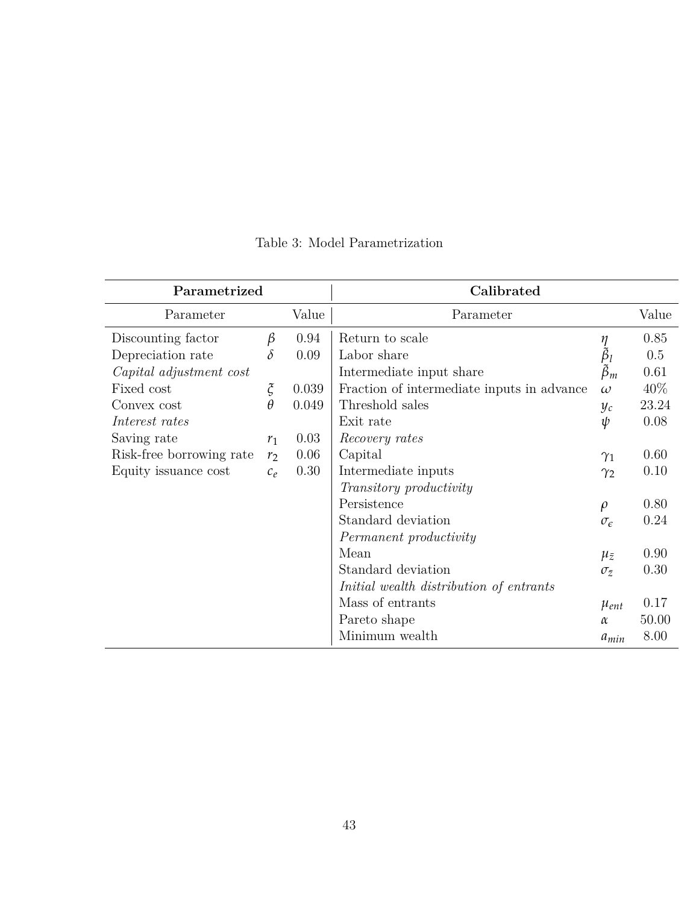<span id="page-43-0"></span>

| Parametrized             |                              |       | Calibrated                                 |                                                                           |       |
|--------------------------|------------------------------|-------|--------------------------------------------|---------------------------------------------------------------------------|-------|
| Parameter                |                              | Value | Parameter                                  |                                                                           | Value |
| Discounting factor       | β                            | 0.94  | Return to scale                            |                                                                           | 0.85  |
| Depreciation rate        | $\delta$                     | 0.09  | Labor share                                | $\begin{array}{c} \eta \\ \tilde{\beta}_l \\ \tilde{\beta}_m \end{array}$ | 0.5   |
| Capital adjustment cost  |                              |       | Intermediate input share                   |                                                                           | 0.61  |
| Fixed cost               | $\boldsymbol{\tilde{\zeta}}$ | 0.039 | Fraction of intermediate inputs in advance | $\omega$                                                                  | 40\%  |
| Convex cost              | $\theta$                     | 0.049 | Threshold sales                            | $y_c$                                                                     | 23.24 |
| Interest rates           |                              |       | Exit rate                                  | $\psi$                                                                    | 0.08  |
| Saving rate              | $r_1$                        | 0.03  | Recovery rates                             |                                                                           |       |
| Risk-free borrowing rate | r <sub>2</sub>               | 0.06  | Capital                                    | $\gamma_1$                                                                | 0.60  |
| Equity issuance cost     | $c_e$                        | 0.30  | Intermediate inputs                        | $\gamma_2$                                                                | 0.10  |
|                          |                              |       | <i>Transitory productivity</i>             |                                                                           |       |
|                          |                              |       | Persistence                                | $\rho$                                                                    | 0.80  |
|                          |                              |       | Standard deviation                         | $\sigma_{\epsilon}$                                                       | 0.24  |
|                          |                              |       | Permanent productivity                     |                                                                           |       |
|                          |                              |       | Mean                                       | $\mu_{\bar{z}}$                                                           | 0.90  |
|                          |                              |       | Standard deviation                         | $\sigma_{\bar{z}}$                                                        | 0.30  |
|                          |                              |       | Initial wealth distribution of entrants    |                                                                           |       |
|                          |                              |       | Mass of entrants                           | $\mu_{ent}$                                                               | 0.17  |
|                          |                              |       | Pareto shape                               | $\alpha$                                                                  | 50.00 |
|                          |                              |       | Minimum wealth                             | $a_{min}$                                                                 | 8.00  |

Table 3: Model Parametrization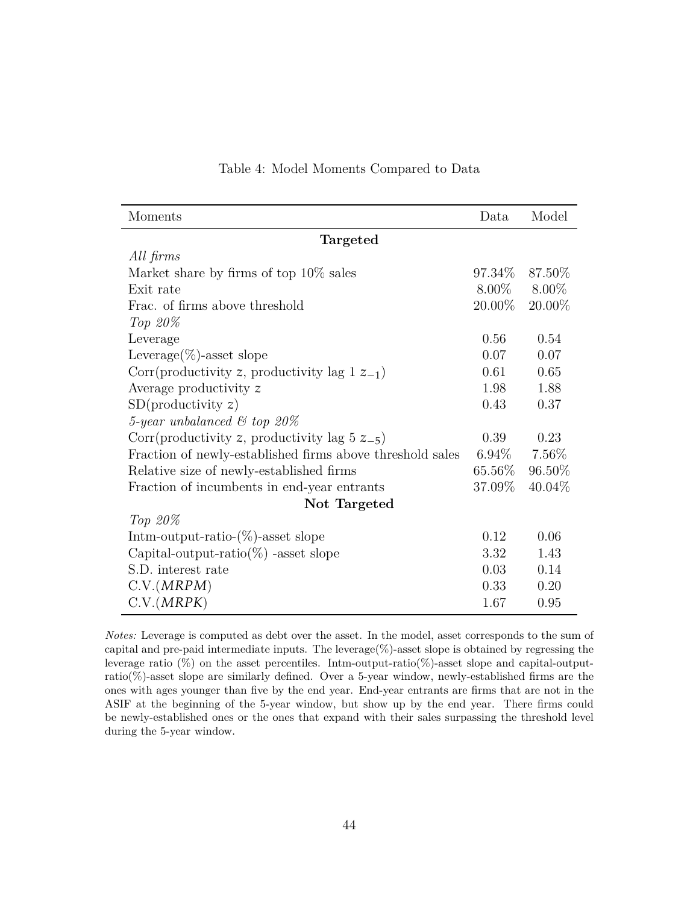<span id="page-44-0"></span>

| Moments                                                   | Data      | Model             |  |  |  |  |  |  |  |
|-----------------------------------------------------------|-----------|-------------------|--|--|--|--|--|--|--|
| Targeted                                                  |           |                   |  |  |  |  |  |  |  |
| All firms                                                 |           |                   |  |  |  |  |  |  |  |
| Market share by firms of top 10\% sales                   | 97.34\%   | 87.50%            |  |  |  |  |  |  |  |
| Exit rate                                                 |           | $8.00\%$ $8.00\%$ |  |  |  |  |  |  |  |
| Frac. of firms above threshold                            | $20.00\%$ | 20.00%            |  |  |  |  |  |  |  |
| Top $20\%$                                                |           |                   |  |  |  |  |  |  |  |
| Leverage                                                  | 0.56      | 0.54              |  |  |  |  |  |  |  |
| Leverage $(\%)$ -asset slope                              | 0.07      | 0.07              |  |  |  |  |  |  |  |
| Corr(productivity z, productivity lag $1 z_{-1}$ )        | 0.61      | 0.65              |  |  |  |  |  |  |  |
| Average productivity z                                    | 1.98      | 1.88              |  |  |  |  |  |  |  |
| SD(productivity z)                                        | 0.43      | 0.37              |  |  |  |  |  |  |  |
| 5-year unbalanced $\mathcal C$ top 20%                    |           |                   |  |  |  |  |  |  |  |
| Corr(productivity z, productivity lag $5z_{-5}$ )         | 0.39      | 0.23              |  |  |  |  |  |  |  |
| Fraction of newly-established firms above threshold sales | $6.94\%$  | $7.56\%$          |  |  |  |  |  |  |  |
| Relative size of newly-established firms                  | 65.56\%   | 96.50%            |  |  |  |  |  |  |  |
| Fraction of incumbents in end-year entrants               | 37.09%    | 40.04\%           |  |  |  |  |  |  |  |
| Not Targeted                                              |           |                   |  |  |  |  |  |  |  |
| Top $20\%$                                                |           |                   |  |  |  |  |  |  |  |
| Intm-output-ratio- $(\%)$ -asset slope                    | 0.12      | 0.06              |  |  |  |  |  |  |  |
| Capital-output-ratio( $\%$ ) -asset slope                 | 3.32      | 1.43              |  |  |  |  |  |  |  |
| S.D. interest rate                                        | 0.03      | 0.14              |  |  |  |  |  |  |  |
| C.V.(MRPM)                                                | 0.33      | 0.20              |  |  |  |  |  |  |  |
| C.V.(MRPK)                                                | 1.67      | 0.95              |  |  |  |  |  |  |  |

#### Table 4: Model Moments Compared to Data

*Notes:* Leverage is computed as debt over the asset. In the model, asset corresponds to the sum of capital and pre-paid intermediate inputs. The leverage(%)-asset slope is obtained by regressing the leverage ratio  $(\%)$  on the asset percentiles. Intm-output-ratio( $\%)$ -asset slope and capital-outputratio(%)-asset slope are similarly defined. Over a 5-year window, newly-established firms are the ones with ages younger than five by the end year. End-year entrants are firms that are not in the ASIF at the beginning of the 5-year window, but show up by the end year. There firms could be newly-established ones or the ones that expand with their sales surpassing the threshold level during the 5-year window.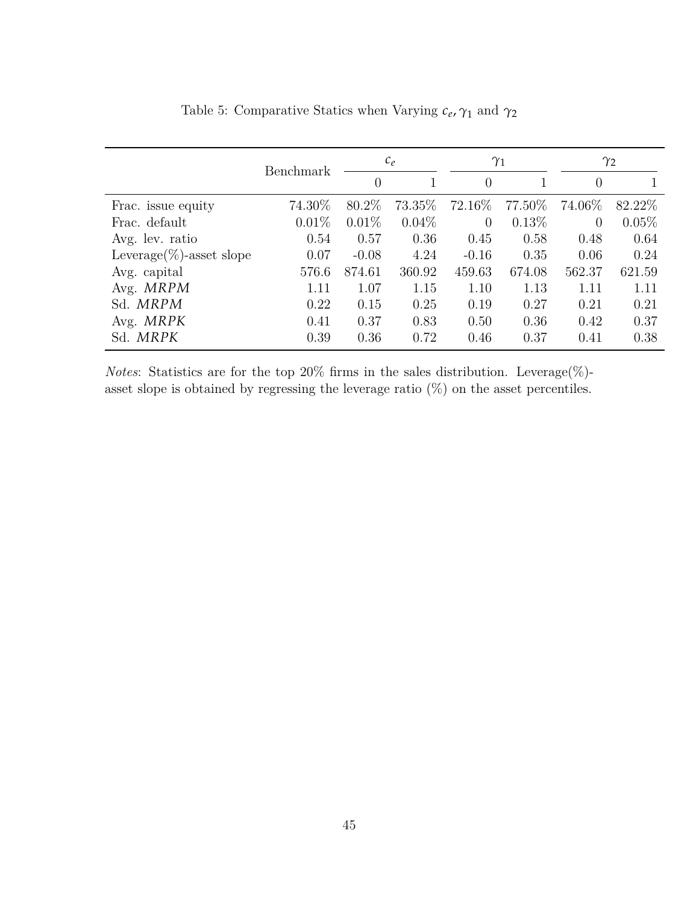<span id="page-45-0"></span>

|                              | Benchmark |                | $c_e$    |                | $\gamma_1$ |          | $\gamma_2$ |
|------------------------------|-----------|----------------|----------|----------------|------------|----------|------------|
|                              |           | $\overline{0}$ |          | $\overline{0}$ |            | $\theta$ |            |
| Frac. issue equity           | 74.30%    | 80.2\%         | 73.35%   | 72.16\%        | 77.50%     | 74.06\%  | 82.22\%    |
| Frac. default                | 0.01%     | $0.01\%$       | $0.04\%$ | $\overline{0}$ | 0.13%      | $\theta$ | $0.05\%$   |
| Avg. lev. ratio              | 0.54      | 0.57           | 0.36     | 0.45           | 0.58       | 0.48     | 0.64       |
| Leverage $(\%)$ -asset slope | 0.07      | $-0.08$        | 4.24     | $-0.16$        | 0.35       | 0.06     | 0.24       |
| Avg. capital                 | 576.6     | 874.61         | 360.92   | 459.63         | 674.08     | 562.37   | 621.59     |
| Avg. MRPM                    | 1.11      | 1.07           | 1.15     | 1.10           | 1.13       | 1.11     | 1.11       |
| Sd. MRPM                     | 0.22      | 0.15           | 0.25     | 0.19           | 0.27       | 0.21     | 0.21       |
| Avg. MRPK                    | 0.41      | 0.37           | 0.83     | 0.50           | 0.36       | 0.42     | 0.37       |
| Sd. MRPK                     | 0.39      | 0.36           | 0.72     | 0.46           | 0.37       | 0.41     | 0.38       |

Table 5: Comparative Statics when Varying *c<sup>e</sup>* , *γ*<sup>1</sup> and *γ*<sup>2</sup>

*Notes*: Statistics are for the top 20% firms in the sales distribution. Leverage(%)asset slope is obtained by regressing the leverage ratio  $(\%)$  on the asset percentiles.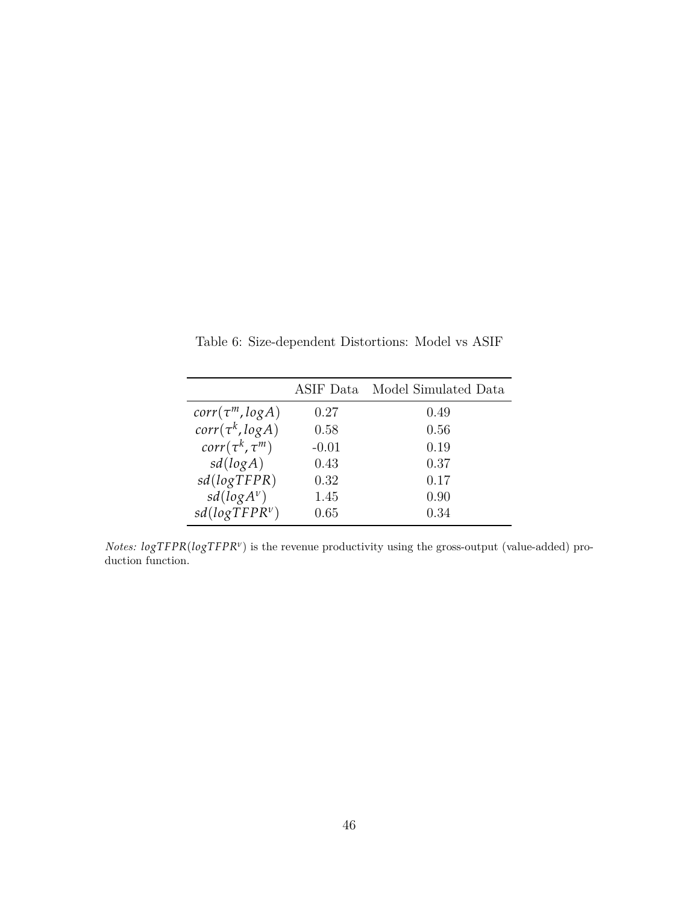|                        | ASIF Data | Model Simulated Data |
|------------------------|-----------|----------------------|
| $corr(\tau^m, logA)$   | 0.27      | 0.49                 |
| $corr(\tau^k, log A)$  | 0.58      | 0.56                 |
| $corr(\tau^k, \tau^m)$ | $-0.01$   | 0.19                 |
| sd(logA)               | 0.43      | 0.37                 |
| sd(logTFPR)            | 0.32      | 0.17                 |
| $sd(log A^{\nu})$      | 1.45      | 0.90                 |
| $sd(logTFPR^{\nu})$    | 0.65      | 0.34                 |

<span id="page-46-0"></span>Table 6: Size-dependent Distortions: Model vs ASIF

*Notes:*  $logTFPR(logTFPR<sup>v</sup>)$  is the revenue productivity using the gross-output (value-added) production function.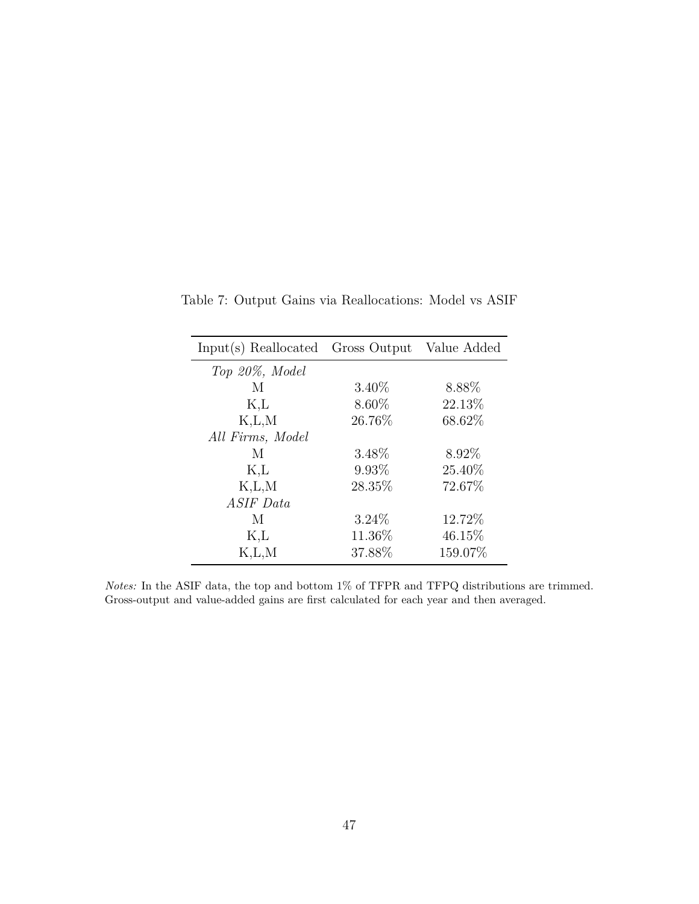| Input(s) Reallocated Gross Output Value Added |          |         |
|-----------------------------------------------|----------|---------|
| Top 20%, Model                                |          |         |
| M                                             | $3.40\%$ | 8.88%   |
| K,L                                           | $8.60\%$ | 22.13%  |
| K, L, M                                       | 26.76%   | 68.62%  |
| All Firms, Model                              |          |         |
| М                                             | 3.48\%   | 8.92%   |
| K,L                                           | 9.93%    | 25.40%  |
| K, L, M                                       | 28.35%   | 72.67%  |
| ASIF Data                                     |          |         |
| М                                             | $3.24\%$ | 12.72%  |
| K,L                                           | 11.36%   | 46.15\% |
| K, L, M                                       | 37.88%   | 159.07% |

<span id="page-47-0"></span>Table 7: Output Gains via Reallocations: Model vs ASIF

*Notes:* In the ASIF data, the top and bottom 1% of TFPR and TFPQ distributions are trimmed. Gross-output and value-added gains are first calculated for each year and then averaged.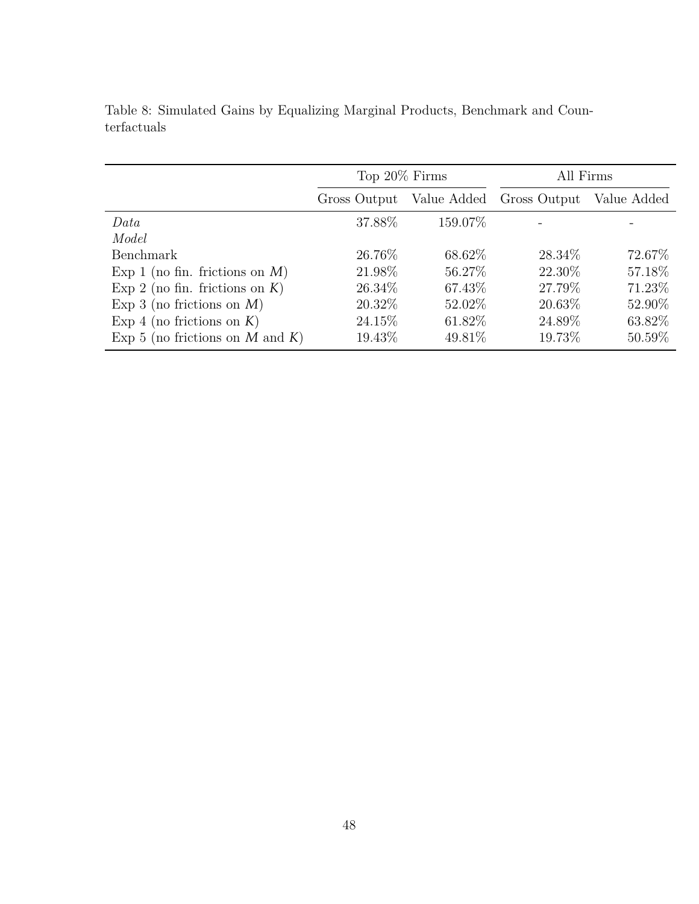|                                   | Top 20% Firms |             | All Firms    |             |  |
|-----------------------------------|---------------|-------------|--------------|-------------|--|
|                                   | Gross Output  | Value Added | Gross Output | Value Added |  |
| Data                              | 37.88\%       | 159.07\%    |              |             |  |
| Model                             |               |             |              |             |  |
| <b>Benchmark</b>                  | 26.76\%       | 68.62\%     | 28.34\%      | 72.67\%     |  |
| Exp 1 (no fin. frictions on $M$ ) | 21.98\%       | 56.27\%     | 22.30\%      | 57.18%      |  |
| Exp 2 (no fin. frictions on $K$ ) | 26.34\%       | 67.43\%     | 27.79%       | 71.23%      |  |
| Exp 3 (no frictions on $M$ )      | 20.32\%       | 52.02\%     | 20.63%       | 52.90%      |  |
| Exp 4 (no frictions on $K$ )      | 24.15\%       | 61.82\%     | 24.89%       | 63.82%      |  |
| Exp 5 (no frictions on M and K)   | 19.43\%       | 49.81\%     | 19.73%       | 50.59%      |  |

<span id="page-48-0"></span>Table 8: Simulated Gains by Equalizing Marginal Products, Benchmark and Counterfactuals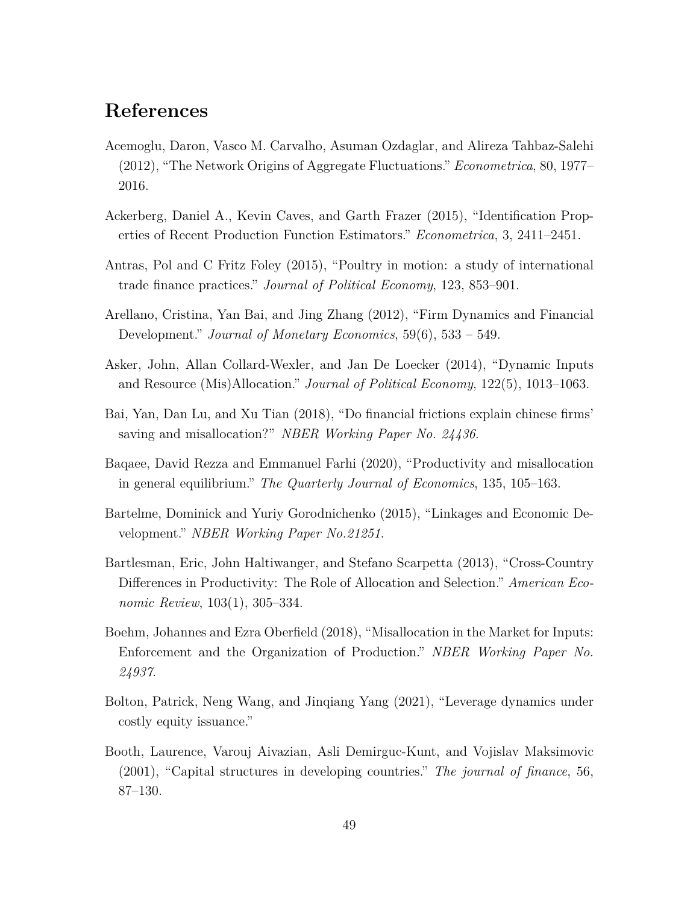# **References**

- <span id="page-49-0"></span>Acemoglu, Daron, Vasco M. Carvalho, Asuman Ozdaglar, and Alireza Tahbaz-Salehi (2012), "The Network Origins of Aggregate Fluctuations." *Econometrica*, 80, 1977– 2016.
- <span id="page-49-8"></span>Ackerberg, Daniel A., Kevin Caves, and Garth Frazer (2015), "Identification Properties of Recent Production Function Estimators." *Econometrica*, 3, 2411–2451.
- <span id="page-49-7"></span>Antras, Pol and C Fritz Foley (2015), "Poultry in motion: a study of international trade finance practices." *Journal of Political Economy*, 123, 853–901.
- <span id="page-49-4"></span>Arellano, Cristina, Yan Bai, and Jing Zhang (2012), "Firm Dynamics and Financial Development." *Journal of Monetary Economics*, 59(6), 533 – 549.
- <span id="page-49-3"></span>Asker, John, Allan Collard-Wexler, and Jan De Loecker (2014), "Dynamic Inputs and Resource (Mis)Allocation." *Journal of Political Economy*, 122(5), 1013–1063.
- <span id="page-49-6"></span>Bai, Yan, Dan Lu, and Xu Tian (2018), "Do financial frictions explain chinese firms' saving and misallocation?" *NBER Working Paper No. 24436*.
- <span id="page-49-5"></span>Baqaee, David Rezza and Emmanuel Farhi (2020), "Productivity and misallocation in general equilibrium." *The Quarterly Journal of Economics*, 135, 105–163.
- <span id="page-49-11"></span>Bartelme, Dominick and Yuriy Gorodnichenko (2015), "Linkages and Economic Development." *NBER Working Paper No.21251*.
- <span id="page-49-2"></span>Bartlesman, Eric, John Haltiwanger, and Stefano Scarpetta (2013), "Cross-Country Differences in Productivity: The Role of Allocation and Selection." *American Economic Review*, 103(1), 305–334.
- <span id="page-49-1"></span>Boehm, Johannes and Ezra Oberfield (2018), "Misallocation in the Market for Inputs: Enforcement and the Organization of Production." *NBER Working Paper No. 24937*.
- <span id="page-49-10"></span>Bolton, Patrick, Neng Wang, and Jinqiang Yang (2021), "Leverage dynamics under costly equity issuance."
- <span id="page-49-9"></span>Booth, Laurence, Varouj Aivazian, Asli Demirguc-Kunt, and Vojislav Maksimovic (2001), "Capital structures in developing countries." *The journal of finance*, 56, 87–130.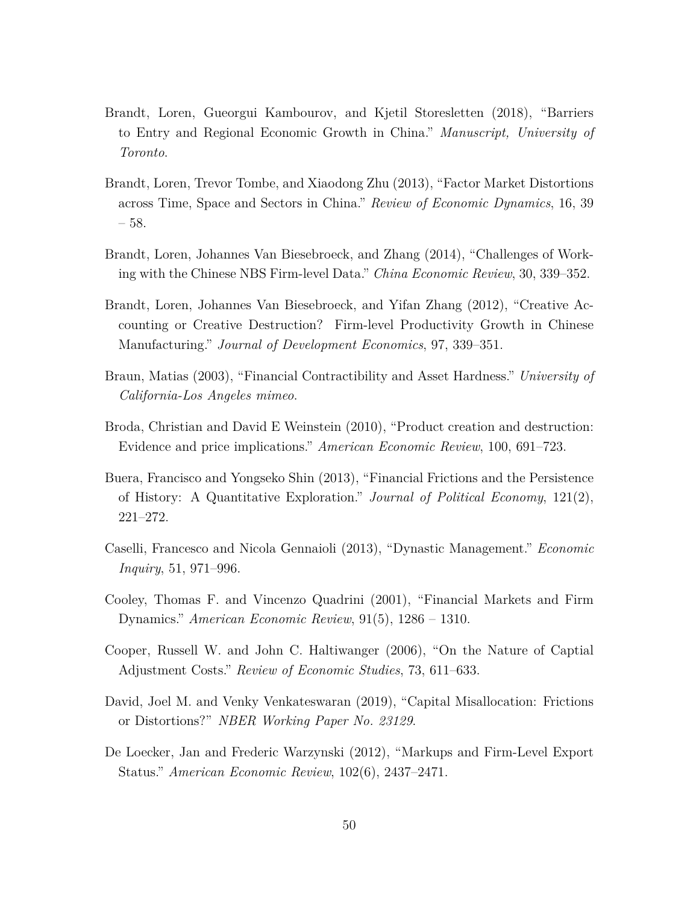- <span id="page-50-6"></span>Brandt, Loren, Gueorgui Kambourov, and Kjetil Storesletten (2018), "Barriers to Entry and Regional Economic Growth in China." *Manuscript, University of Toronto*.
- <span id="page-50-5"></span>Brandt, Loren, Trevor Tombe, and Xiaodong Zhu (2013), "Factor Market Distortions across Time, Space and Sectors in China." *Review of Economic Dynamics*, 16, 39 – 58.
- <span id="page-50-7"></span>Brandt, Loren, Johannes Van Biesebroeck, and Zhang (2014), "Challenges of Working with the Chinese NBS Firm-level Data." *China Economic Review*, 30, 339–352.
- <span id="page-50-4"></span>Brandt, Loren, Johannes Van Biesebroeck, and Yifan Zhang (2012), "Creative Accounting or Creative Destruction? Firm-level Productivity Growth in Chinese Manufacturing." *Journal of Development Economics*, 97, 339–351.
- <span id="page-50-0"></span>Braun, Matias (2003), "Financial Contractibility and Asset Hardness." *University of California-Los Angeles mimeo*.
- <span id="page-50-9"></span>Broda, Christian and David E Weinstein (2010), "Product creation and destruction: Evidence and price implications." *American Economic Review*, 100, 691–723.
- <span id="page-50-3"></span>Buera, Francisco and Yongseko Shin (2013), "Financial Frictions and the Persistence of History: A Quantitative Exploration." *Journal of Political Economy*, 121(2), 221–272.
- <span id="page-50-2"></span>Caselli, Francesco and Nicola Gennaioli (2013), "Dynastic Management." *Economic Inquiry*, 51, 971–996.
- <span id="page-50-1"></span>Cooley, Thomas F. and Vincenzo Quadrini (2001), "Financial Markets and Firm Dynamics." *American Economic Review*, 91(5), 1286 – 1310.
- <span id="page-50-11"></span>Cooper, Russell W. and John C. Haltiwanger (2006), "On the Nature of Captial Adjustment Costs." *Review of Economic Studies*, 73, 611–633.
- <span id="page-50-8"></span>David, Joel M. and Venky Venkateswaran (2019), "Capital Misallocation: Frictions or Distortions?" *NBER Working Paper No. 23129*.
- <span id="page-50-10"></span>De Loecker, Jan and Frederic Warzynski (2012), "Markups and Firm-Level Export Status." *American Economic Review*, 102(6), 2437–2471.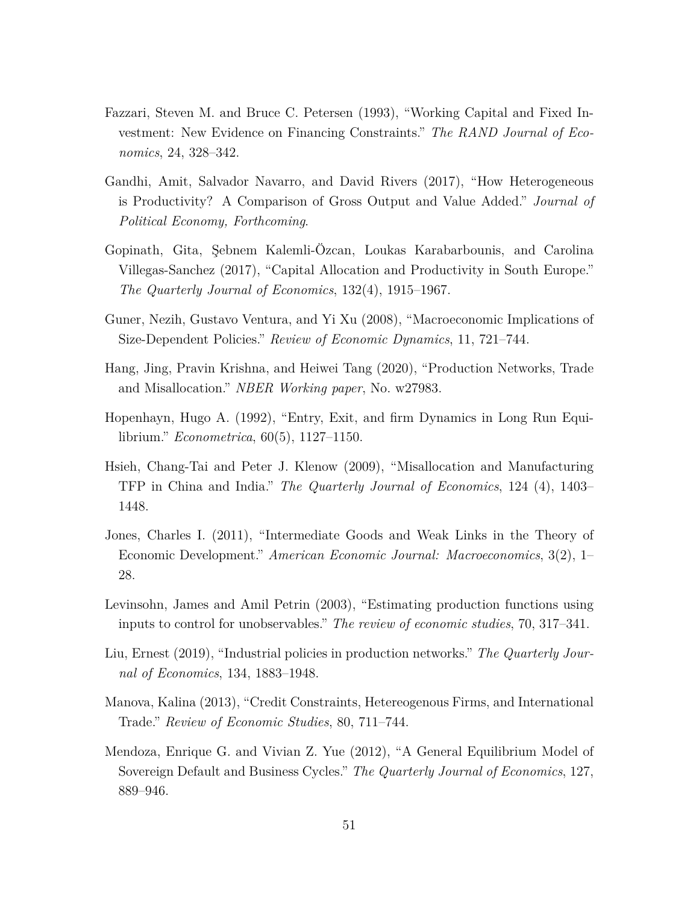- <span id="page-51-8"></span>Fazzari, Steven M. and Bruce C. Petersen (1993), "Working Capital and Fixed Investment: New Evidence on Financing Constraints." *The RAND Journal of Economics*, 24, 328–342.
- <span id="page-51-11"></span>Gandhi, Amit, Salvador Navarro, and David Rivers (2017), "How Heterogeneous is Productivity? A Comparison of Gross Output and Value Added." *Journal of Political Economy, Forthcoming*.
- <span id="page-51-4"></span>Gopinath, Gita, Şebnem Kalemli-Özcan, Loukas Karabarbounis, and Carolina Villegas-Sanchez (2017), "Capital Allocation and Productivity in South Europe." *The Quarterly Journal of Economics*, 132(4), 1915–1967.
- <span id="page-51-2"></span>Guner, Nezih, Gustavo Ventura, and Yi Xu (2008), "Macroeconomic Implications of Size-Dependent Policies." *Review of Economic Dynamics*, 11, 721–744.
- <span id="page-51-5"></span>Hang, Jing, Pravin Krishna, and Heiwei Tang (2020), "Production Networks, Trade and Misallocation." *NBER Working paper*, No. w27983.
- <span id="page-51-3"></span>Hopenhayn, Hugo A. (1992), "Entry, Exit, and firm Dynamics in Long Run Equilibrium." *Econometrica*, 60(5), 1127–1150.
- <span id="page-51-0"></span>Hsieh, Chang-Tai and Peter J. Klenow (2009), "Misallocation and Manufacturing TFP in China and India." *The Quarterly Journal of Economics*, 124 (4), 1403– 1448.
- <span id="page-51-1"></span>Jones, Charles I. (2011), "Intermediate Goods and Weak Links in the Theory of Economic Development." *American Economic Journal: Macroeconomics*, 3(2), 1– 28.
- <span id="page-51-10"></span>Levinsohn, James and Amil Petrin (2003), "Estimating production functions using inputs to control for unobservables." *The review of economic studies*, 70, 317–341.
- <span id="page-51-6"></span>Liu, Ernest (2019), "Industrial policies in production networks." *The Quarterly Journal of Economics*, 134, 1883–1948.
- <span id="page-51-7"></span>Manova, Kalina (2013), "Credit Constraints, Hetereogenous Firms, and International Trade." *Review of Economic Studies*, 80, 711–744.
- <span id="page-51-9"></span>Mendoza, Enrique G. and Vivian Z. Yue (2012), "A General Equilibrium Model of Sovereign Default and Business Cycles." *The Quarterly Journal of Economics*, 127, 889–946.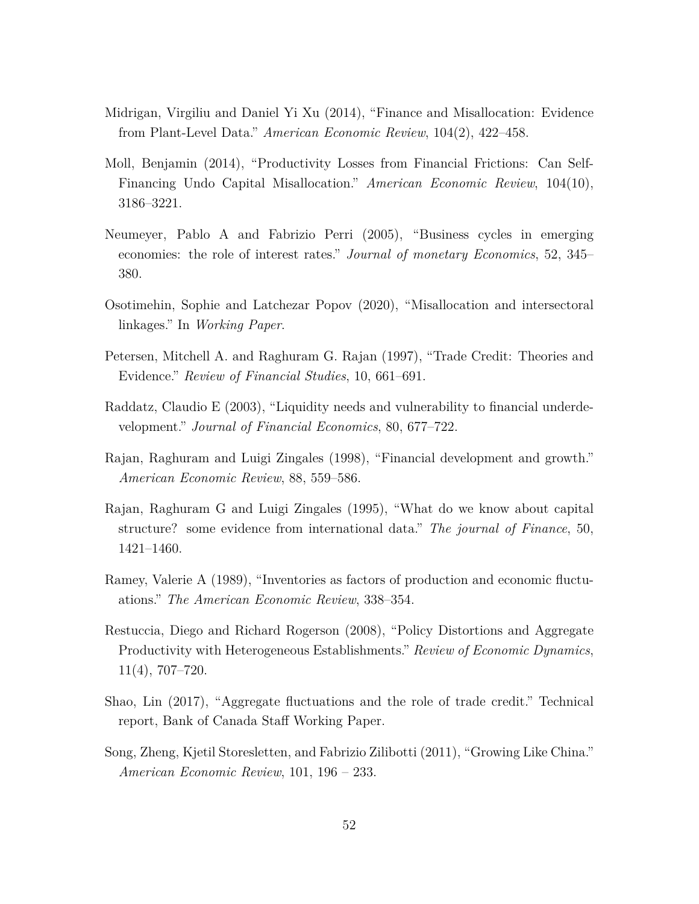- <span id="page-52-4"></span>Midrigan, Virgiliu and Daniel Yi Xu (2014), "Finance and Misallocation: Evidence from Plant-Level Data." *American Economic Review*, 104(2), 422–458.
- <span id="page-52-11"></span>Moll, Benjamin (2014), "Productivity Losses from Financial Frictions: Can Self-Financing Undo Capital Misallocation." *American Economic Review*, 104(10), 3186–3221.
- <span id="page-52-9"></span>Neumeyer, Pablo A and Fabrizio Perri (2005), "Business cycles in emerging economies: the role of interest rates." *Journal of monetary Economics*, 52, 345– 380.
- <span id="page-52-5"></span>Osotimehin, Sophie and Latchezar Popov (2020), "Misallocation and intersectoral linkages." In *Working Paper*.
- <span id="page-52-7"></span>Petersen, Mitchell A. and Raghuram G. Rajan (1997), "Trade Credit: Theories and Evidence." *Review of Financial Studies*, 10, 661–691.
- <span id="page-52-2"></span>Raddatz, Claudio E (2003), "Liquidity needs and vulnerability to financial underdevelopment." *Journal of Financial Economics*, 80, 677–722.
- <span id="page-52-3"></span>Rajan, Raghuram and Luigi Zingales (1998), "Financial development and growth." *American Economic Review*, 88, 559–586.
- <span id="page-52-10"></span>Rajan, Raghuram G and Luigi Zingales (1995), "What do we know about capital structure? some evidence from international data." *The journal of Finance*, 50, 1421–1460.
- <span id="page-52-1"></span>Ramey, Valerie A (1989), "Inventories as factors of production and economic fluctuations." *The American Economic Review*, 338–354.
- <span id="page-52-0"></span>Restuccia, Diego and Richard Rogerson (2008), "Policy Distortions and Aggregate Productivity with Heterogeneous Establishments." *Review of Economic Dynamics*, 11(4), 707–720.
- <span id="page-52-8"></span>Shao, Lin (2017), "Aggregate fluctuations and the role of trade credit." Technical report, Bank of Canada Staff Working Paper.
- <span id="page-52-6"></span>Song, Zheng, Kjetil Storesletten, and Fabrizio Zilibotti (2011), "Growing Like China." *American Economic Review*, 101, 196 – 233.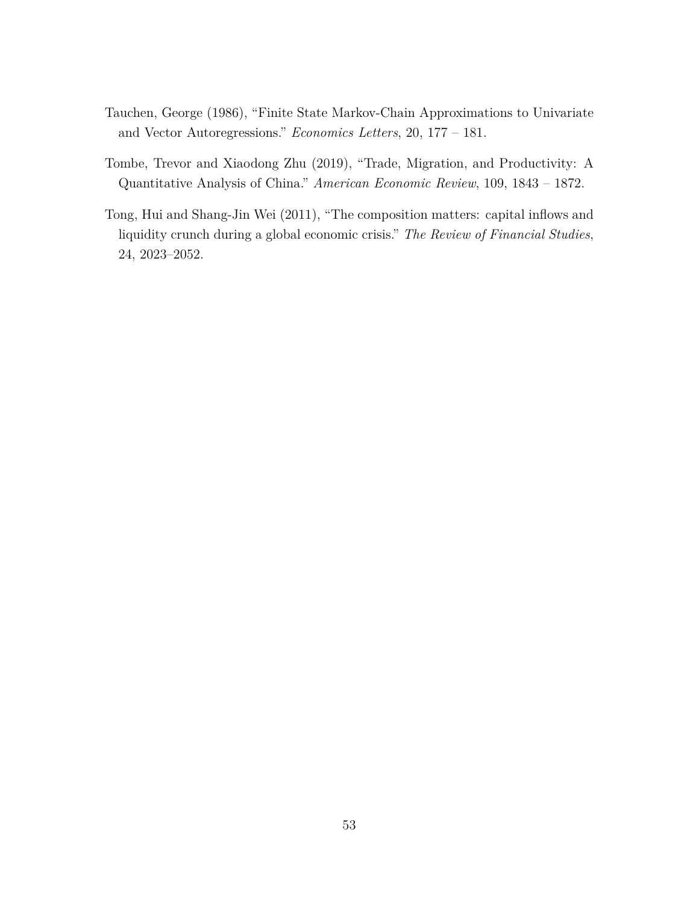- <span id="page-53-2"></span>Tauchen, George (1986), "Finite State Markov-Chain Approximations to Univariate and Vector Autoregressions." *Economics Letters*, 20, 177 – 181.
- <span id="page-53-0"></span>Tombe, Trevor and Xiaodong Zhu (2019), "Trade, Migration, and Productivity: A Quantitative Analysis of China." *American Economic Review*, 109, 1843 – 1872.
- <span id="page-53-1"></span>Tong, Hui and Shang-Jin Wei (2011), "The composition matters: capital inflows and liquidity crunch during a global economic crisis." *The Review of Financial Studies*, 24, 2023–2052.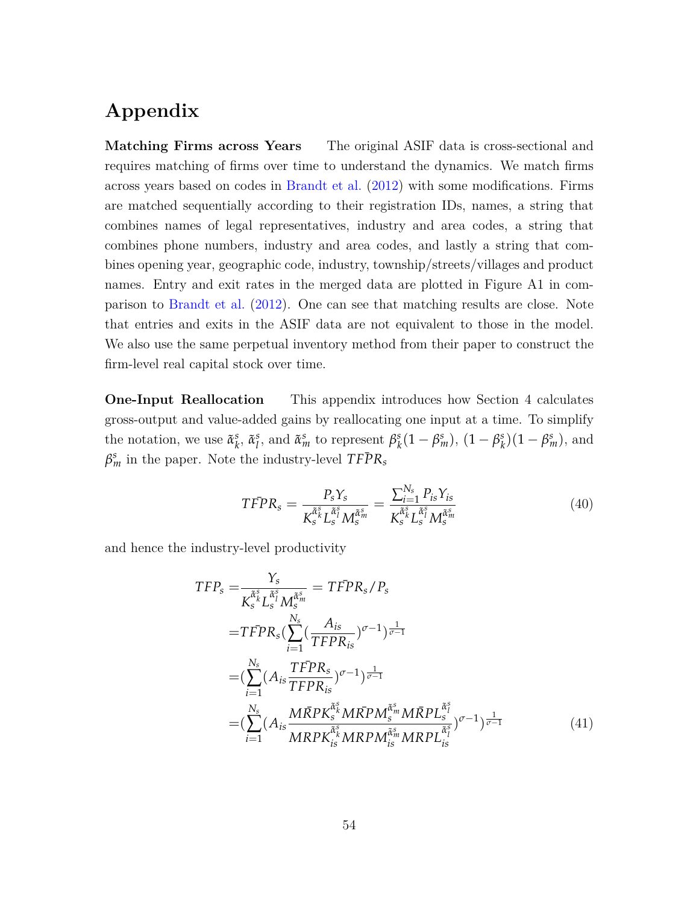# **Appendix**

**Matching Firms across Years** The original ASIF data is cross-sectional and requires matching of firms over time to understand the dynamics. We match firms across years based on codes in [Brandt et al.](#page-50-4) ([2012](#page-50-4)) with some modifications. Firms are matched sequentially according to their registration IDs, names, a string that combines names of legal representatives, industry and area codes, a string that combines phone numbers, industry and area codes, and lastly a string that combines opening year, geographic code, industry, township/streets/villages and product names. Entry and exit rates in the merged data are plotted in Figure [A1](#page-59-0) in comparison to [Brandt et al.](#page-50-4) ([2012](#page-50-4)). One can see that matching results are close. Note that entries and exits in the ASIF data are not equivalent to those in the model. We also use the same perpetual inventory method from their paper to construct the firm-level real capital stock over time.

**One-Input Reallocation** This appendix introduces how Section 4 calculates gross-output and value-added gains by reallocating one input at a time. To simplify the notation, we use  $\tilde{\alpha}_k^s$ *k* , *α*˜ *s l*<sup>*s*</sup></sup>, and  $\tilde{\alpha}_m^s$  to represent  $\beta_k^s$  $\beta_k^s(1-\beta_m^s), (1-\beta_k^s)$  $\binom{s}{k}(1-\beta_m^s)$ , and  $\beta_m^s$  in the paper. Note the industry-level  $TF\bar{P}R_s$ 

<span id="page-54-0"></span>
$$
TFPR_s = \frac{P_s Y_s}{K_s^{\tilde{\alpha}_s} L_s^{\tilde{\alpha}_s} M_s^{\tilde{\alpha}_m} } = \frac{\sum_{i=1}^{N_s} P_{is} Y_{is}}{K_s^{\tilde{\alpha}_s} L_s^{\tilde{\alpha}_s} M_s^{\tilde{\alpha}_m} }
$$
(40)

and hence the industry-level productivity

$$
TFP_s = \frac{Y_s}{K_s^{\tilde{\alpha}_s^s} L_s^{\tilde{\alpha}_j^s} M_s^{\tilde{\alpha}_m^s}} = TFP_{s}/P_s
$$
  
\n
$$
= TFP_{s} (\sum_{i=1}^{N_s} (\frac{A_{is}}{TFPR_{is}})^{\sigma - 1})^{\frac{1}{\sigma - 1}}
$$
  
\n
$$
= (\sum_{i=1}^{N_s} (A_{is} \frac{TFPR_s}{TFPR_{is}})^{\sigma - 1})^{\frac{1}{\sigma - 1}}
$$
  
\n
$$
= (\sum_{i=1}^{N_s} (A_{is} \frac{MRPK_s^{\tilde{\alpha}_s^s} MRPM_s^{\tilde{\alpha}_m} MRPL_s^{\tilde{\alpha}_s^s})^{\sigma - 1})^{\frac{1}{\sigma - 1}}
$$
  
\n
$$
= (\sum_{i=1}^{N_s} (A_{is} \frac{MRPK_{is}^{\tilde{\alpha}_s^s} MRPM_{is}^{\tilde{\alpha}_m} MRPL_{is}^{\tilde{\alpha}_s^s})^{\sigma - 1})^{\frac{1}{\sigma - 1}}
$$
  
\n(41)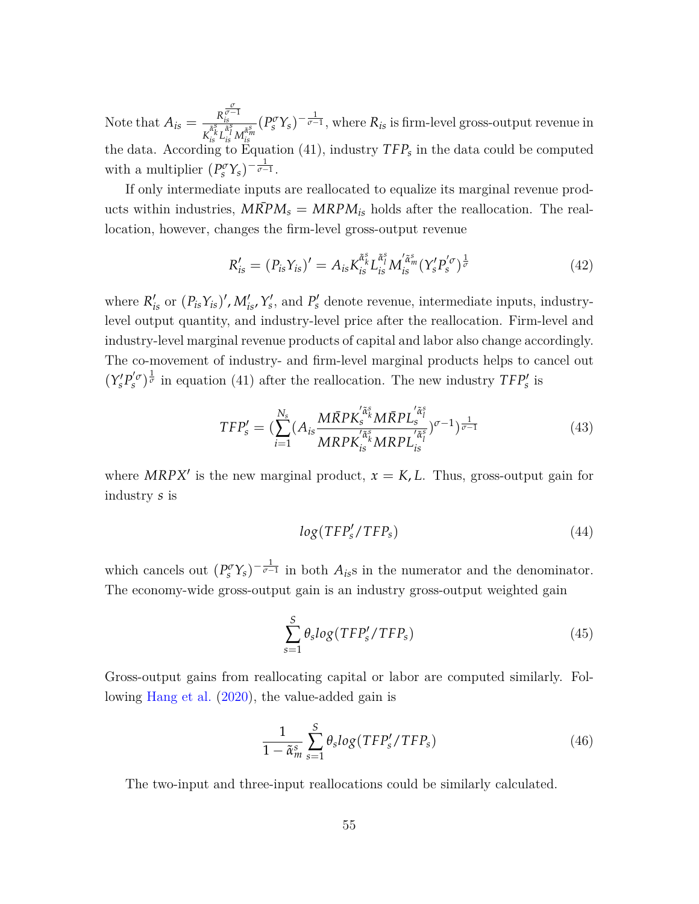Note that  $A_{is} = \frac{R}{a_{is}^s}$ *σ σ−*1 *is*  $\frac{R_{is}^{\nu-1}}{R_{is}^{\tilde{\alpha}_{s}^s} L_{is}^{\tilde{\alpha}_{s}^s} M_{is}^{\tilde{\alpha}_{s}^s}} (P_s^{\sigma} Y_s)^{-\frac{1}{\sigma-1}},$  where  $R_{is}$  is firm-level gross-output revenue in the data. According to Equation ([41\)](#page-54-0), industry  $TFP_s$  in the data could be computed the data. with a multiplier  $(P_s^{\sigma} Y_s)^{-\frac{1}{\sigma-1}}$ .

If only intermediate inputs are reallocated to equalize its marginal revenue products within industries,  $M\overline{R}PM_s = MRPM_{is}$  holds after the reallocation. The reallocation, however, changes the firm-level gross-output revenue

$$
R'_{is} = (P_{is}Y_{is})' = A_{is}K_{is}^{\tilde{\alpha}^s_{k}} L_{is}^{\tilde{\alpha}^s_{l}} M'_{is}^{\tilde{\alpha}^s_{m}} (Y'_{s}P'_{s})^{\frac{1}{\sigma}}
$$
(42)

where  $R'_{is}$  or  $(P_{is}Y_{is})'$ ,  $M'_{is}$ ,  $Y'_{s}$ , and  $P'_{s}$  denote revenue, intermediate inputs, industrylevel output quantity, and industry-level price after the reallocation. Firm-level and industry-level marginal revenue products of capital and labor also change accordingly. The co-movement of industry- and firm-level marginal products helps to cancel out  $(Y'_s P'_s)^{\frac{1}{\sigma}}$  in equation ([41\)](#page-54-0) after the reallocation. The new industry  $TFP'_s$  is

$$
TFP'_{s} = \left(\sum_{i=1}^{N_s} (A_{is} \frac{M\bar{R}PK_s^{'\tilde{\alpha}_s} M\bar{R}PL_s^{'\tilde{\alpha}_i^s}}{MRPK_{is}^{'\tilde{\alpha}_s} MRPL_{is}^{'\tilde{\alpha}_i^s}}\right)^{\sigma-1}\right)^{\frac{1}{\sigma-1}}
$$
(43)

where  $MRPX'$  is the new marginal product,  $x = K, L$ . Thus, gross-output gain for industry *s* is

$$
log(TFP'_s/TFP_s) \tag{44}
$$

which cancels out  $(P_s^{\sigma} Y_s)^{-\frac{1}{\sigma-1}}$  in both  $A_{is}$ s in the numerator and the denominator. The economy-wide gross-output gain is an industry gross-output weighted gain

$$
\sum_{s=1}^{S} \theta_s \log(TFP'_s/TFP_s)
$$
\n(45)

Gross-output gains from reallocating capital or labor are computed similarly. Following [Hang et al.](#page-51-5) ([2020](#page-51-5)), the value-added gain is

$$
\frac{1}{1 - \tilde{\alpha}_m^s} \sum_{s=1}^S \theta_s \log(TFP'_s / TFP_s)
$$
\n(46)

The two-input and three-input reallocations could be similarly calculated.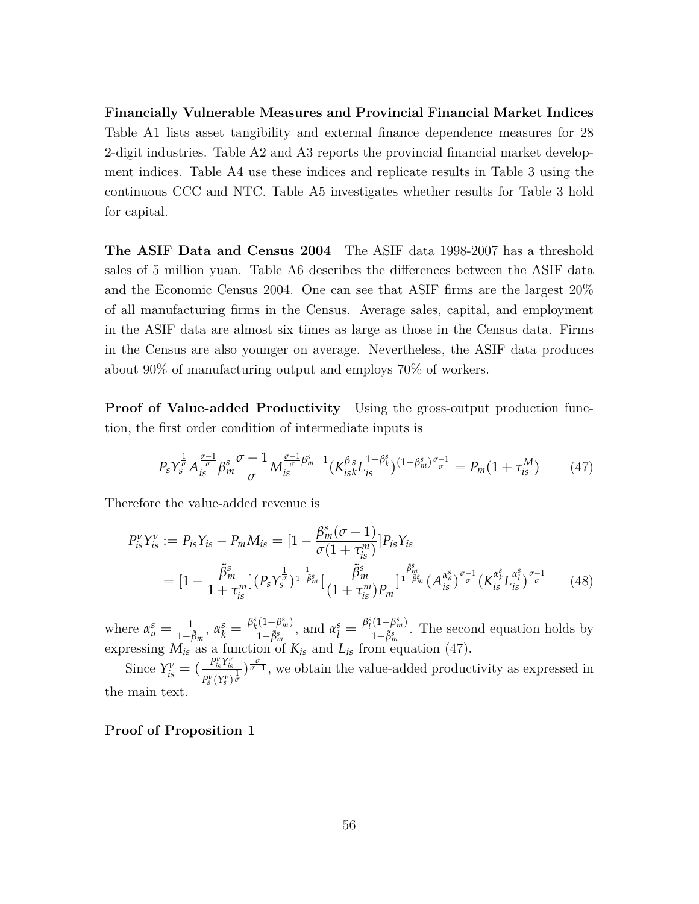**Financially Vulnerable Measures and Provincial Financial Market Indices** Table [A1](#page-61-0) lists asset tangibility and external finance dependence measures for 28 2-digit industries. Table [A2](#page-62-0) and [A3](#page-63-0) reports the provincial financial market development indices. Table [A4](#page-64-0) use these indices and replicate results in Table 3 using the continuous CCC and NTC. Table [A5](#page-65-0) investigates whether results for Table 3 hold for capital.

**The ASIF Data and Census 2004** The ASIF data 1998-2007 has a threshold sales of 5 million yuan. Table [A6](#page-66-0) describes the differences between the ASIF data and the Economic Census 2004. One can see that ASIF firms are the largest 20% of all manufacturing firms in the Census. Average sales, capital, and employment in the ASIF data are almost six times as large as those in the Census data. Firms in the Census are also younger on average. Nevertheless, the ASIF data produces about 90% of manufacturing output and employs 70% of workers.

**Proof of Value-added Productivity** Using the gross-output production function, the first order condition of intermediate inputs is

<span id="page-56-0"></span>
$$
P_s Y_s^{\frac{1}{\sigma}} A_{is}^{\frac{\sigma-1}{\sigma}} \beta_m^s \frac{\sigma-1}{\sigma} M_{is}^{\frac{\sigma-1}{\sigma} \beta_m^s - 1} (K_{isk}^{\beta s} L_{is}^{1-\beta_k^s})^{(1-\beta_m^s) \frac{\sigma-1}{\sigma}} = P_m (1 + \tau_{is}^M)
$$
(47)

Therefore the value-added revenue is

$$
P_{is}^{\nu} Y_{is}^{\nu} := P_{is} Y_{is} - P_m M_{is} = \left[ 1 - \frac{\beta_m^s (\sigma - 1)}{\sigma (1 + \tau_{is}^m)} \right] P_{is} Y_{is}
$$
  
= 
$$
\left[ 1 - \frac{\tilde{\beta}_m^s}{1 + \tau_{is}^m} \right] \left( P_s Y_s^{\frac{1}{\sigma}} \right)^{\frac{1}{1 - \beta_m^s}} \left[ \frac{\tilde{\beta}_m^s}{(1 + \tau_{is}^m) P_m} \right]^{\frac{\tilde{\beta}_m^s}{1 - \beta_m^s}} \left( A_{is}^{\alpha_s^s} \right)^{\frac{\sigma - 1}{\sigma}} \left( K_{is}^{\alpha_s^s} L_{is}^{\alpha_s^s} \right)^{\frac{\sigma - 1}{\sigma}} \tag{48}
$$

where  $\alpha_a^s = \frac{1}{1-\tilde{\beta}_m}, \alpha_k^s = \frac{\beta_k^s(1-\beta_m^s)}{1-\tilde{\beta}_m^s}$  $\frac{(1-\beta_m^s)}{1-\tilde{\beta}_m^s}$ , and  $\alpha_l^s = \frac{\beta_l^s(1-\beta_m^s)}{1-\tilde{\beta}_m^s}$ 1*−β*˜*<sup>s</sup> m* . The second equation holds by expressing  $M_{is}$  as a function of  $K_{is}$  and  $L_{is}$  from equation [\(47\)](#page-56-0).

Since  $Y_{is}^{\nu} = \left(\frac{P_{is}^{\nu}Y_{is}^{\nu}}{P^{\nu}(\gamma^{\nu})}\right)$  $\frac{P_s^v Y_{ls}^v}{P_s^v (Y_s^v)^{\frac{1}{v}}}$ , we obtain the value-added productivity as expressed in the main text.

#### **Proof of Proposition 1**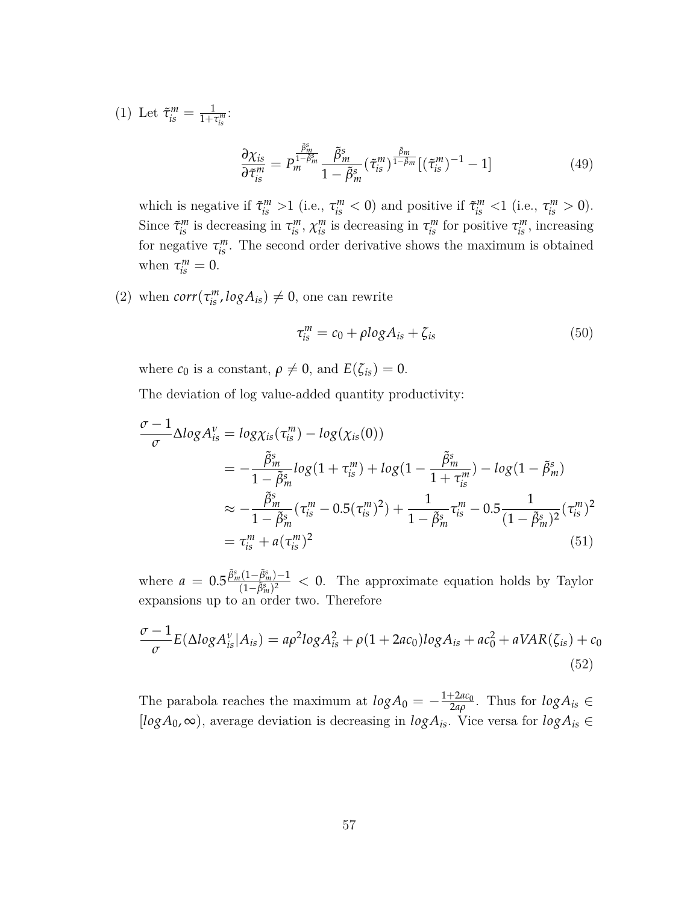(1) Let  $\tilde{\tau}_{is}^{m} = \frac{1}{1 + \tau_{is}^{m}}$ :

$$
\frac{\partial \chi_{is}}{\partial \tilde{\tau}_{is}^m} = P_m^{\frac{\tilde{\beta}_m^s}{1 - \tilde{\beta}_m^s}} \frac{\tilde{\beta}_m^s}{1 - \tilde{\beta}_m^s} (\tilde{\tau}_{is}^m)^{\frac{\tilde{\beta}_m}{1 - \tilde{\beta}_m}} [(\tilde{\tau}_{is}^m)^{-1} - 1] \tag{49}
$$

which is negative if  $\tilde{\tau}_{is}^{m} > 1$  (i.e.,  $\tau_{is}^{m} < 0$ ) and positive if  $\tilde{\tau}_{is}^{m} < 1$  (i.e.,  $\tau_{is}^{m} > 0$ ). Since  $\tilde{\tau}^m_{is}$  is decreasing in  $\tau^m_{is}$ ,  $\chi^m_{is}$  is decreasing in  $\tau^m_{is}$  for positive  $\tau^m_{is}$ , increasing for negative  $\tau_{is}^m$ . The second order derivative shows the maximum is obtained when  $\tau_{is}^m = 0$ .

(2) when  $corr(\tau_{is}^{m}, logA_{is}) \neq 0$ , one can rewrite

$$
\tau_{is}^{m} = c_0 + \rho \log A_{is} + \zeta_{is} \tag{50}
$$

where  $c_0$  is a constant,  $\rho \neq 0$ , and  $E(\zeta_{is}) = 0$ .

The deviation of log value-added quantity productivity:

$$
\frac{\sigma - 1}{\sigma} \Delta log A_{is}^{\nu} = log \chi_{is}(\tau_{is}^{m}) - log(\chi_{is}(0))
$$
\n
$$
= -\frac{\tilde{\beta}_{m}^{s}}{1 - \tilde{\beta}_{m}^{s}} log(1 + \tau_{is}^{m}) + log(1 - \frac{\tilde{\beta}_{m}^{s}}{1 + \tau_{is}^{m}}) - log(1 - \tilde{\beta}_{m}^{s})
$$
\n
$$
\approx -\frac{\tilde{\beta}_{m}^{s}}{1 - \tilde{\beta}_{m}^{s}} (\tau_{is}^{m} - 0.5(\tau_{is}^{m})^{2}) + \frac{1}{1 - \tilde{\beta}_{m}^{s}} \tau_{is}^{m} - 0.5 \frac{1}{(1 - \tilde{\beta}_{m}^{s})^{2}} (\tau_{is}^{m})^{2}
$$
\n
$$
= \tau_{is}^{m} + a(\tau_{is}^{m})^{2}
$$
\n(51)

where  $a = 0.5 \frac{\tilde{\beta}_m^s (1 - \tilde{\beta}_m^s) - 1}{(1 - \tilde{\beta}_m^s)^2}$ (1*−β*˜*<sup>s</sup> m*) <sup>2</sup> *<* 0. The approximate equation holds by Taylor expansions up to an order two. Therefore

$$
\frac{\sigma-1}{\sigma}E(\Delta log A_{is}^{\nu}|A_{is}) = a\rho^2 log A_{is}^2 + \rho(1+2ac_0)log A_{is} + ac_0^2 + aVAR(\zeta_{is}) + c_0
$$
\n(52)

The parabola reaches the maximum at  $log A_0 = -\frac{1+2ac_0}{2ab}$  $\frac{1}{2a\rho}$ . Thus for  $log A_{is} \in$  $[logA_0, \infty)$ , average deviation is decreasing in  $logA_{is}$ . Vice versa for  $logA_{is} \in$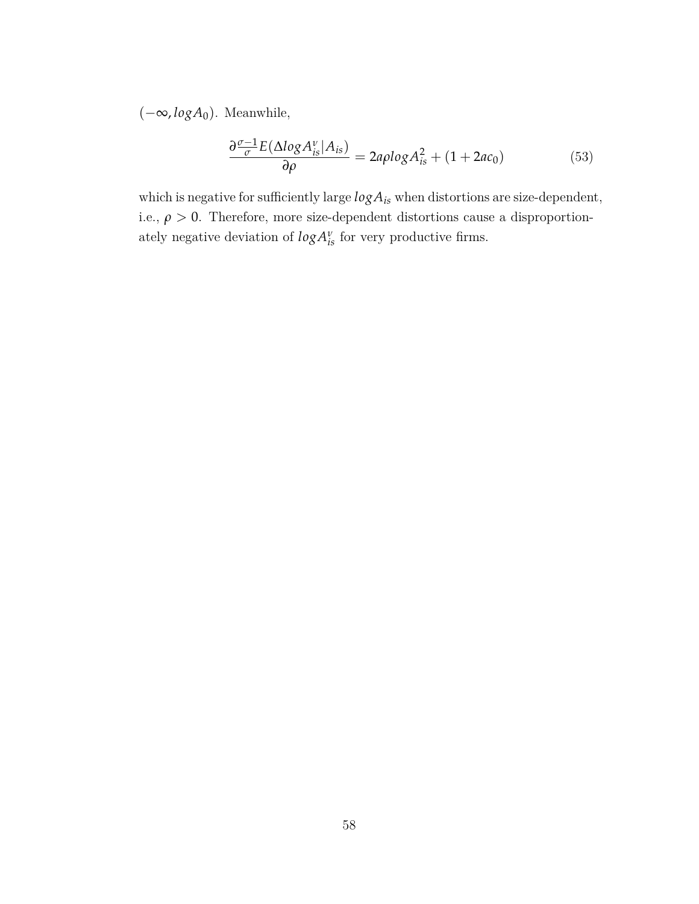(*−*∞, *logA*0). Meanwhile,

$$
\frac{\partial \frac{\sigma-1}{\sigma}E(\Delta log A_{is}^{\nu}|A_{is})}{\partial \rho} = 2a\rho log A_{is}^{2} + (1 + 2ac_{0})
$$
\n(53)

which is negative for sufficiently large  $log A_{is}$  when distortions are size-dependent, i.e.,  $\rho > 0$ . Therefore, more size-dependent distortions cause a disproportionately negative deviation of  $log A^{\nu}_{is}$  for very productive firms.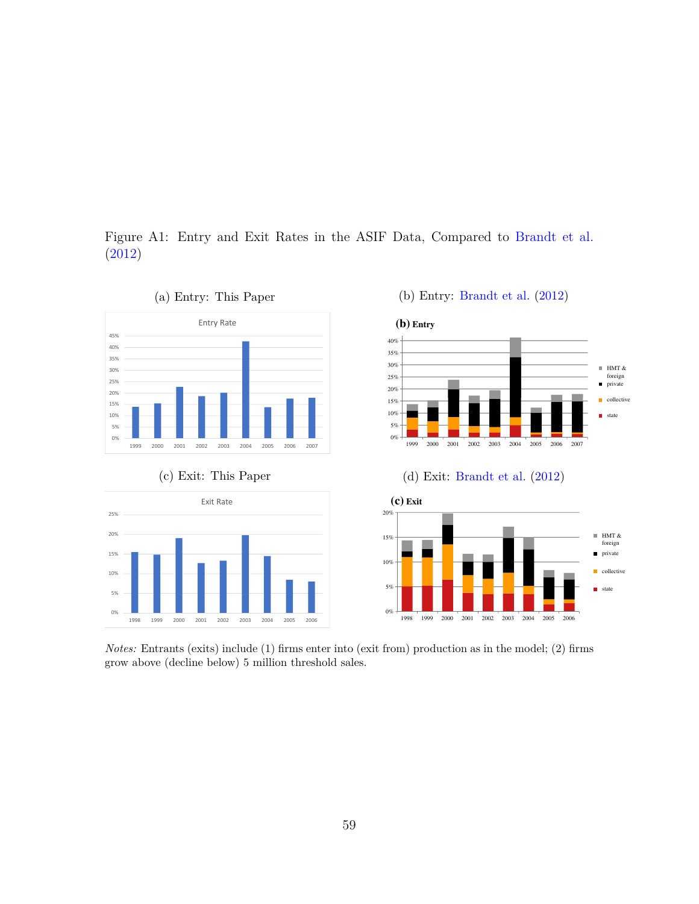<span id="page-59-0"></span>Figure A1: Entry and Exit Rates in the ASIF Data, Compared to [Brandt et al.](#page-50-4) [\(2012\)](#page-50-4)  $\mathbf{r}$ 350 70 **P** Data. Compared to Brandt et al.



*Notes:* Entrants (exits) include (1) firms enter into (exit from) production as in the model; (2) firms grow above (decline below) 5 million threshold sales.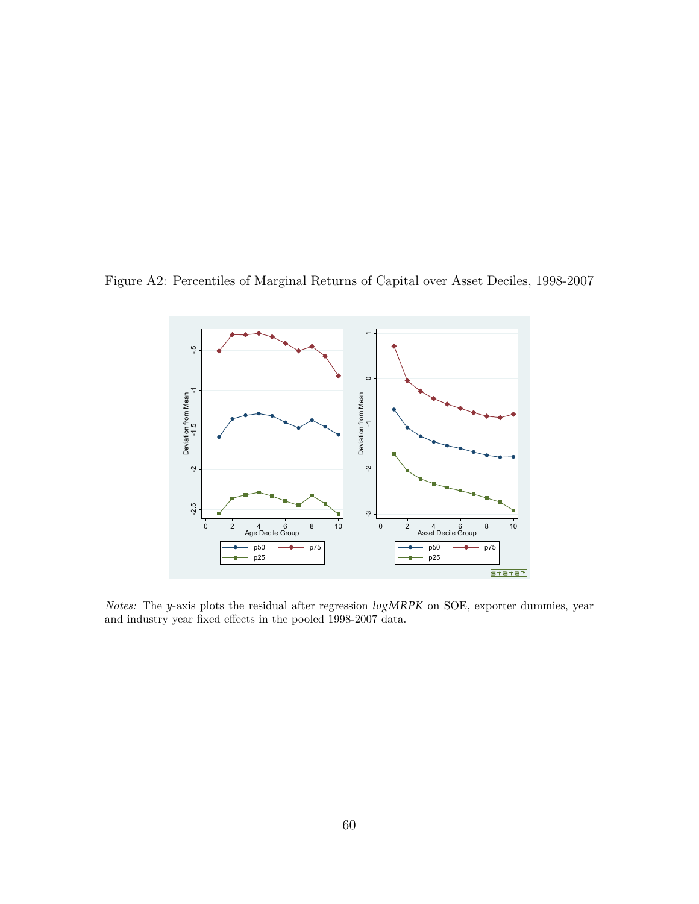<span id="page-60-0"></span>Figure A2: Percentiles of Marginal Returns of Capital over Asset Deciles, 1998-2007



*Notes:* The *y*-axis plots the residual after regression *logMRPK* on SOE, exporter dummies, year and industry year fixed effects in the pooled 1998-2007 data.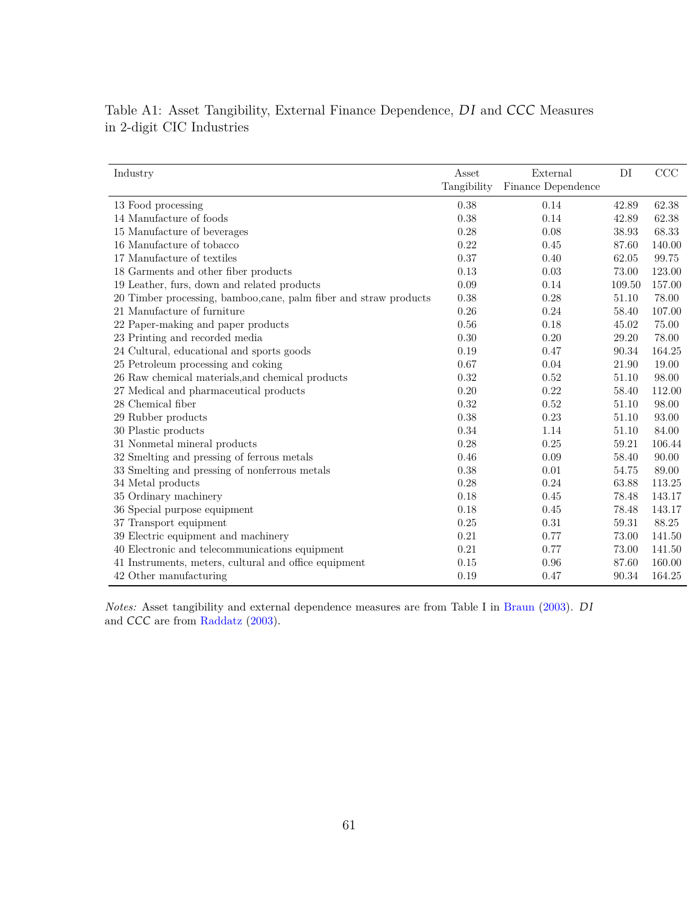| Industry                                                          | Asset<br>Tangibility | External<br>Finance Dependence | DI     | $\rm{CCC}$ |
|-------------------------------------------------------------------|----------------------|--------------------------------|--------|------------|
| 13 Food processing                                                | 0.38                 | 0.14                           | 42.89  | 62.38      |
| 14 Manufacture of foods                                           | 0.38                 | 0.14                           | 42.89  | 62.38      |
| 15 Manufacture of beverages                                       | 0.28                 | 0.08                           | 38.93  | 68.33      |
| 16 Manufacture of tobacco                                         | 0.22                 | 0.45                           | 87.60  | 140.00     |
| 17 Manufacture of textiles                                        | 0.37                 | 0.40                           | 62.05  | 99.75      |
| 18 Garments and other fiber products                              | 0.13                 | 0.03                           | 73.00  | 123.00     |
| 19 Leather, furs, down and related products                       | 0.09                 | 0.14                           | 109.50 | 157.00     |
|                                                                   |                      | 0.28                           |        | 78.00      |
| 20 Timber processing, bamboo, cane, palm fiber and straw products | 0.38                 |                                | 51.10  |            |
| 21 Manufacture of furniture                                       | 0.26                 | 0.24                           | 58.40  | 107.00     |
| 22 Paper-making and paper products                                | 0.56                 | 0.18                           | 45.02  | 75.00      |
| 23 Printing and recorded media                                    | 0.30                 | 0.20                           | 29.20  | 78.00      |
| 24 Cultural, educational and sports goods                         | 0.19                 | 0.47                           | 90.34  | 164.25     |
| 25 Petroleum processing and coking                                | 0.67                 | 0.04                           | 21.90  | 19.00      |
| 26 Raw chemical materials, and chemical products                  | 0.32                 | 0.52                           | 51.10  | 98.00      |
| 27 Medical and pharmaceutical products                            | 0.20                 | 0.22                           | 58.40  | 112.00     |
| 28 Chemical fiber                                                 | 0.32                 | 0.52                           | 51.10  | 98.00      |
| 29 Rubber products                                                | 0.38                 | 0.23                           | 51.10  | 93.00      |
| 30 Plastic products                                               | 0.34                 | 1.14                           | 51.10  | 84.00      |
| 31 Nonmetal mineral products                                      | 0.28                 | 0.25                           | 59.21  | 106.44     |
| 32 Smelting and pressing of ferrous metals                        | 0.46                 | 0.09                           | 58.40  | 90.00      |
| 33 Smelting and pressing of nonferrous metals                     | 0.38                 | 0.01                           | 54.75  | 89.00      |
| 34 Metal products                                                 | 0.28                 | 0.24                           | 63.88  | 113.25     |
| 35 Ordinary machinery                                             | 0.18                 | 0.45                           | 78.48  | 143.17     |
| 36 Special purpose equipment                                      | 0.18                 | 0.45                           | 78.48  | 143.17     |
| 37 Transport equipment                                            | 0.25                 | 0.31                           | 59.31  | 88.25      |
| 39 Electric equipment and machinery                               | 0.21                 | 0.77                           | 73.00  | 141.50     |
| 40 Electronic and telecommunications equipment                    | 0.21                 | 0.77                           | 73.00  | 141.50     |
| 41 Instruments, meters, cultural and office equipment             | 0.15                 | 0.96                           | 87.60  | 160.00     |
| 42 Other manufacturing                                            | 0.19                 | 0.47                           | 90.34  | 164.25     |
|                                                                   |                      |                                |        |            |

<span id="page-61-0"></span>Table A1: Asset Tangibility, External Finance Dependence, *DI* and *CCC* Measures in 2-digit CIC Industries

*Notes:* Asset tangibility and external dependence measures are from Table I in [Braun](#page-50-0) ([2003\)](#page-50-0). *D I* and *CCC* are from [Raddatz](#page-52-2) [\(2003](#page-52-2)).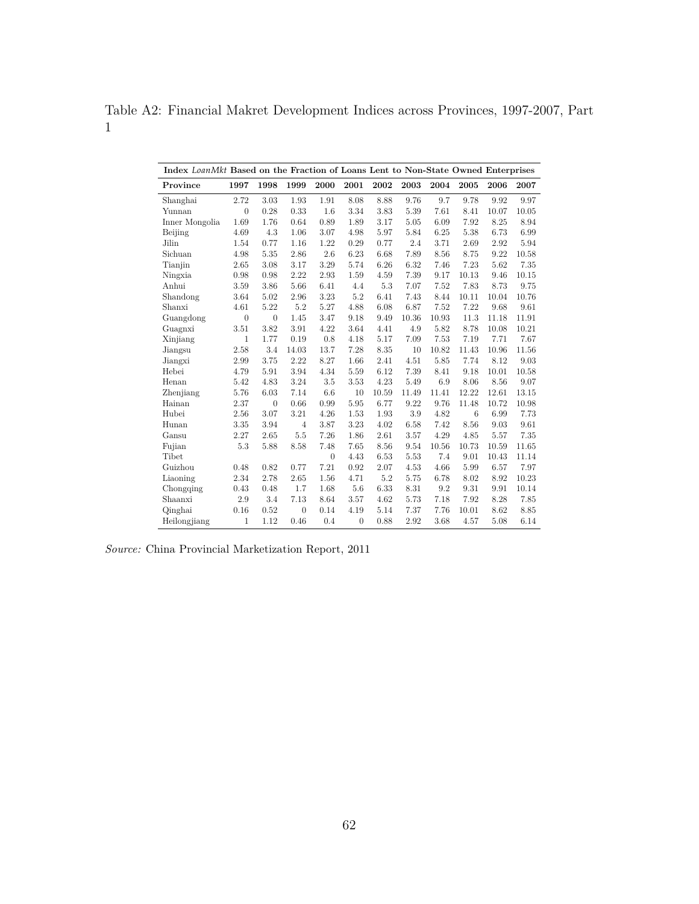<span id="page-62-0"></span>Table A2: Financial Makret Development Indices across Provinces, 1997-2007, Part 1

| Index LoanMkt Based on the Fraction of Loans Lent to Non-State Owned Enterprises |                |                |                |          |                |       |       |       |       |       |       |
|----------------------------------------------------------------------------------|----------------|----------------|----------------|----------|----------------|-------|-------|-------|-------|-------|-------|
| Province                                                                         | 1997           | 1998           | 1999           | 2000     | 2001           | 2002  | 2003  | 2004  | 2005  | 2006  | 2007  |
| Shanghai                                                                         | 2.72           | 3.03           | 1.93           | 1.91     | 8.08           | 8.88  | 9.76  | 9.7   | 9.78  | 9.92  | 9.97  |
| Yunnan                                                                           | $\overline{0}$ | 0.28           | 0.33           | 1.6      | 3.34           | 3.83  | 5.39  | 7.61  | 8.41  | 10.07 | 10.05 |
| Inner Mongolia                                                                   | 1.69           | 1.76           | 0.64           | 0.89     | 1.89           | 3.17  | 5.05  | 6.09  | 7.92  | 8.25  | 8.94  |
| Beijing                                                                          | 4.69           | 4.3            | 1.06           | 3.07     | 4.98           | 5.97  | 5.84  | 6.25  | 5.38  | 6.73  | 6.99  |
| Jilin                                                                            | 1.54           | 0.77           | 1.16           | 1.22     | 0.29           | 0.77  | 2.4   | 3.71  | 2.69  | 2.92  | 5.94  |
| Sichuan                                                                          | 4.98           | 5.35           | 2.86           | 2.6      | 6.23           | 6.68  | 7.89  | 8.56  | 8.75  | 9.22  | 10.58 |
| Tianjin                                                                          | 2.65           | 3.08           | 3.17           | 3.29     | 5.74           | 6.26  | 6.32  | 7.46  | 7.23  | 5.62  | 7.35  |
| Ningxia                                                                          | 0.98           | 0.98           | 2.22           | 2.93     | 1.59           | 4.59  | 7.39  | 9.17  | 10.13 | 9.46  | 10.15 |
| Anhui                                                                            | 3.59           | 3.86           | 5.66           | 6.41     | 4.4            | 5.3   | 7.07  | 7.52  | 7.83  | 8.73  | 9.75  |
| Shandong                                                                         | 3.64           | 5.02           | 2.96           | 3.23     | 5.2            | 6.41  | 7.43  | 8.44  | 10.11 | 10.04 | 10.76 |
| Shanxi                                                                           | 4.61           | 5.22           | 5.2            | 5.27     | 4.88           | 6.08  | 6.87  | 7.52  | 7.22  | 9.68  | 9.61  |
| Guangdong                                                                        | $\overline{0}$ | $\overline{0}$ | 1.45           | 3.47     | 9.18           | 9.49  | 10.36 | 10.93 | 11.3  | 11.18 | 11.91 |
| Guagnxi                                                                          | 3.51           | 3.82           | 3.91           | 4.22     | 3.64           | 4.41  | 4.9   | 5.82  | 8.78  | 10.08 | 10.21 |
| Xinjiang                                                                         | 1              | 1.77           | 0.19           | 0.8      | 4.18           | 5.17  | 7.09  | 7.53  | 7.19  | 7.71  | 7.67  |
| Jiangsu                                                                          | 2.58           | 3.4            | 14.03          | 13.7     | 7.28           | 8.35  | 10    | 10.82 | 11.43 | 10.96 | 11.56 |
| Jiangxi                                                                          | 2.99           | 3.75           | 2.22           | 8.27     | 1.66           | 2.41  | 4.51  | 5.85  | 7.74  | 8.12  | 9.03  |
| Hebei                                                                            | 4.79           | 5.91           | 3.94           | 4.34     | 5.59           | 6.12  | 7.39  | 8.41  | 9.18  | 10.01 | 10.58 |
| Henan                                                                            | 5.42           | 4.83           | 3.24           | 3.5      | 3.53           | 4.23  | 5.49  | 6.9   | 8.06  | 8.56  | 9.07  |
| Zhenjiang                                                                        | 5.76           | 6.03           | 7.14           | 6.6      | 10             | 10.59 | 11.49 | 11.41 | 12.22 | 12.61 | 13.15 |
| Hainan                                                                           | 2.37           | $\overline{0}$ | 0.66           | 0.99     | 5.95           | 6.77  | 9.22  | 9.76  | 11.48 | 10.72 | 10.98 |
| Hubei                                                                            | 2.56           | 3.07           | 3.21           | 4.26     | 1.53           | 1.93  | 3.9   | 4.82  | 6     | 6.99  | 7.73  |
| Hunan                                                                            | 3.35           | 3.94           | $\overline{4}$ | 3.87     | 3.23           | 4.02  | 6.58  | 7.42  | 8.56  | 9.03  | 9.61  |
| Gansu                                                                            | 2.27           | 2.65           | 5.5            | 7.26     | 1.86           | 2.61  | 3.57  | 4.29  | 4.85  | 5.57  | 7.35  |
| Fujian                                                                           | 5.3            | 5.88           | 8.58           | 7.48     | 7.65           | 8.56  | 9.54  | 10.56 | 10.73 | 10.59 | 11.65 |
| Tibet                                                                            |                |                |                | $\theta$ | 4.43           | 6.53  | 5.53  | 7.4   | 9.01  | 10.43 | 11.14 |
| Guizhou                                                                          | 0.48           | 0.82           | 0.77           | 7.21     | 0.92           | 2.07  | 4.53  | 4.66  | 5.99  | 6.57  | 7.97  |
| Liaoning                                                                         | 2.34           | 2.78           | 2.65           | 1.56     | 4.71           | 5.2   | 5.75  | 6.78  | 8.02  | 8.92  | 10.23 |
| Chongqing                                                                        | 0.43           | 0.48           | 1.7            | 1.68     | 5.6            | 6.33  | 8.31  | 9.2   | 9.31  | 9.91  | 10.14 |
| Shaanxi                                                                          | 2.9            | 3.4            | 7.13           | 8.64     | 3.57           | 4.62  | 5.73  | 7.18  | 7.92  | 8.28  | 7.85  |
| Qinghai                                                                          | 0.16           | 0.52           | $\overline{0}$ | 0.14     | 4.19           | 5.14  | 7.37  | 7.76  | 10.01 | 8.62  | 8.85  |
| Heilongjiang                                                                     | $\mathbf{1}$   | 1.12           | 0.46           | 0.4      | $\overline{0}$ | 0.88  | 2.92  | 3.68  | 4.57  | 5.08  | 6.14  |

*Source:* China Provincial Marketization Report, 2011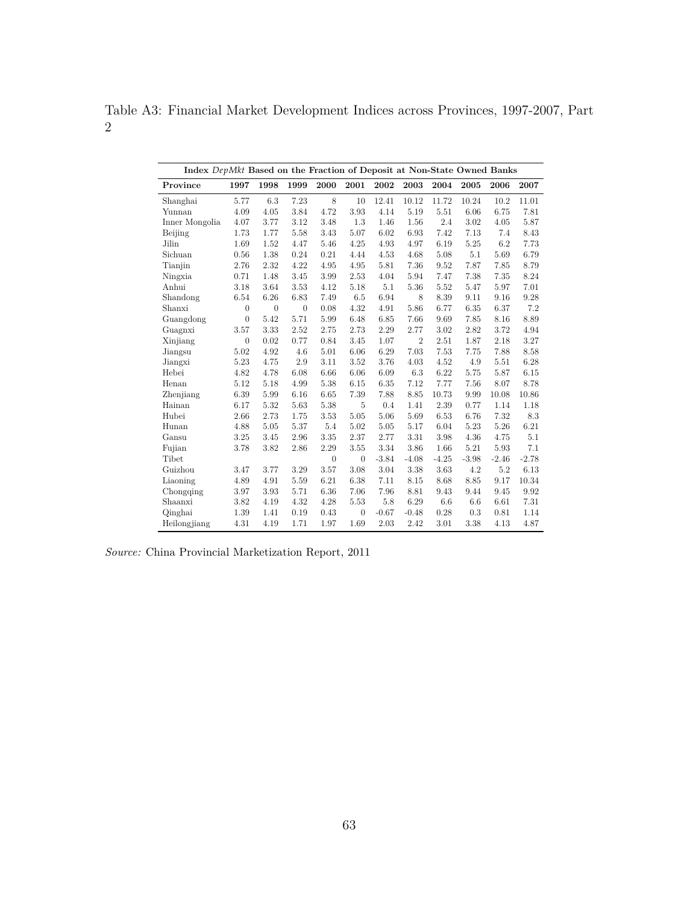<span id="page-63-0"></span>Table A3: Financial Market Development Indices across Provinces, 1997-2007, Part 2

|                | Index DepMkt Based on the Fraction of Deposit at Non-State Owned Banks |              |              |                |                |         |                |         |           |         |         |  |
|----------------|------------------------------------------------------------------------|--------------|--------------|----------------|----------------|---------|----------------|---------|-----------|---------|---------|--|
| Province       | 1997                                                                   | 1998         | 1999         | 2000           | 2001           | 2002    | 2003           | 2004    | 2005      | 2006    | 2007    |  |
| Shanghai       | 5.77                                                                   | 6.3          | 7.23         | 8              | 10             | 12.41   | 10.12          | 11.72   | 10.24     | 10.2    | 11.01   |  |
| Yunnan         | 4.09                                                                   | 4.05         | 3.84         | 4.72           | 3.93           | 4.14    | 5.19           | 5.51    | 6.06      | 6.75    | 7.81    |  |
| Inner Mongolia | 4.07                                                                   | 3.77         | 3.12         | 3.48           | 1.3            | 1.46    | 1.56           | 2.4     | 3.02      | 4.05    | 5.87    |  |
| Beijing        | 1.73                                                                   | 1.77         | 5.58         | 3.43           | 5.07           | 6.02    | 6.93           | 7.42    | 7.13      | 7.4     | 8.43    |  |
| Jilin          | 1.69                                                                   | 1.52         | 4.47         | 5.46           | 4.25           | 4.93    | 4.97           | 6.19    | 5.25      | 6.2     | 7.73    |  |
| Sichuan        | 0.56                                                                   | 1.38         | 0.24         | 0.21           | 4.44           | 4.53    | 4.68           | 5.08    | 5.1       | 5.69    | 6.79    |  |
| Tianjin        | 2.76                                                                   | 2.32         | 4.22         | 4.95           | 4.95           | 5.81    | 7.36           | 9.52    | 7.87      | 7.85    | 8.79    |  |
| Ningxia        | 0.71                                                                   | 1.48         | 3.45         | 3.99           | 2.53           | 4.04    | 5.94           | 7.47    | 7.38      | 7.35    | 8.24    |  |
| Anhui          | 3.18                                                                   | 3.64         | 3.53         | 4.12           | 5.18           | 5.1     | 5.36           | 5.52    | 5.47      | 5.97    | 7.01    |  |
| Shandong       | 6.54                                                                   | 6.26         | 6.83         | 7.49           | 6.5            | 6.94    | 8              | 8.39    | 9.11      | 9.16    | 9.28    |  |
| Shanxi         | $\boldsymbol{0}$                                                       | $\mathbf{0}$ | $\mathbf{0}$ | 0.08           | 4.32           | 4.91    | 5.86           | 6.77    | 6.35      | 6.37    | 7.2     |  |
| Guangdong      | $\overline{0}$                                                         | 5.42         | 5.71         | 5.99           | 6.48           | 6.85    | 7.66           | 9.69    | 7.85      | 8.16    | 8.89    |  |
| Guagnxi        | 3.57                                                                   | 3.33         | 2.52         | 2.75           | 2.73           | 2.29    | 2.77           | 3.02    | 2.82      | 3.72    | 4.94    |  |
| Xinjiang       | $\overline{0}$                                                         | 0.02         | 0.77         | 0.84           | 3.45           | 1.07    | $\overline{2}$ | 2.51    | 1.87      | 2.18    | 3.27    |  |
| Jiangsu        | 5.02                                                                   | 4.92         | 4.6          | 5.01           | 6.06           | 6.29    | 7.03           | 7.53    | 7.75      | 7.88    | 8.58    |  |
| Jiangxi        | 5.23                                                                   | 4.75         | 2.9          | 3.11           | 3.52           | 3.76    | 4.03           | 4.52    | 4.9       | 5.51    | 6.28    |  |
| Hebei          | 4.82                                                                   | 4.78         | 6.08         | 6.66           | 6.06           | 6.09    | 6.3            | 6.22    | 5.75      | 5.87    | 6.15    |  |
| Henan          | 5.12                                                                   | 5.18         | 4.99         | 5.38           | 6.15           | 6.35    | 7.12           | 7.77    | 7.56      | 8.07    | 8.78    |  |
| Zhenjiang      | 6.39                                                                   | 5.99         | 6.16         | 6.65           | 7.39           | 7.88    | 8.85           | 10.73   | 9.99      | 10.08   | 10.86   |  |
| Hainan         | 6.17                                                                   | 5.32         | 5.63         | 5.38           | $\overline{5}$ | 0.4     | 1.41           | 2.39    | 0.77      | 1.14    | 1.18    |  |
| Hubei          | 2.66                                                                   | 2.73         | 1.75         | 3.53           | 5.05           | 5.06    | 5.69           | 6.53    | 6.76      | 7.32    | 8.3     |  |
| Hunan          | 4.88                                                                   | 5.05         | 5.37         | 5.4            | 5.02           | 5.05    | 5.17           | 6.04    | 5.23      | 5.26    | 6.21    |  |
| Gansu          | 3.25                                                                   | 3.45         | 2.96         | 3.35           | 2.37           | 2.77    | 3.31           | 3.98    | 4.36      | 4.75    | 5.1     |  |
| Fujian         | 3.78                                                                   | 3.82         | 2.86         | 2.29           | 3.55           | 3.34    | 3.86           | 1.66    | 5.21      | 5.93    | 7.1     |  |
| Tibet          |                                                                        |              |              | $\overline{0}$ | $\theta$       | $-3.84$ | $-4.08$        | $-4.25$ | $-3.98$   | $-2.46$ | $-2.78$ |  |
| Guizhou        | 3.47                                                                   | 3.77         | 3.29         | 3.57           | 3.08           | 3.04    | 3.38           | 3.63    | 4.2       | 5.2     | 6.13    |  |
| Liaoning       | 4.89                                                                   | 4.91         | 5.59         | 6.21           | 6.38           | 7.11    | 8.15           | 8.68    | 8.85      | 9.17    | 10.34   |  |
| Chongqing      | 3.97                                                                   | 3.93         | 5.71         | 6.36           | 7.06           | 7.96    | 8.81           | 9.43    | 9.44      | 9.45    | 9.92    |  |
| Shaanxi        | 3.82                                                                   | 4.19         | 4.32         | 4.28           | 5.53           | 5.8     | 6.29           | 6.6     | 6.6       | 6.61    | 7.31    |  |
| Qinghai        | 1.39                                                                   | 1.41         | 0.19         | 0.43           | $\overline{0}$ | $-0.67$ | $-0.48$        | 0.28    | $\rm 0.3$ | 0.81    | 1.14    |  |
| Heilongjiang   | 4.31                                                                   | 4.19         | 1.71         | 1.97           | 1.69           | 2.03    | 2.42           | 3.01    | 3.38      | 4.13    | 4.87    |  |

*Source:* China Provincial Marketization Report, 2011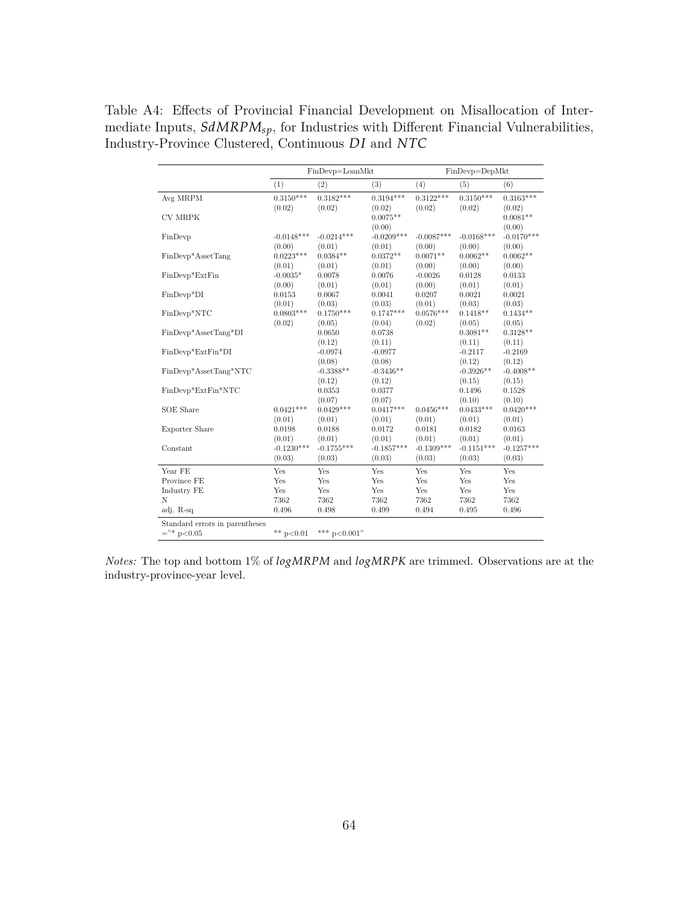<span id="page-64-0"></span>Table A4: Effects of Provincial Financial Development on Misallocation of Intermediate Inputs,  $\mathit{SdMRPM_{sp}},$  for Industries with Different Financial Vulnerabilities, Industry-Province Clustered, Continuous *D I* and *NTC*

|                                | FinDevp=LoanMkt<br>FinDevp=DepMkt |                       |                       |                       |                      |                      |
|--------------------------------|-----------------------------------|-----------------------|-----------------------|-----------------------|----------------------|----------------------|
|                                | (1)                               | (2)                   | (3)                   | (4)                   | (5)                  | (6)                  |
| Avg MRPM                       | $0.3150***$                       | $0.3182***$           | $0.3194***$           | $0.3122***$           | $0.3150***$          | $0.3163***$          |
|                                | (0.02)                            | (0.02)                | (0.02)                | (0.02)                | (0.02)               | (0.02)               |
| <b>CV MRPK</b>                 |                                   |                       | $0.0075**$            |                       |                      | $0.0081**$           |
|                                |                                   |                       | (0.00)                |                       | $-0.0168***$         | (0.00)               |
| FinDevp                        | $-0.0148***$                      | $-0.0214***$          | $-0.0209***$          | $-0.0087***$          |                      | $-0.0170***$         |
|                                | (0.00)<br>$0.0223***$             | (0.01)                | (0.01)                | (0.00)<br>$0.0071**$  | (0.00)<br>$0.0062**$ | (0.00)               |
| FinDevp*AssetTang              |                                   | $0.0384**$            | $0.0372**$            |                       |                      | $0.0062**$           |
|                                | (0.01)                            | (0.01)                | (0.01)                | (0.00)                | (0.00)               | (0.00)               |
| FinDevp*ExtFin                 | $-0.0035*$                        | 0.0078                | 0.0076                | $-0.0026$             | 0.0128               | 0.0133               |
|                                | (0.00)                            | (0.01)                | (0.01)                | (0.00)                | (0.01)               | (0.01)               |
| FinDevp*DI                     | 0.0153                            | 0.0067                | 0.0041                | 0.0207                | 0.0021               | 0.0021               |
|                                | (0.01)<br>$0.0803***$             | (0.03)<br>$0.1750***$ | (0.03)<br>$0.1747***$ | (0.01)<br>$0.0576***$ | (0.03)<br>$0.1418**$ | (0.03)<br>$0.1434**$ |
| FinDevp*NTC                    |                                   |                       |                       |                       |                      |                      |
| FinDevp*AssetTang*DI           | (0.02)                            | (0.05)<br>0.0650      | (0.04)<br>0.0738      | (0.02)                | (0.05)<br>$0.3081**$ | (0.05)<br>$0.3128**$ |
|                                |                                   |                       |                       |                       |                      |                      |
| FinDevp*ExtFin*DI              |                                   | (0.12)<br>$-0.0974$   | (0.11)<br>$-0.0977$   |                       | (0.11)<br>$-0.2117$  | (0.11)<br>$-0.2169$  |
|                                |                                   | (0.08)                | (0.08)                |                       | (0.12)               | (0.12)               |
| FinDevp*AssetTang*NTC          |                                   | $-0.3388**$           | $-0.3436**$           |                       | $-0.3926**$          | $-0.4008**$          |
|                                |                                   | (0.12)                | (0.12)                |                       | (0.15)               | (0.15)               |
| FinDevp*ExtFin*NTC             |                                   | 0.0353                | 0.0377                |                       | 0.1496               | 0.1528               |
|                                |                                   | (0.07)                | (0.07)                |                       | (0.10)               | (0.10)               |
| SOE Share                      | $0.0421***$                       | $0.0429***$           | $0.0417***$           | $0.0456***$           | $0.0433***$          | $0.0420***$          |
|                                | (0.01)                            | (0.01)                | (0.01)                | (0.01)                | (0.01)               | (0.01)               |
|                                | 0.0198                            | 0.0188                | 0.0172                | 0.0181                | 0.0182               | 0.0163               |
| <b>Exporter Share</b>          | (0.01)                            | (0.01)                | (0.01)                | (0.01)                | (0.01)               | (0.01)               |
| Constant                       | $-0.1230***$                      | $-0.1755***$          | $-0.1857***$          | $-0.1309***$          | $-0.1151***$         | $-0.1257***$         |
|                                | (0.03)                            | (0.03)                | (0.03)                | (0.03)                | (0.03)               | (0.03)               |
|                                |                                   |                       |                       |                       |                      |                      |
| Year FE                        | Yes                               | Yes                   | Yes                   | Yes                   | Yes                  | Yes                  |
| Province FE                    | Yes                               | Yes                   | Yes                   | Yes                   | Yes                  | Yes                  |
| Industry FE                    | Yes                               | Yes                   | Yes                   | Yes                   | Yes                  | Yes                  |
| N                              | 7362                              | 7362                  | 7362                  | 7362                  | 7362                 | 7362                 |
| adj. R-sq                      | 0.496                             | 0.498                 | 0.499                 | 0.494                 | 0.495                | 0.496                |
| Standard errors in parentheses |                                   |                       |                       |                       |                      |                      |
| $=$ "* p<0.05                  | ** $p<0.01$                       | *** $p<0.001$ "       |                       |                       |                      |                      |

*Notes:* The top and bottom 1% of *logMRPM* and *logMRPK* are trimmed. Observations are at the industry-province-year level.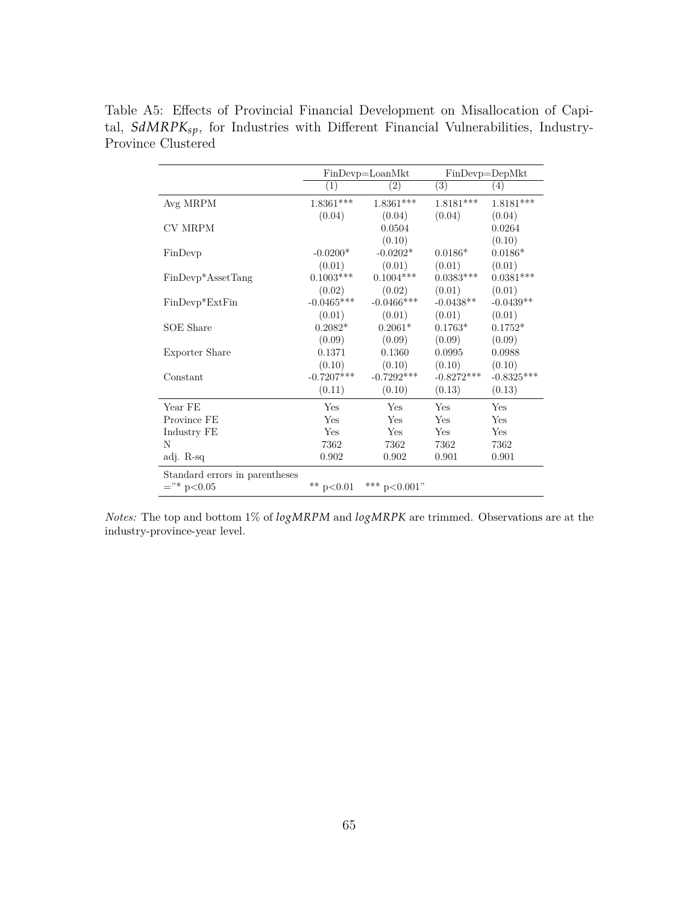|                                | $FinDevp=LoanMkt$ |                | $FinDevp = DepMkt$ |              |
|--------------------------------|-------------------|----------------|--------------------|--------------|
|                                | $\left(1\right)$  | (2)            | $\overline{(3)}$   | (4)          |
| Avg MRPM                       | $1.8361***$       | $1.8361***$    | $1.8181***$        | $1.8181***$  |
|                                | (0.04)            | (0.04)         | (0.04)             | (0.04)       |
| <b>CV MRPM</b>                 |                   | 0.0504         |                    | 0.0264       |
|                                |                   | (0.10)         |                    | (0.10)       |
| FinDevp                        | $-0.0200*$        | $-0.0202*$     | $0.0186*$          | $0.0186*$    |
|                                | (0.01)            | (0.01)         | (0.01)             | (0.01)       |
| FinDevp*AssetTang              | $0.1003***$       | $0.1004***$    | $0.0383***$        | $0.0381***$  |
|                                | (0.02)            | (0.02)         | (0.01)             | (0.01)       |
| $FinDevp*ExtFin$               | $-0.0465***$      | $-0.0466$ ***  | $-0.0438**$        | $-0.0439**$  |
|                                | (0.01)            | (0.01)         | (0.01)             | (0.01)       |
| SOE Share                      | $0.2082*$         | $0.2061*$      | $0.1763*$          | $0.1752*$    |
|                                | (0.09)            | (0.09)         | (0.09)             | (0.09)       |
| Exporter Share                 | 0.1371            | 0.1360         | 0.0995             | 0.0988       |
|                                | (0.10)            | (0.10)         | (0.10)             | (0.10)       |
| Constant                       | $-0.7207***$      | $-0.7292***$   | $-0.8272***$       | $-0.8325***$ |
|                                | (0.11)            | (0.10)         | (0.13)             | (0.13)       |
| Year FE                        | Yes               | Yes            | Yes                | Yes          |
| Province FE                    | Yes               | Yes            | Yes                | Yes          |
| Industry FE                    | Yes               | Yes            | <b>Yes</b>         | Yes          |
| N                              | 7362              | 7362           | 7362               | 7362         |
| adj. R-sq                      | 0.902             | 0.902          | 0.901              | 0.901        |
| Standard errors in parentheses |                   |                |                    |              |
| $=$ "* p<0.05                  | ** $p<0.01$       | *** $p<0.001"$ |                    |              |

<span id="page-65-0"></span>Table A5: Effects of Provincial Financial Development on Misallocation of Capital, *SdMRPKsp*, for Industries with Different Financial Vulnerabilities, Industry-Province Clustered

*Notes:* The top and bottom 1% of *logMRPM* and *logMRPK* are trimmed. Observations are at the industry-province-year level.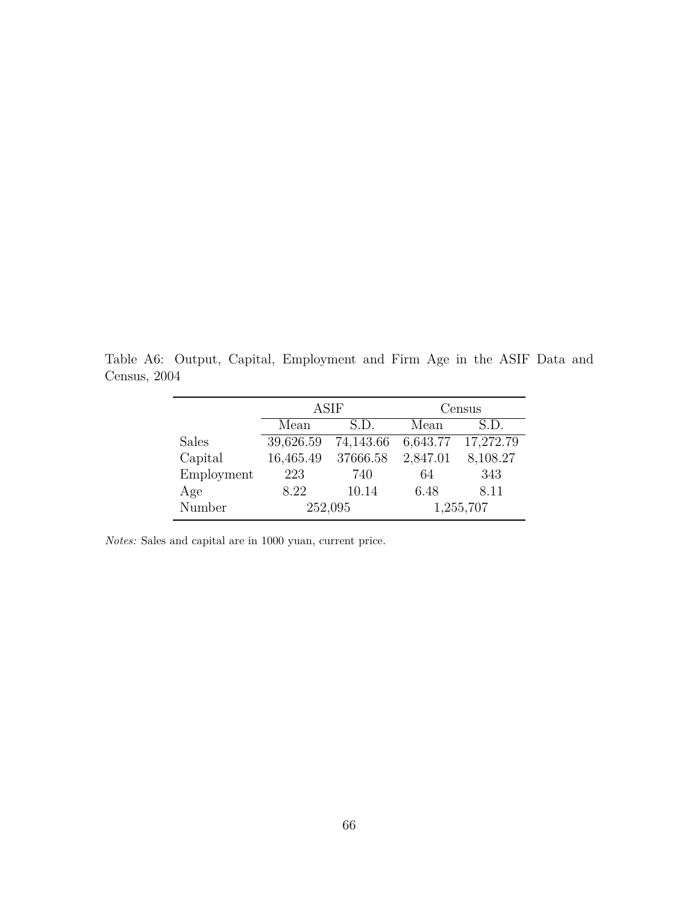|              | <b>ASIF</b> |                                        | Census |          |
|--------------|-------------|----------------------------------------|--------|----------|
|              | Mean        | S.D.                                   | Mean   | S.D.     |
| <b>Sales</b> |             | 39,626.59 74,143.66 6,643.77 17,272.79 |        |          |
| Capital      |             | 16,465.49 37666.58 2,847.01            |        | 8,108.27 |
| Employment   | 223         | 740                                    | 64     | 343      |

Age 8.22 10.14 6.48 8.11 Number 252,095 1,255,707

<span id="page-66-0"></span>Table A6: Output, Capital, Employment and Firm Age in the ASIF Data and Census, 2004

*Notes:* Sales and capital are in 1000 yuan, current price.